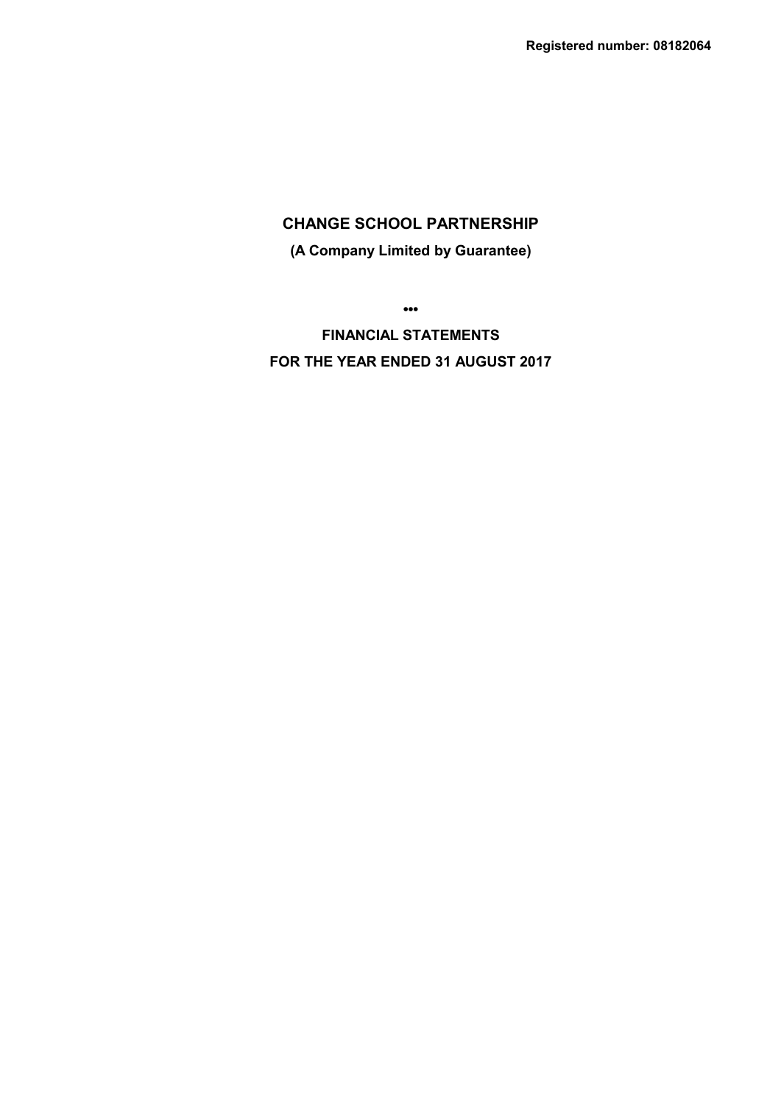# **(A Company Limited by Guarantee)**

**•••**

**FINANCIAL STATEMENTS FOR THE YEAR ENDED 31 AUGUST 2017**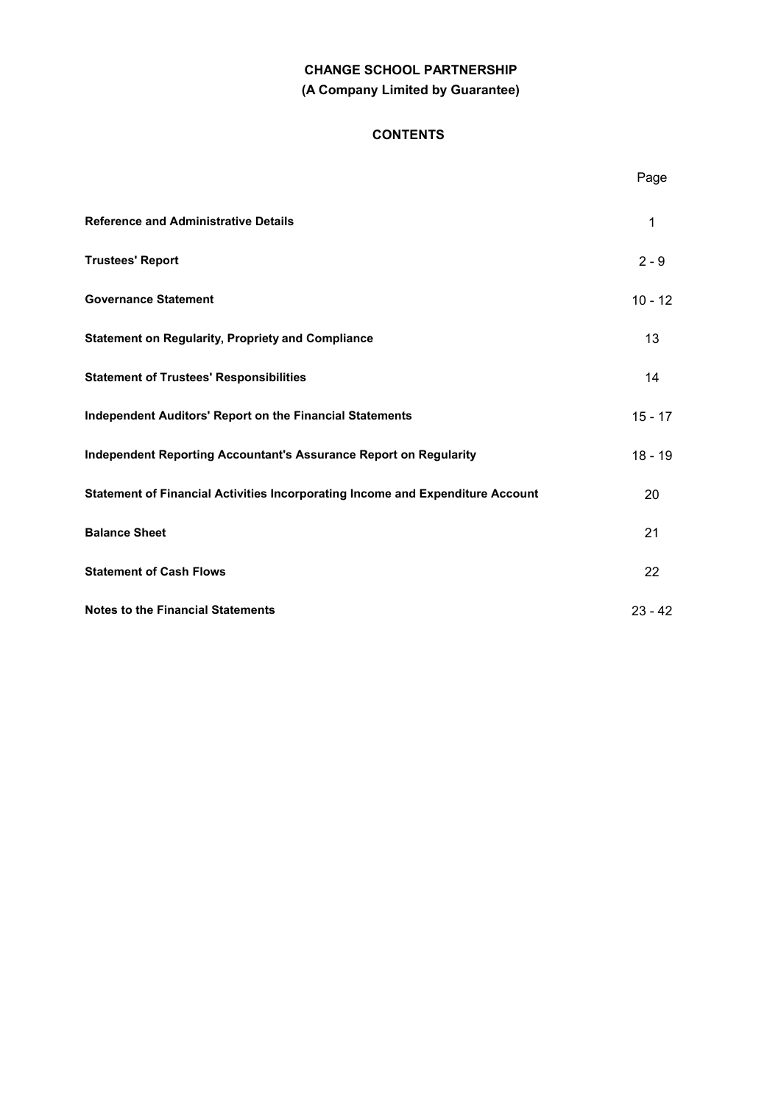# **CHANGE SCHOOL PARTNERSHIP (A Company Limited by Guarantee)**

# **CONTENTS**

|                                                                                | Page      |
|--------------------------------------------------------------------------------|-----------|
| <b>Reference and Administrative Details</b>                                    | 1         |
| <b>Trustees' Report</b>                                                        | $2 - 9$   |
| <b>Governance Statement</b>                                                    | $10 - 12$ |
| <b>Statement on Regularity, Propriety and Compliance</b>                       | 13        |
| <b>Statement of Trustees' Responsibilities</b>                                 | 14        |
| <b>Independent Auditors' Report on the Financial Statements</b>                | $15 - 17$ |
| <b>Independent Reporting Accountant's Assurance Report on Regularity</b>       | $18 - 19$ |
| Statement of Financial Activities Incorporating Income and Expenditure Account | 20        |
| <b>Balance Sheet</b>                                                           | 21        |
| <b>Statement of Cash Flows</b>                                                 | 22        |
| <b>Notes to the Financial Statements</b>                                       | $23 - 42$ |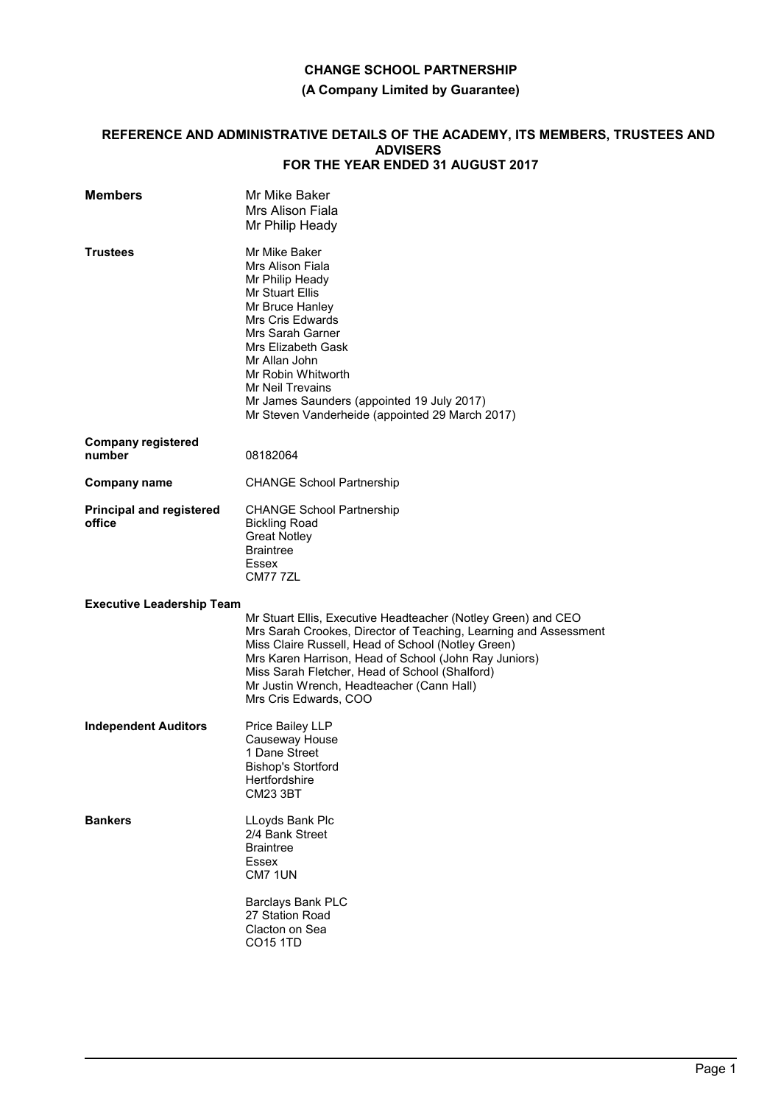# **(A Company Limited by Guarantee)**

### **REFERENCE AND ADMINISTRATIVE DETAILS OF THE ACADEMY, ITS MEMBERS, TRUSTEES AND ADVISERS FOR THE YEAR ENDED 31 AUGUST 2017**

| <b>Members</b>                            | Mr Mike Baker<br>Mrs Alison Fiala<br>Mr Philip Heady                                                                                                                                                                                                                                                                                                                     |
|-------------------------------------------|--------------------------------------------------------------------------------------------------------------------------------------------------------------------------------------------------------------------------------------------------------------------------------------------------------------------------------------------------------------------------|
| <b>Trustees</b>                           | Mr Mike Baker<br>Mrs Alison Fiala<br>Mr Philip Heady<br><b>Mr Stuart Ellis</b><br>Mr Bruce Hanley<br><b>Mrs Cris Edwards</b><br>Mrs Sarah Garner<br>Mrs Elizabeth Gask<br>Mr Allan John<br>Mr Robin Whitworth<br>Mr Neil Trevains<br>Mr James Saunders (appointed 19 July 2017)<br>Mr Steven Vanderheide (appointed 29 March 2017)                                       |
| <b>Company registered</b><br>number       | 08182064                                                                                                                                                                                                                                                                                                                                                                 |
| <b>Company name</b>                       | <b>CHANGE School Partnership</b>                                                                                                                                                                                                                                                                                                                                         |
| <b>Principal and registered</b><br>office | <b>CHANGE School Partnership</b><br><b>Bickling Road</b><br><b>Great Notley</b><br><b>Braintree</b><br>Essex<br>CM777ZL                                                                                                                                                                                                                                                  |
| <b>Executive Leadership Team</b>          |                                                                                                                                                                                                                                                                                                                                                                          |
|                                           | Mr Stuart Ellis, Executive Headteacher (Notley Green) and CEO<br>Mrs Sarah Crookes, Director of Teaching, Learning and Assessment<br>Miss Claire Russell, Head of School (Notley Green)<br>Mrs Karen Harrison, Head of School (John Ray Juniors)<br>Miss Sarah Fletcher, Head of School (Shalford)<br>Mr Justin Wrench, Headteacher (Cann Hall)<br>Mrs Cris Edwards, COO |
| <b>Independent Auditors</b>               | Price Bailey LLP<br>Causeway House<br>1 Dane Street<br>Bishop's Stortford<br>Hertfordshire<br><b>CM23 3BT</b>                                                                                                                                                                                                                                                            |
| <b>Bankers</b>                            | LLoyds Bank Plc<br>2/4 Bank Street<br><b>Braintree</b><br>Essex<br>CM7 1UN                                                                                                                                                                                                                                                                                               |
|                                           | Barclays Bank PLC<br>27 Station Road<br>Clacton on Sea<br><b>CO15 1TD</b>                                                                                                                                                                                                                                                                                                |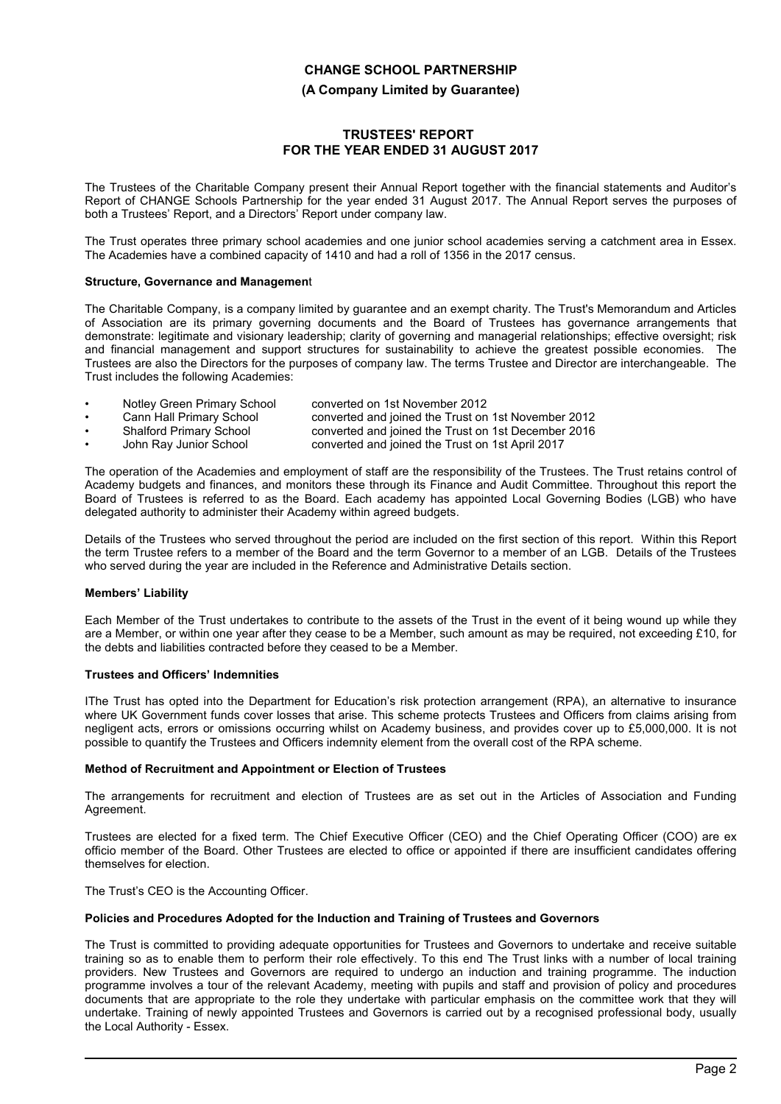### **(A Company Limited by Guarantee)**

## **TRUSTEES' REPORT FOR THE YEAR ENDED 31 AUGUST 2017**

The Trustees of the Charitable Company present their Annual Report together with the financial statements and Auditor's Report of CHANGE Schools Partnership for the year ended 31 August 2017. The Annual Report serves the purposes of both a Trustees' Report, and a Directors' Report under company law.

The Trust operates three primary school academies and one junior school academies serving a catchment area in Essex. The Academies have a combined capacity of 1410 and had a roll of 1356 in the 2017 census.

### **Structure, Governance and Managemen**t

The Charitable Company, is a company limited by guarantee and an exempt charity. The Trust's Memorandum and Articles of Association are its primary governing documents and the Board of Trustees has governance arrangements that demonstrate: legitimate and visionary leadership; clarity of governing and managerial relationships; effective oversight; risk and financial management and support structures for sustainability to achieve the greatest possible economies. The Trustees are also the Directors for the purposes of company law. The terms Trustee and Director are interchangeable. The Trust includes the following Academies:

- Notley Green Primary School converted on 1st November 2012
- Cann Hall Primary School converted and joined the Trust on 1st November 2012
- converted and joined the Trust on 1st December 2016
- John Ray Junior School converted and joined the Trust on 1st April 2017

The operation of the Academies and employment of staff are the responsibility of the Trustees. The Trust retains control of Academy budgets and finances, and monitors these through its Finance and Audit Committee. Throughout this report the Board of Trustees is referred to as the Board. Each academy has appointed Local Governing Bodies (LGB) who have delegated authority to administer their Academy within agreed budgets.

Details of the Trustees who served throughout the period are included on the first section of this report. Within this Report the term Trustee refers to a member of the Board and the term Governor to a member of an LGB. Details of the Trustees who served during the year are included in the Reference and Administrative Details section.

### **Members' Liability**

Each Member of the Trust undertakes to contribute to the assets of the Trust in the event of it being wound up while they are a Member, or within one year after they cease to be a Member, such amount as may be required, not exceeding £10, for the debts and liabilities contracted before they ceased to be a Member.

#### **Trustees and Officers' Indemnities**

IThe Trust has opted into the Department for Education's risk protection arrangement (RPA), an alternative to insurance where UK Government funds cover losses that arise. This scheme protects Trustees and Officers from claims arising from negligent acts, errors or omissions occurring whilst on Academy business, and provides cover up to £5,000,000. It is not possible to quantify the Trustees and Officers indemnity element from the overall cost of the RPA scheme.

### **Method of Recruitment and Appointment or Election of Trustees**

The arrangements for recruitment and election of Trustees are as set out in the Articles of Association and Funding Agreement.

Trustees are elected for a fixed term. The Chief Executive Officer (CEO) and the Chief Operating Officer (COO) are ex officio member of the Board. Other Trustees are elected to office or appointed if there are insufficient candidates offering themselves for election.

The Trust's CEO is the Accounting Officer.

### **Policies and Procedures Adopted for the Induction and Training of Trustees and Governors**

The Trust is committed to providing adequate opportunities for Trustees and Governors to undertake and receive suitable training so as to enable them to perform their role effectively. To this end The Trust links with a number of local training providers. New Trustees and Governors are required to undergo an induction and training programme. The induction programme involves a tour of the relevant Academy, meeting with pupils and staff and provision of policy and procedures documents that are appropriate to the role they undertake with particular emphasis on the committee work that they will undertake. Training of newly appointed Trustees and Governors is carried out by a recognised professional body, usually the Local Authority - Essex.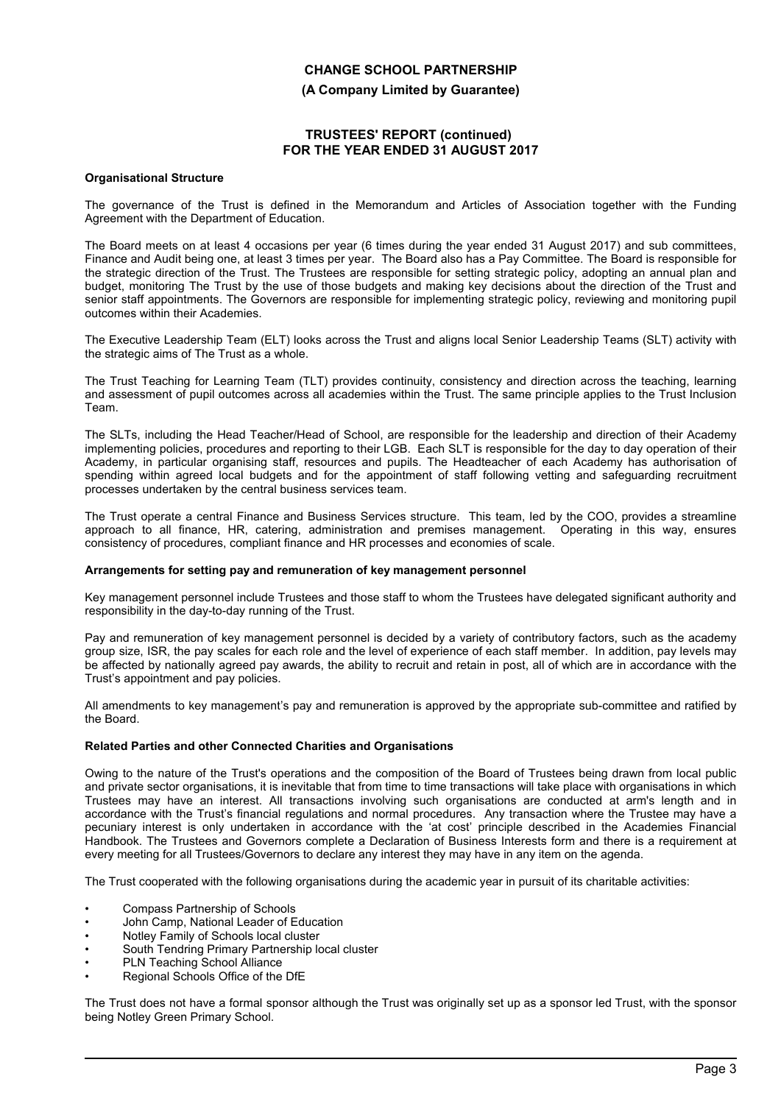**(A Company Limited by Guarantee)**

## **TRUSTEES' REPORT (continued) FOR THE YEAR ENDED 31 AUGUST 2017**

#### **Organisational Structure**

The governance of the Trust is defined in the Memorandum and Articles of Association together with the Funding Agreement with the Department of Education.

The Board meets on at least 4 occasions per year (6 times during the year ended 31 August 2017) and sub committees, Finance and Audit being one, at least 3 times per year. The Board also has a Pay Committee. The Board is responsible for the strategic direction of the Trust. The Trustees are responsible for setting strategic policy, adopting an annual plan and budget, monitoring The Trust by the use of those budgets and making key decisions about the direction of the Trust and senior staff appointments. The Governors are responsible for implementing strategic policy, reviewing and monitoring pupil outcomes within their Academies.

The Executive Leadership Team (ELT) looks across the Trust and aligns local Senior Leadership Teams (SLT) activity with the strategic aims of The Trust as a whole.

The Trust Teaching for Learning Team (TLT) provides continuity, consistency and direction across the teaching, learning and assessment of pupil outcomes across all academies within the Trust. The same principle applies to the Trust Inclusion Team.

The SLTs, including the Head Teacher/Head of School, are responsible for the leadership and direction of their Academy implementing policies, procedures and reporting to their LGB. Each SLT is responsible for the day to day operation of their Academy, in particular organising staff, resources and pupils. The Headteacher of each Academy has authorisation of spending within agreed local budgets and for the appointment of staff following vetting and safeguarding recruitment processes undertaken by the central business services team.

The Trust operate a central Finance and Business Services structure. This team, led by the COO, provides a streamline approach to all finance, HR, catering, administration and premises management. Operating in this way, ensures consistency of procedures, compliant finance and HR processes and economies of scale.

### **Arrangements for setting pay and remuneration of key management personnel**

Key management personnel include Trustees and those staff to whom the Trustees have delegated significant authority and responsibility in the day-to-day running of the Trust.

Pay and remuneration of key management personnel is decided by a variety of contributory factors, such as the academy group size, ISR, the pay scales for each role and the level of experience of each staff member. In addition, pay levels may be affected by nationally agreed pay awards, the ability to recruit and retain in post, all of which are in accordance with the Trust's appointment and pay policies.

All amendments to key management's pay and remuneration is approved by the appropriate sub-committee and ratified by the Board.

### **Related Parties and other Connected Charities and Organisations**

Owing to the nature of the Trust's operations and the composition of the Board of Trustees being drawn from local public and private sector organisations, it is inevitable that from time to time transactions will take place with organisations in which Trustees may have an interest. All transactions involving such organisations are conducted at arm's length and in accordance with the Trust's financial regulations and normal procedures. Any transaction where the Trustee may have a pecuniary interest is only undertaken in accordance with the 'at cost' principle described in the Academies Financial Handbook. The Trustees and Governors complete a Declaration of Business Interests form and there is a requirement at every meeting for all Trustees/Governors to declare any interest they may have in any item on the agenda.

The Trust cooperated with the following organisations during the academic year in pursuit of its charitable activities:

- Compass Partnership of Schools
- John Camp, National Leader of Education
- Notley Family of Schools local cluster
- South Tendring Primary Partnership local cluster
- PLN Teaching School Alliance
- Regional Schools Office of the DfE

The Trust does not have a formal sponsor although the Trust was originally set up as a sponsor led Trust, with the sponsor being Notley Green Primary School.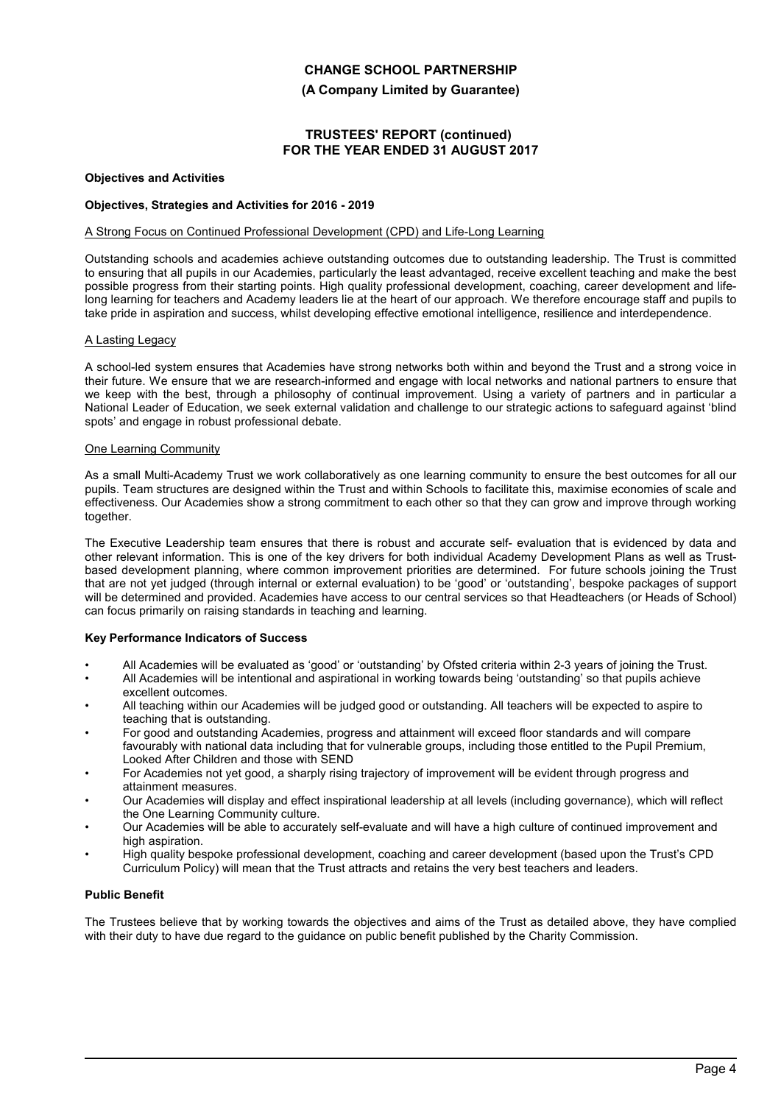**(A Company Limited by Guarantee)**

## **TRUSTEES' REPORT (continued) FOR THE YEAR ENDED 31 AUGUST 2017**

#### **Objectives and Activities**

#### **Objectives, Strategies and Activities for 2016 - 2019**

#### A Strong Focus on Continued Professional Development (CPD) and Life-Long Learning

Outstanding schools and academies achieve outstanding outcomes due to outstanding leadership. The Trust is committed to ensuring that all pupils in our Academies, particularly the least advantaged, receive excellent teaching and make the best possible progress from their starting points. High quality professional development, coaching, career development and lifelong learning for teachers and Academy leaders lie at the heart of our approach. We therefore encourage staff and pupils to take pride in aspiration and success, whilst developing effective emotional intelligence, resilience and interdependence.

## A Lasting Legacy

A school-led system ensures that Academies have strong networks both within and beyond the Trust and a strong voice in their future. We ensure that we are research-informed and engage with local networks and national partners to ensure that we keep with the best, through a philosophy of continual improvement. Using a variety of partners and in particular a National Leader of Education, we seek external validation and challenge to our strategic actions to safeguard against 'blind spots' and engage in robust professional debate.

#### One Learning Community

As a small Multi-Academy Trust we work collaboratively as one learning community to ensure the best outcomes for all our pupils. Team structures are designed within the Trust and within Schools to facilitate this, maximise economies of scale and effectiveness. Our Academies show a strong commitment to each other so that they can grow and improve through working together.

The Executive Leadership team ensures that there is robust and accurate self- evaluation that is evidenced by data and other relevant information. This is one of the key drivers for both individual Academy Development Plans as well as Trustbased development planning, where common improvement priorities are determined. For future schools joining the Trust that are not yet judged (through internal or external evaluation) to be 'good' or 'outstanding', bespoke packages of support will be determined and provided. Academies have access to our central services so that Headteachers (or Heads of School) can focus primarily on raising standards in teaching and learning.

#### **Key Performance Indicators of Success**

- All Academies will be evaluated as 'good' or 'outstanding' by Ofsted criteria within 2-3 years of joining the Trust.
- All Academies will be intentional and aspirational in working towards being 'outstanding' so that pupils achieve excellent outcomes.
- All teaching within our Academies will be judged good or outstanding. All teachers will be expected to aspire to teaching that is outstanding.
- For good and outstanding Academies, progress and attainment will exceed floor standards and will compare favourably with national data including that for vulnerable groups, including those entitled to the Pupil Premium, Looked After Children and those with SEND
- For Academies not yet good, a sharply rising trajectory of improvement will be evident through progress and attainment measures.
- Our Academies will display and effect inspirational leadership at all levels (including governance), which will reflect the One Learning Community culture.
- Our Academies will be able to accurately self-evaluate and will have a high culture of continued improvement and high aspiration.
- High quality bespoke professional development, coaching and career development (based upon the Trust's CPD Curriculum Policy) will mean that the Trust attracts and retains the very best teachers and leaders.

### **Public Benefit**

The Trustees believe that by working towards the objectives and aims of the Trust as detailed above, they have complied with their duty to have due regard to the guidance on public benefit published by the Charity Commission.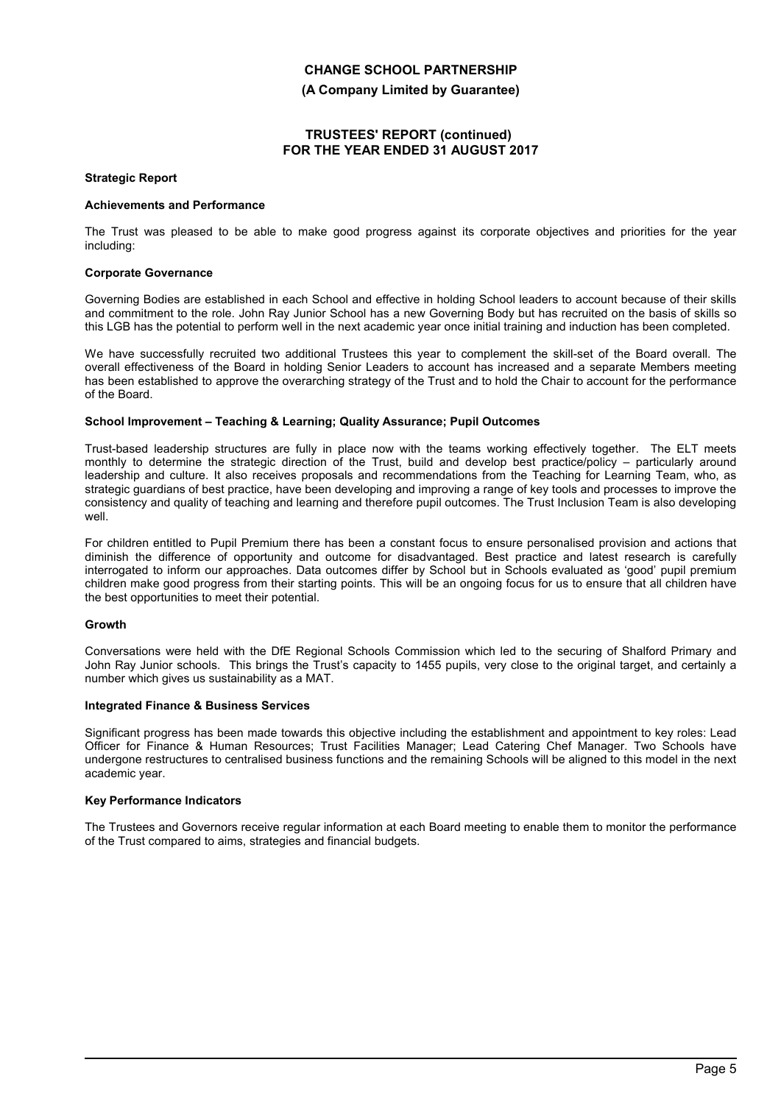**(A Company Limited by Guarantee)**

## **TRUSTEES' REPORT (continued) FOR THE YEAR ENDED 31 AUGUST 2017**

#### **Strategic Report**

#### **Achievements and Performance**

The Trust was pleased to be able to make good progress against its corporate objectives and priorities for the year including:

#### **Corporate Governance**

Governing Bodies are established in each School and effective in holding School leaders to account because of their skills and commitment to the role. John Ray Junior School has a new Governing Body but has recruited on the basis of skills so this LGB has the potential to perform well in the next academic year once initial training and induction has been completed.

We have successfully recruited two additional Trustees this year to complement the skill-set of the Board overall. The overall effectiveness of the Board in holding Senior Leaders to account has increased and a separate Members meeting has been established to approve the overarching strategy of the Trust and to hold the Chair to account for the performance of the Board.

#### **School Improvement – Teaching & Learning; Quality Assurance; Pupil Outcomes**

Trust-based leadership structures are fully in place now with the teams working effectively together. The ELT meets monthly to determine the strategic direction of the Trust, build and develop best practice/policy – particularly around leadership and culture. It also receives proposals and recommendations from the Teaching for Learning Team, who, as strategic guardians of best practice, have been developing and improving a range of key tools and processes to improve the consistency and quality of teaching and learning and therefore pupil outcomes. The Trust Inclusion Team is also developing well.

For children entitled to Pupil Premium there has been a constant focus to ensure personalised provision and actions that diminish the difference of opportunity and outcome for disadvantaged. Best practice and latest research is carefully interrogated to inform our approaches. Data outcomes differ by School but in Schools evaluated as 'good' pupil premium children make good progress from their starting points. This will be an ongoing focus for us to ensure that all children have the best opportunities to meet their potential.

#### **Growth**

Conversations were held with the DfE Regional Schools Commission which led to the securing of Shalford Primary and John Ray Junior schools. This brings the Trust's capacity to 1455 pupils, very close to the original target, and certainly a number which gives us sustainability as a MAT.

### **Integrated Finance & Business Services**

Significant progress has been made towards this objective including the establishment and appointment to key roles: Lead Officer for Finance & Human Resources; Trust Facilities Manager; Lead Catering Chef Manager. Two Schools have undergone restructures to centralised business functions and the remaining Schools will be aligned to this model in the next academic year.

### **Key Performance Indicators**

The Trustees and Governors receive regular information at each Board meeting to enable them to monitor the performance of the Trust compared to aims, strategies and financial budgets.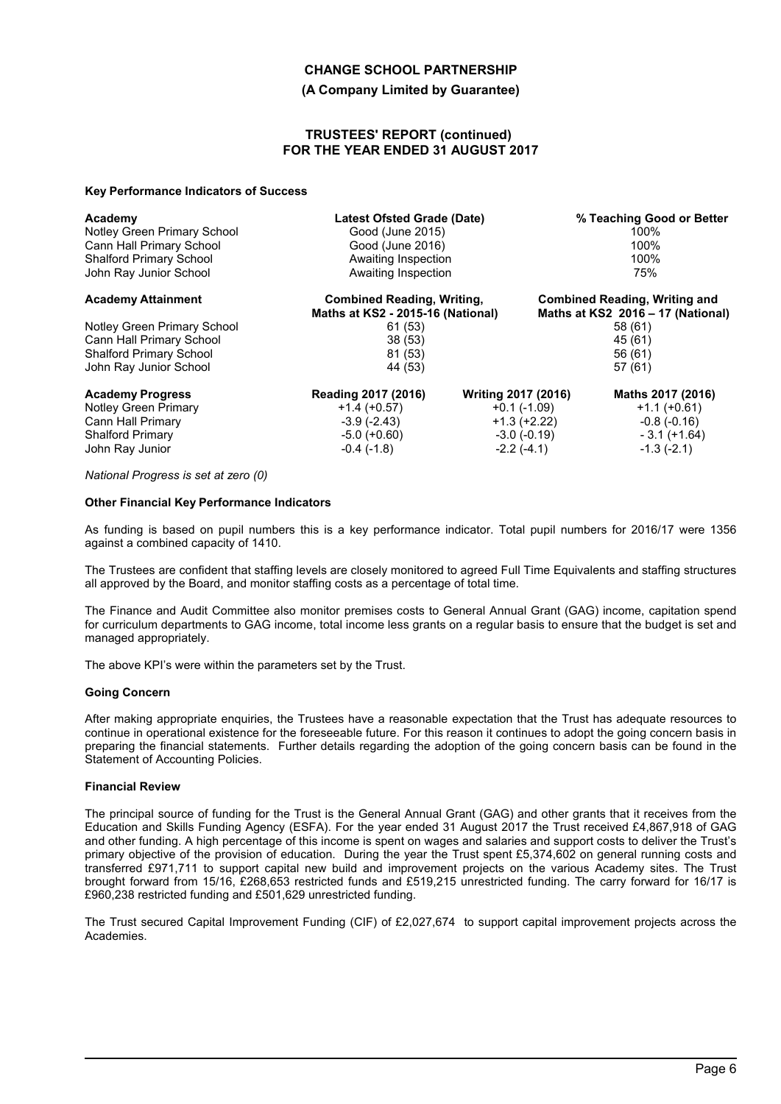#### **(A Company Limited by Guarantee)**

#### **TRUSTEES' REPORT (continued) FOR THE YEAR ENDED 31 AUGUST 2017**

#### **Key Performance Indicators of Success**

| Academy                        | <b>Latest Ofsted Grade (Date)</b> |                            | % Teaching Good or Better            |  |
|--------------------------------|-----------------------------------|----------------------------|--------------------------------------|--|
| Notley Green Primary School    | Good (June 2015)                  |                            | 100%                                 |  |
| Cann Hall Primary School       | Good (June 2016)                  |                            | 100%                                 |  |
| <b>Shalford Primary School</b> | Awaiting Inspection               |                            | 100%                                 |  |
| John Ray Junior School         | Awaiting Inspection               |                            | 75%                                  |  |
| <b>Academy Attainment</b>      | <b>Combined Reading, Writing,</b> |                            | <b>Combined Reading, Writing and</b> |  |
|                                | Maths at KS2 - 2015-16 (National) |                            | Maths at KS2 2016 - 17 (National)    |  |
| Notley Green Primary School    | 61 (53)                           |                            | 58 (61)                              |  |
| Cann Hall Primary School       | 38(53)                            |                            | 45 (61)                              |  |
| <b>Shalford Primary School</b> | 81 (53)                           |                            | 56 (61)                              |  |
| John Ray Junior School         | 44 (53)                           |                            | 57(61)                               |  |
| <b>Academy Progress</b>        | Reading 2017 (2016)               | <b>Writing 2017 (2016)</b> | Maths 2017 (2016)                    |  |
| <b>Notley Green Primary</b>    | $+1.4(+0.57)$                     | $+0.1$ (-1.09)             | $+1.1 (+0.61)$                       |  |
| Cann Hall Primary              | $-3.9(-2.43)$                     | $+1.3 (+2.22)$             | $-0.8(-0.16)$                        |  |
| <b>Shalford Primary</b>        | $-5.0$ (+0.60)                    | $-3.0(-0.19)$              | $-3.1 (+1.64)$                       |  |
| John Ray Junior                | $-0.4$ ( $-1.8$ )                 | $-2.2(-4.1)$               | $-1.3(-2.1)$                         |  |

#### *National Progress is set at zero (0)*

#### **Other Financial Key Performance Indicators**

As funding is based on pupil numbers this is a key performance indicator. Total pupil numbers for 2016/17 were 1356 against a combined capacity of 1410.

The Trustees are confident that staffing levels are closely monitored to agreed Full Time Equivalents and staffing structures all approved by the Board, and monitor staffing costs as a percentage of total time.

The Finance and Audit Committee also monitor premises costs to General Annual Grant (GAG) income, capitation spend for curriculum departments to GAG income, total income less grants on a regular basis to ensure that the budget is set and managed appropriately.

The above KPI's were within the parameters set by the Trust.

#### **Going Concern**

After making appropriate enquiries, the Trustees have a reasonable expectation that the Trust has adequate resources to continue in operational existence for the foreseeable future. For this reason it continues to adopt the going concern basis in preparing the financial statements. Further details regarding the adoption of the going concern basis can be found in the Statement of Accounting Policies.

#### **Financial Review**

The principal source of funding for the Trust is the General Annual Grant (GAG) and other grants that it receives from the Education and Skills Funding Agency (ESFA). For the year ended 31 August 2017 the Trust received £4,867,918 of GAG and other funding. A high percentage of this income is spent on wages and salaries and support costs to deliver the Trust's primary objective of the provision of education. During the year the Trust spent £5,374,602 on general running costs and transferred £971,711 to support capital new build and improvement projects on the various Academy sites. The Trust brought forward from 15/16, £268,653 restricted funds and £519,215 unrestricted funding. The carry forward for 16/17 is £960,238 restricted funding and £501,629 unrestricted funding.

The Trust secured Capital Improvement Funding (CIF) of £2,027,674 to support capital improvement projects across the Academies.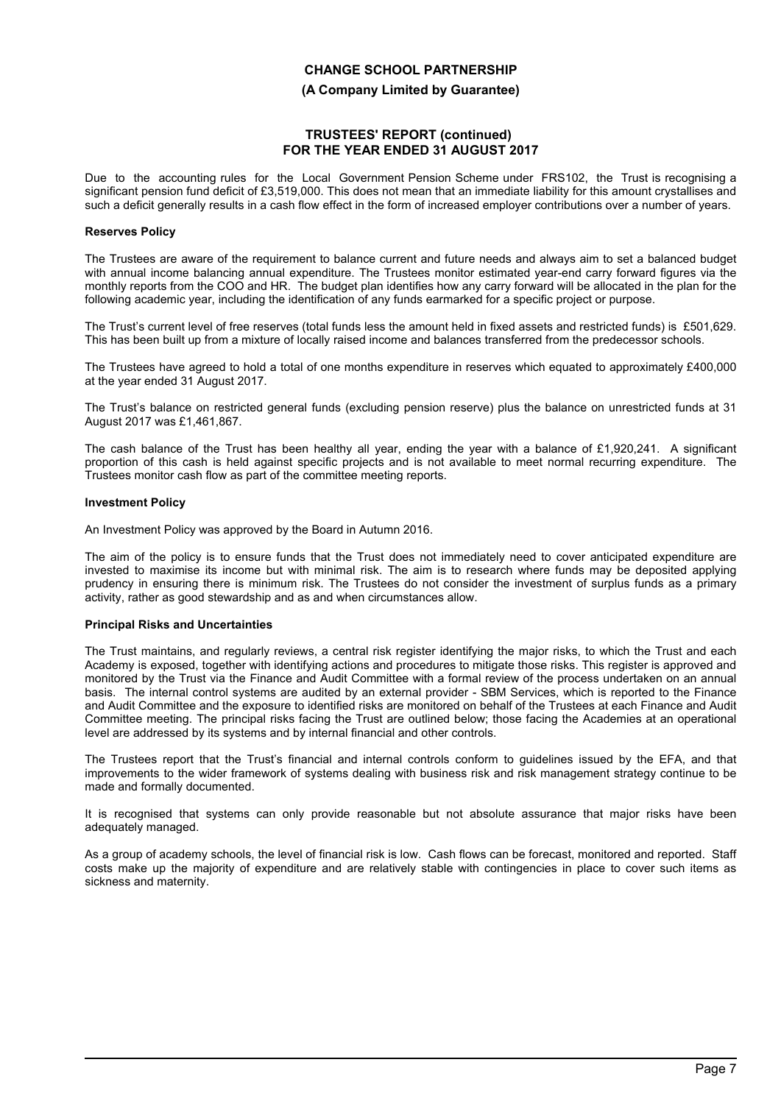**(A Company Limited by Guarantee)**

## **TRUSTEES' REPORT (continued) FOR THE YEAR ENDED 31 AUGUST 2017**

Due to the accounting rules for the Local Government Pension Scheme under FRS102, the Trust is recognising a significant pension fund deficit of £3,519,000. This does not mean that an immediate liability for this amount crystallises and such a deficit generally results in a cash flow effect in the form of increased employer contributions over a number of years.

#### **Reserves Policy**

The Trustees are aware of the requirement to balance current and future needs and always aim to set a balanced budget with annual income balancing annual expenditure. The Trustees monitor estimated year-end carry forward figures via the monthly reports from the COO and HR. The budget plan identifies how any carry forward will be allocated in the plan for the following academic year, including the identification of any funds earmarked for a specific project or purpose.

The Trust's current level of free reserves (total funds less the amount held in fixed assets and restricted funds) is £501,629. This has been built up from a mixture of locally raised income and balances transferred from the predecessor schools.

The Trustees have agreed to hold a total of one months expenditure in reserves which equated to approximately £400,000 at the year ended 31 August 2017.

The Trust's balance on restricted general funds (excluding pension reserve) plus the balance on unrestricted funds at 31 August 2017 was £1,461,867.

The cash balance of the Trust has been healthy all year, ending the year with a balance of £1,920,241. A significant proportion of this cash is held against specific projects and is not available to meet normal recurring expenditure. The Trustees monitor cash flow as part of the committee meeting reports.

#### **Investment Policy**

An Investment Policy was approved by the Board in Autumn 2016.

The aim of the policy is to ensure funds that the Trust does not immediately need to cover anticipated expenditure are invested to maximise its income but with minimal risk. The aim is to research where funds may be deposited applying prudency in ensuring there is minimum risk. The Trustees do not consider the investment of surplus funds as a primary activity, rather as good stewardship and as and when circumstances allow.

### **Principal Risks and Uncertainties**

The Trust maintains, and regularly reviews, a central risk register identifying the major risks, to which the Trust and each Academy is exposed, together with identifying actions and procedures to mitigate those risks. This register is approved and monitored by the Trust via the Finance and Audit Committee with a formal review of the process undertaken on an annual basis. The internal control systems are audited by an external provider - SBM Services, which is reported to the Finance and Audit Committee and the exposure to identified risks are monitored on behalf of the Trustees at each Finance and Audit Committee meeting. The principal risks facing the Trust are outlined below; those facing the Academies at an operational level are addressed by its systems and by internal financial and other controls.

The Trustees report that the Trust's financial and internal controls conform to guidelines issued by the EFA, and that improvements to the wider framework of systems dealing with business risk and risk management strategy continue to be made and formally documented.

It is recognised that systems can only provide reasonable but not absolute assurance that major risks have been adequately managed.

As a group of academy schools, the level of financial risk is low. Cash flows can be forecast, monitored and reported. Staff costs make up the majority of expenditure and are relatively stable with contingencies in place to cover such items as sickness and maternity.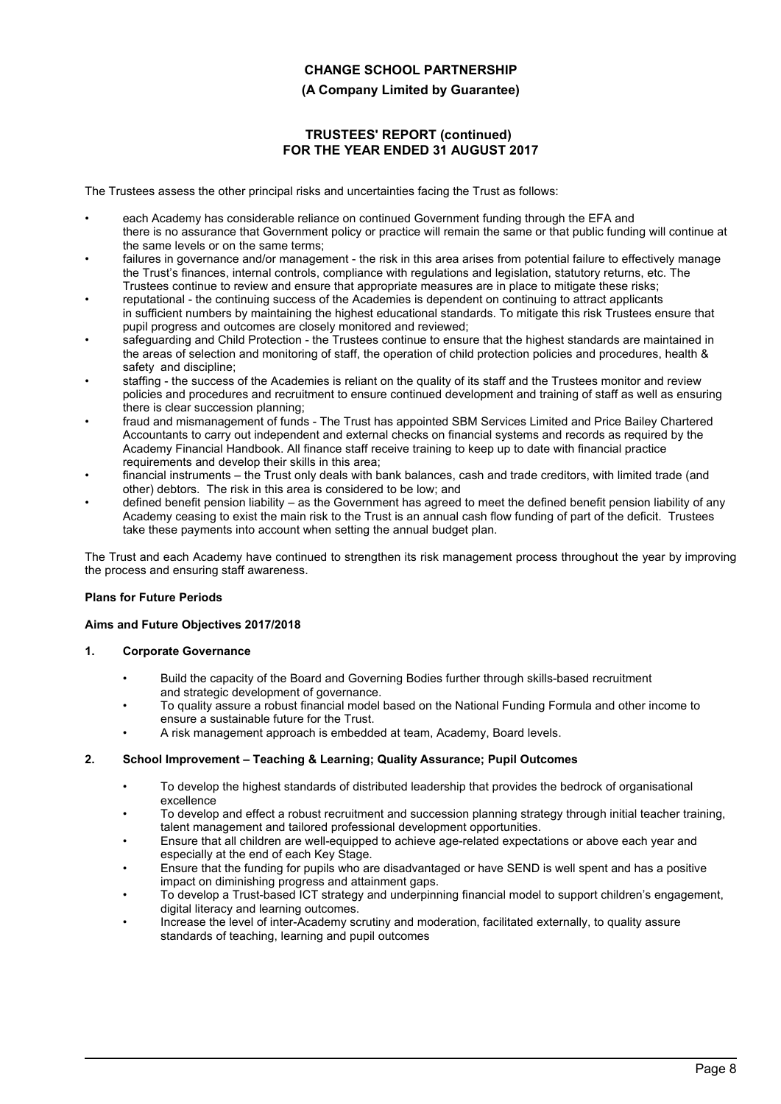## **(A Company Limited by Guarantee)**

## **TRUSTEES' REPORT (continued) FOR THE YEAR ENDED 31 AUGUST 2017**

The Trustees assess the other principal risks and uncertainties facing the Trust as follows:

- each Academy has considerable reliance on continued Government funding through the EFA and there is no assurance that Government policy or practice will remain the same or that public funding will continue at the same levels or on the same terms;
- failures in governance and/or management the risk in this area arises from potential failure to effectively manage the Trust's finances, internal controls, compliance with regulations and legislation, statutory returns, etc. The Trustees continue to review and ensure that appropriate measures are in place to mitigate these risks;
- reputational the continuing success of the Academies is dependent on continuing to attract applicants in sufficient numbers by maintaining the highest educational standards. To mitigate this risk Trustees ensure that pupil progress and outcomes are closely monitored and reviewed;
- safeguarding and Child Protection the Trustees continue to ensure that the highest standards are maintained in the areas of selection and monitoring of staff, the operation of child protection policies and procedures, health & safety and discipline;
- staffing the success of the Academies is reliant on the quality of its staff and the Trustees monitor and review policies and procedures and recruitment to ensure continued development and training of staff as well as ensuring there is clear succession planning;
- fraud and mismanagement of funds The Trust has appointed SBM Services Limited and Price Bailey Chartered Accountants to carry out independent and external checks on financial systems and records as required by the Academy Financial Handbook. All finance staff receive training to keep up to date with financial practice requirements and develop their skills in this area;
- financial instruments the Trust only deals with bank balances, cash and trade creditors, with limited trade (and other) debtors. The risk in this area is considered to be low; and
- defined benefit pension liability as the Government has agreed to meet the defined benefit pension liability of any Academy ceasing to exist the main risk to the Trust is an annual cash flow funding of part of the deficit. Trustees take these payments into account when setting the annual budget plan.

The Trust and each Academy have continued to strengthen its risk management process throughout the year by improving the process and ensuring staff awareness.

### **Plans for Future Periods**

### **Aims and Future Objectives 2017/2018**

### **1. Corporate Governance**

- Build the capacity of the Board and Governing Bodies further through skills-based recruitment and strategic development of governance.
- To quality assure a robust financial model based on the National Funding Formula and other income to ensure a sustainable future for the Trust.
- A risk management approach is embedded at team, Academy, Board levels.

### **2. School Improvement – Teaching & Learning; Quality Assurance; Pupil Outcomes**

- To develop the highest standards of distributed leadership that provides the bedrock of organisational excellence
- To develop and effect a robust recruitment and succession planning strategy through initial teacher training, talent management and tailored professional development opportunities.
- Ensure that all children are well-equipped to achieve age-related expectations or above each year and especially at the end of each Key Stage.
- Ensure that the funding for pupils who are disadvantaged or have SEND is well spent and has a positive impact on diminishing progress and attainment gaps.
- To develop a Trust-based ICT strategy and underpinning financial model to support children's engagement, digital literacy and learning outcomes.
- Increase the level of inter-Academy scrutiny and moderation, facilitated externally, to quality assure standards of teaching, learning and pupil outcomes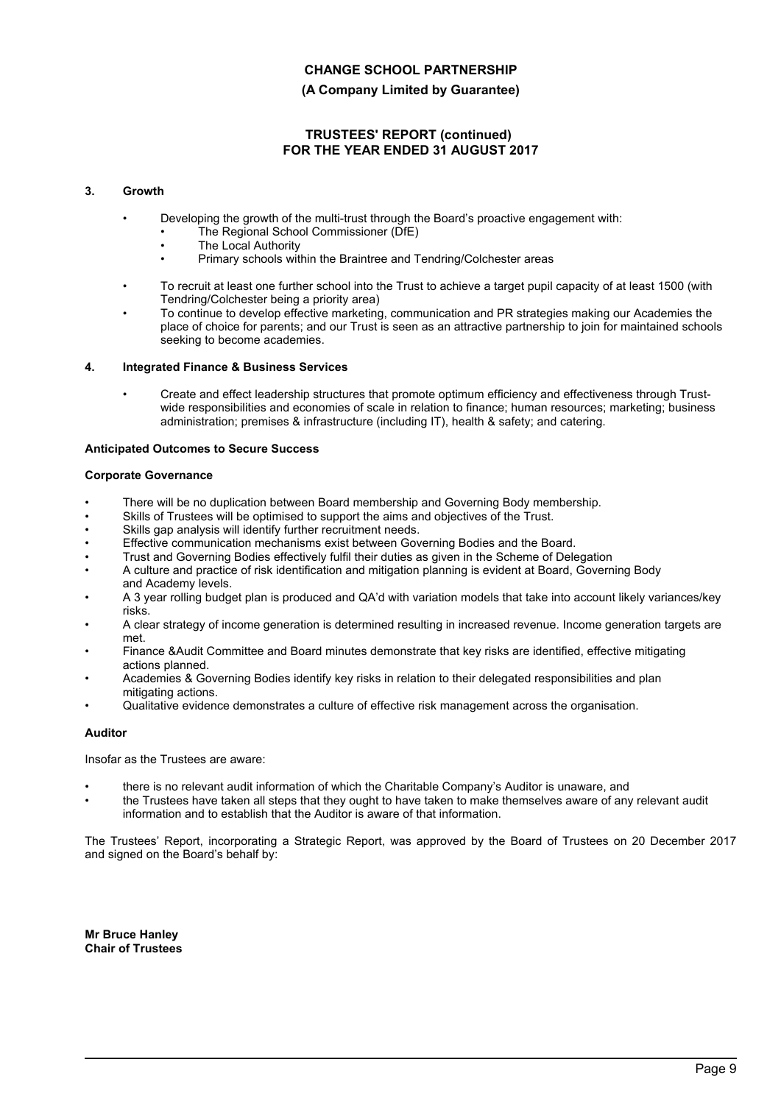## **(A Company Limited by Guarantee)**

## **TRUSTEES' REPORT (continued) FOR THE YEAR ENDED 31 AUGUST 2017**

### **3. Growth**

- Developing the growth of the multi-trust through the Board's proactive engagement with:
	- The Regional School Commissioner (DfE)
	- **The Local Authority**
	- Primary schools within the Braintree and Tendring/Colchester areas
- To recruit at least one further school into the Trust to achieve a target pupil capacity of at least 1500 (with Tendring/Colchester being a priority area)
- To continue to develop effective marketing, communication and PR strategies making our Academies the place of choice for parents; and our Trust is seen as an attractive partnership to join for maintained schools seeking to become academies.

#### **4. Integrated Finance & Business Services**

• Create and effect leadership structures that promote optimum efficiency and effectiveness through Trustwide responsibilities and economies of scale in relation to finance; human resources; marketing; business administration; premises & infrastructure (including IT), health & safety; and catering.

#### **Anticipated Outcomes to Secure Success**

#### **Corporate Governance**

- There will be no duplication between Board membership and Governing Body membership.
- Skills of Trustees will be optimised to support the aims and objectives of the Trust.
- Skills gap analysis will identify further recruitment needs.
- Effective communication mechanisms exist between Governing Bodies and the Board.
- Trust and Governing Bodies effectively fulfil their duties as given in the Scheme of Delegation
- A culture and practice of risk identification and mitigation planning is evident at Board, Governing Body and Academy levels.
- A 3 year rolling budget plan is produced and QA'd with variation models that take into account likely variances/key risks.
- A clear strategy of income generation is determined resulting in increased revenue. Income generation targets are met.
- Finance &Audit Committee and Board minutes demonstrate that key risks are identified, effective mitigating actions planned.
- Academies & Governing Bodies identify key risks in relation to their delegated responsibilities and plan mitigating actions.
- Qualitative evidence demonstrates a culture of effective risk management across the organisation.

### **Auditor**

Insofar as the Trustees are aware:

- there is no relevant audit information of which the Charitable Company's Auditor is unaware, and
- the Trustees have taken all steps that they ought to have taken to make themselves aware of any relevant audit information and to establish that the Auditor is aware of that information.

The Trustees' Report, incorporating a Strategic Report, was approved by the Board of Trustees on 20 December 2017 and signed on the Board's behalf by:

**Mr Bruce Hanley Chair of Trustees**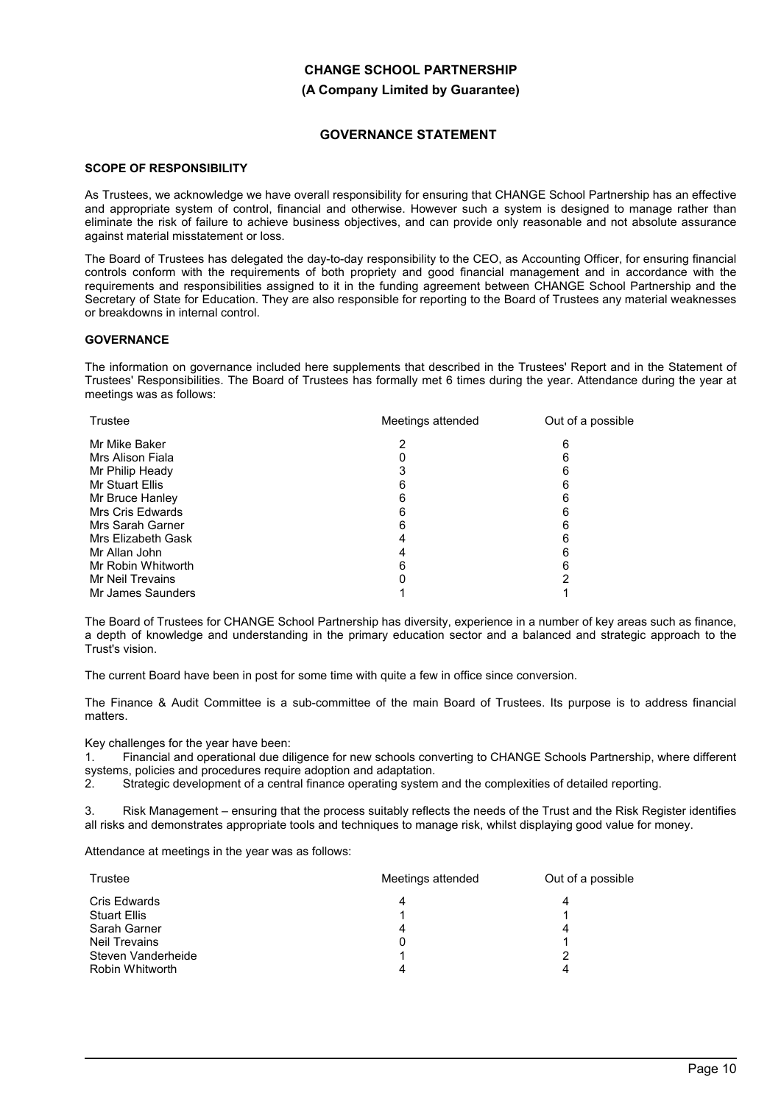# **CHANGE SCHOOL PARTNERSHIP (A Company Limited by Guarantee)**

## **GOVERNANCE STATEMENT**

## **SCOPE OF RESPONSIBILITY**

As Trustees, we acknowledge we have overall responsibility for ensuring that CHANGE School Partnership has an effective and appropriate system of control, financial and otherwise. However such a system is designed to manage rather than eliminate the risk of failure to achieve business objectives, and can provide only reasonable and not absolute assurance against material misstatement or loss.

The Board of Trustees has delegated the day-to-day responsibility to the CEO, as Accounting Officer, for ensuring financial controls conform with the requirements of both propriety and good financial management and in accordance with the requirements and responsibilities assigned to it in the funding agreement between CHANGE School Partnership and the Secretary of State for Education. They are also responsible for reporting to the Board of Trustees any material weaknesses or breakdowns in internal control.

## **GOVERNANCE**

The information on governance included here supplements that described in the Trustees' Report and in the Statement of Trustees' Responsibilities. The Board of Trustees has formally met 6 times during the year. Attendance during the year at meetings was as follows:

| Trustee            | Meetings attended | Out of a possible |
|--------------------|-------------------|-------------------|
| Mr Mike Baker      |                   | 6                 |
| Mrs Alison Fiala   |                   | 6                 |
| Mr Philip Heady    |                   |                   |
| Mr Stuart Ellis    |                   | հ                 |
| Mr Bruce Hanley    |                   | 6                 |
| Mrs Cris Edwards   |                   | 6                 |
| Mrs Sarah Garner   |                   |                   |
| Mrs Elizabeth Gask |                   | 6                 |
| Mr Allan John      |                   | 6                 |
| Mr Robin Whitworth |                   | 6                 |
| Mr Neil Trevains   |                   | ົ                 |
| Mr James Saunders  |                   |                   |

The Board of Trustees for CHANGE School Partnership has diversity, experience in a number of key areas such as finance, a depth of knowledge and understanding in the primary education sector and a balanced and strategic approach to the Trust's vision.

The current Board have been in post for some time with quite a few in office since conversion.

The Finance & Audit Committee is a sub-committee of the main Board of Trustees. Its purpose is to address financial matters.

Key challenges for the year have been:

1. Financial and operational due diligence for new schools converting to CHANGE Schools Partnership, where different systems, policies and procedures require adoption and adaptation.

2. Strategic development of a central finance operating system and the complexities of detailed reporting.

3. Risk Management – ensuring that the process suitably reflects the needs of the Trust and the Risk Register identifies all risks and demonstrates appropriate tools and techniques to manage risk, whilst displaying good value for money.

Attendance at meetings in the year was as follows:

| Trustee              | Meetings attended | Out of a possible |  |
|----------------------|-------------------|-------------------|--|
| Cris Edwards         |                   |                   |  |
| <b>Stuart Ellis</b>  |                   |                   |  |
| Sarah Garner         |                   |                   |  |
| <b>Neil Trevains</b> |                   |                   |  |
| Steven Vanderheide   |                   |                   |  |
| Robin Whitworth      |                   |                   |  |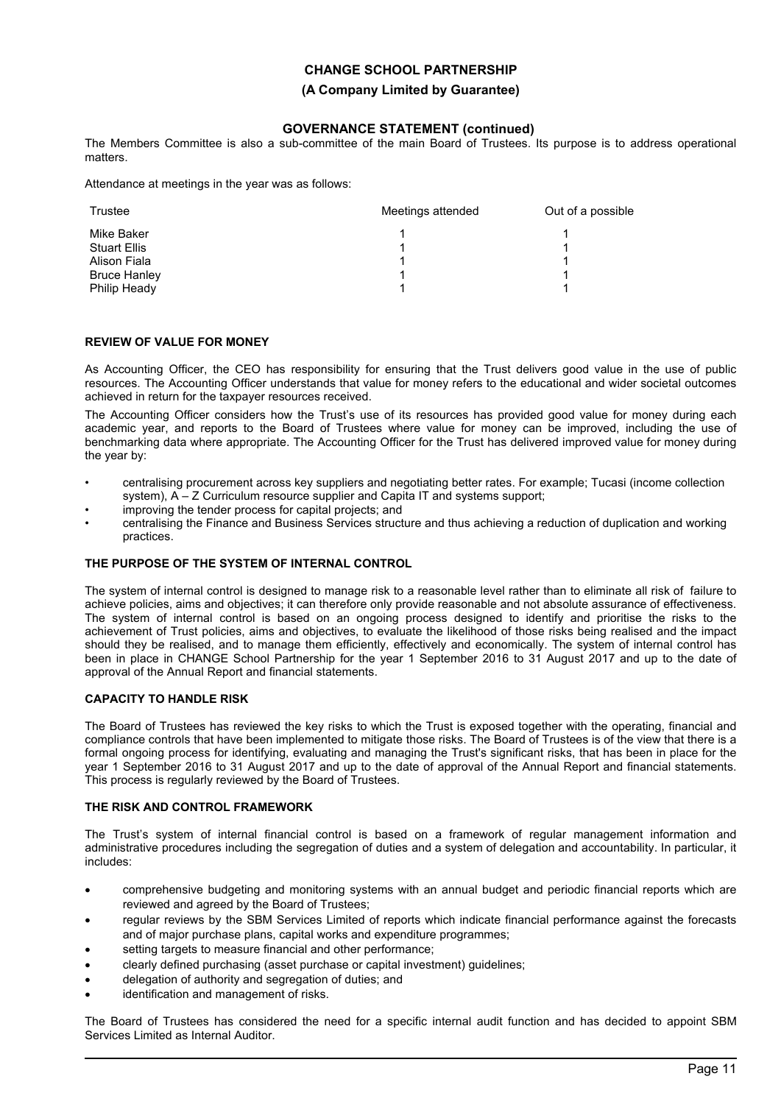**(A Company Limited by Guarantee)**

## **GOVERNANCE STATEMENT (continued)**

The Members Committee is also a sub-committee of the main Board of Trustees. Its purpose is to address operational matters.

Attendance at meetings in the year was as follows:

| Trustee             | Meetings attended | Out of a possible |
|---------------------|-------------------|-------------------|
| Mike Baker          |                   |                   |
| <b>Stuart Ellis</b> |                   |                   |
| Alison Fiala        |                   |                   |
| <b>Bruce Hanley</b> |                   |                   |
| Philip Heady        |                   |                   |

### **REVIEW OF VALUE FOR MONEY**

As Accounting Officer, the CEO has responsibility for ensuring that the Trust delivers good value in the use of public resources. The Accounting Officer understands that value for money refers to the educational and wider societal outcomes achieved in return for the taxpayer resources received.

The Accounting Officer considers how the Trust's use of its resources has provided good value for money during each academic year, and reports to the Board of Trustees where value for money can be improved, including the use of benchmarking data where appropriate. The Accounting Officer for the Trust has delivered improved value for money during the year by:

- centralising procurement across key suppliers and negotiating better rates. For example; Tucasi (income collection system), A – Z Curriculum resource supplier and Capita IT and systems support;
- improving the tender process for capital projects; and
- centralising the Finance and Business Services structure and thus achieving a reduction of duplication and working practices.

#### **THE PURPOSE OF THE SYSTEM OF INTERNAL CONTROL**

The system of internal control is designed to manage risk to a reasonable level rather than to eliminate all risk of failure to achieve policies, aims and objectives; it can therefore only provide reasonable and not absolute assurance of effectiveness. The system of internal control is based on an ongoing process designed to identify and prioritise the risks to the achievement of Trust policies, aims and objectives, to evaluate the likelihood of those risks being realised and the impact should they be realised, and to manage them efficiently, effectively and economically. The system of internal control has been in place in CHANGE School Partnership for the year 1 September 2016 to 31 August 2017 and up to the date of approval of the Annual Report and financial statements.

#### **CAPACITY TO HANDLE RISK**

The Board of Trustees has reviewed the key risks to which the Trust is exposed together with the operating, financial and compliance controls that have been implemented to mitigate those risks. The Board of Trustees is of the view that there is a formal ongoing process for identifying, evaluating and managing the Trust's significant risks, that has been in place for the year 1 September 2016 to 31 August 2017 and up to the date of approval of the Annual Report and financial statements. This process is regularly reviewed by the Board of Trustees.

#### **THE RISK AND CONTROL FRAMEWORK**

The Trust's system of internal financial control is based on a framework of regular management information and administrative procedures including the segregation of duties and a system of delegation and accountability. In particular, it includes:

- comprehensive budgeting and monitoring systems with an annual budget and periodic financial reports which are reviewed and agreed by the Board of Trustees;
- regular reviews by the SBM Services Limited of reports which indicate financial performance against the forecasts and of major purchase plans, capital works and expenditure programmes;
- setting targets to measure financial and other performance;
- clearly defined purchasing (asset purchase or capital investment) guidelines;
- delegation of authority and segregation of duties; and
- identification and management of risks.

The Board of Trustees has considered the need for a specific internal audit function and has decided to appoint SBM Services Limited as Internal Auditor.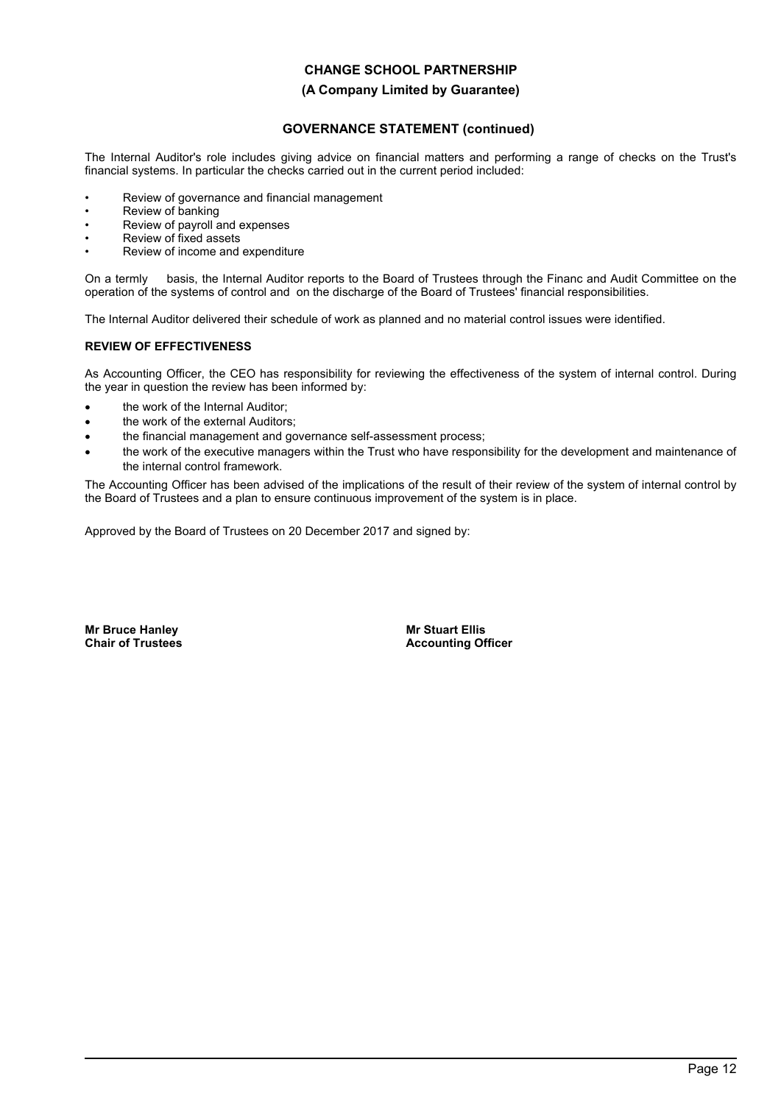### **(A Company Limited by Guarantee)**

## **GOVERNANCE STATEMENT (continued)**

The Internal Auditor's role includes giving advice on financial matters and performing a range of checks on the Trust's financial systems. In particular the checks carried out in the current period included:

- Review of governance and financial management
- Review of banking
- Review of payroll and expenses
- Review of fixed assets
- Review of income and expenditure

On a termly basis, the Internal Auditor reports to the Board of Trustees through the Financ and Audit Committee on the operation of the systems of control and on the discharge of the Board of Trustees' financial responsibilities.

The Internal Auditor delivered their schedule of work as planned and no material control issues were identified.

### **REVIEW OF EFFECTIVENESS**

As Accounting Officer, the CEO has responsibility for reviewing the effectiveness of the system of internal control. During the year in question the review has been informed by:

- the work of the Internal Auditor;
- the work of the external Auditors;
- the financial management and governance self-assessment process;
- the work of the executive managers within the Trust who have responsibility for the development and maintenance of the internal control framework.

The Accounting Officer has been advised of the implications of the result of their review of the system of internal control by the Board of Trustees and a plan to ensure continuous improvement of the system is in place.

Approved by the Board of Trustees on 20 December 2017 and signed by:

**Mr Bruce Hanley Chair of Trustees** **Mr Stuart Ellis Accounting Officer**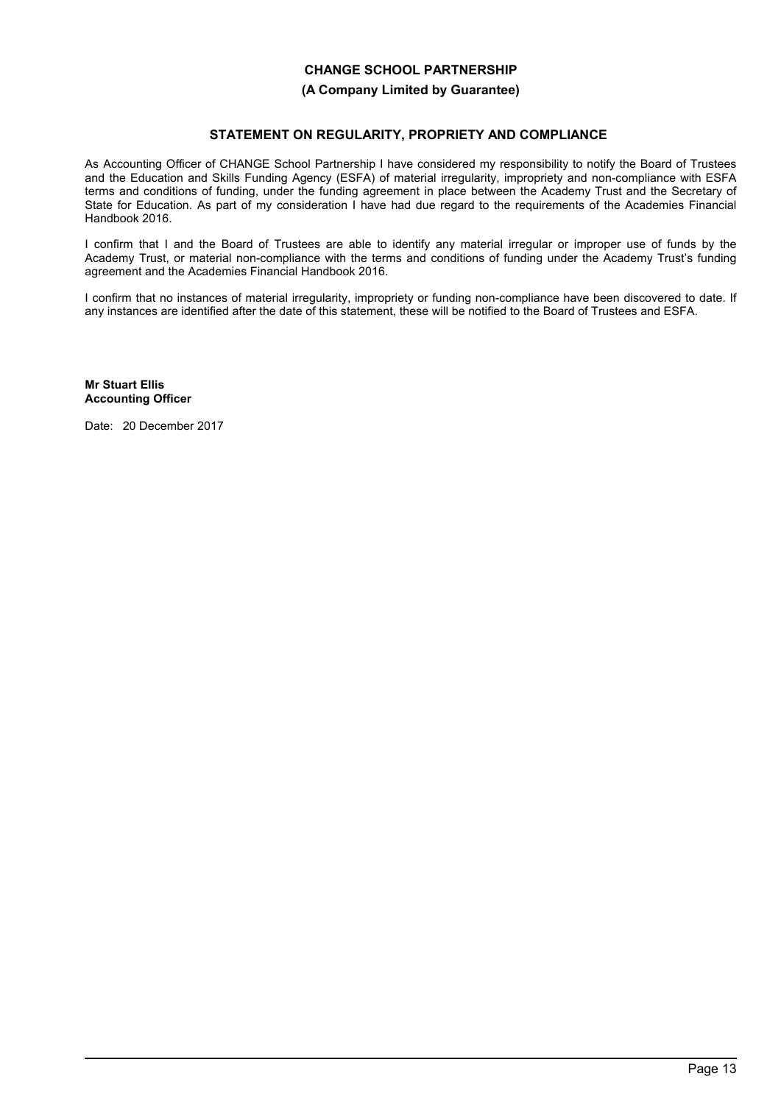## **(A Company Limited by Guarantee)**

## **STATEMENT ON REGULARITY, PROPRIETY AND COMPLIANCE**

As Accounting Officer of CHANGE School Partnership I have considered my responsibility to notify the Board of Trustees and the Education and Skills Funding Agency (ESFA) of material irregularity, impropriety and non-compliance with ESFA terms and conditions of funding, under the funding agreement in place between the Academy Trust and the Secretary of State for Education. As part of my consideration I have had due regard to the requirements of the Academies Financial Handbook 2016.

I confirm that I and the Board of Trustees are able to identify any material irregular or improper use of funds by the Academy Trust, or material non-compliance with the terms and conditions of funding under the Academy Trust's funding agreement and the Academies Financial Handbook 2016.

I confirm that no instances of material irregularity, impropriety or funding non-compliance have been discovered to date. If any instances are identified after the date of this statement, these will be notified to the Board of Trustees and ESFA.

**Mr Stuart Ellis Accounting Officer**

Date: 20 December 2017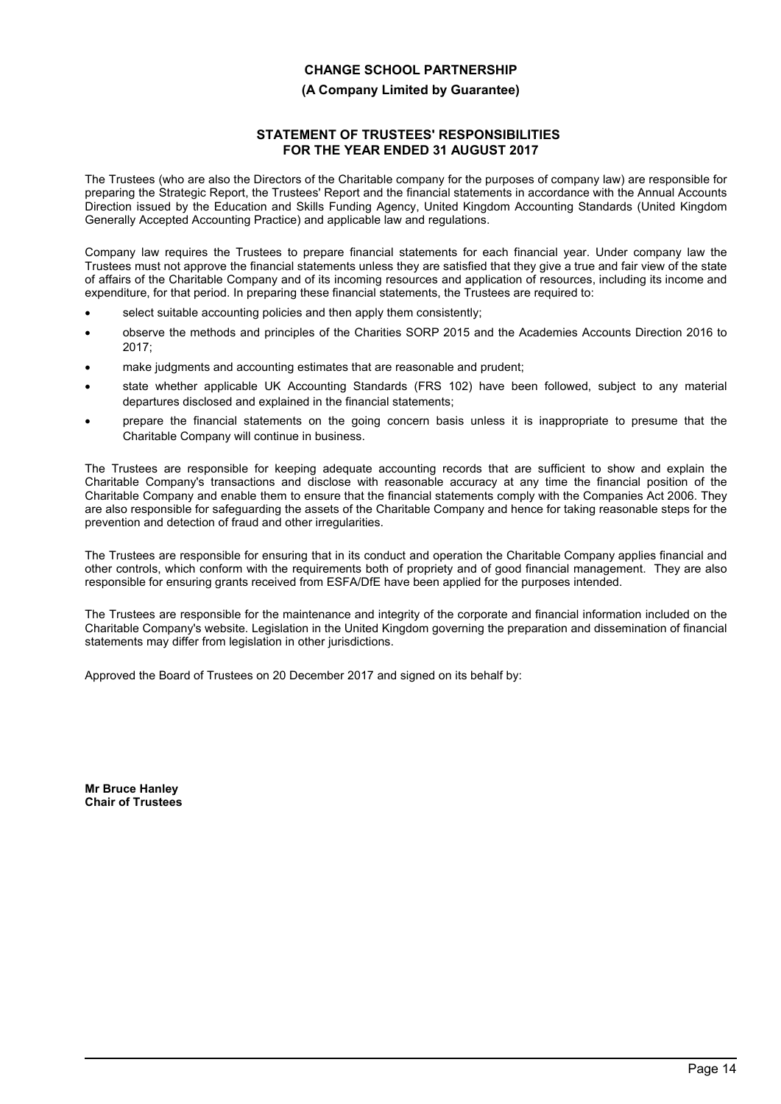## **(A Company Limited by Guarantee)**

## **STATEMENT OF TRUSTEES' RESPONSIBILITIES FOR THE YEAR ENDED 31 AUGUST 2017**

The Trustees (who are also the Directors of the Charitable company for the purposes of company law) are responsible for preparing the Strategic Report, the Trustees' Report and the financial statements in accordance with the Annual Accounts Direction issued by the Education and Skills Funding Agency, United Kingdom Accounting Standards (United Kingdom Generally Accepted Accounting Practice) and applicable law and regulations.

Company law requires the Trustees to prepare financial statements for each financial year. Under company law the Trustees must not approve the financial statements unless they are satisfied that they give a true and fair view of the state of affairs of the Charitable Company and of its incoming resources and application of resources, including its income and expenditure, for that period. In preparing these financial statements, the Trustees are required to:

- select suitable accounting policies and then apply them consistently;
- observe the methods and principles of the Charities SORP 2015 and the Academies Accounts Direction 2016 to 2017;
- make judgments and accounting estimates that are reasonable and prudent;
- state whether applicable UK Accounting Standards (FRS 102) have been followed, subject to any material departures disclosed and explained in the financial statements;
- prepare the financial statements on the going concern basis unless it is inappropriate to presume that the Charitable Company will continue in business.

The Trustees are responsible for keeping adequate accounting records that are sufficient to show and explain the Charitable Company's transactions and disclose with reasonable accuracy at any time the financial position of the Charitable Company and enable them to ensure that the financial statements comply with the Companies Act 2006. They are also responsible for safeguarding the assets of the Charitable Company and hence for taking reasonable steps for the prevention and detection of fraud and other irregularities.

The Trustees are responsible for ensuring that in its conduct and operation the Charitable Company applies financial and other controls, which conform with the requirements both of propriety and of good financial management. They are also responsible for ensuring grants received from ESFA/DfE have been applied for the purposes intended.

The Trustees are responsible for the maintenance and integrity of the corporate and financial information included on the Charitable Company's website. Legislation in the United Kingdom governing the preparation and dissemination of financial statements may differ from legislation in other jurisdictions.

Approved the Board of Trustees on 20 December 2017 and signed on its behalf by:

**Mr Bruce Hanley Chair of Trustees**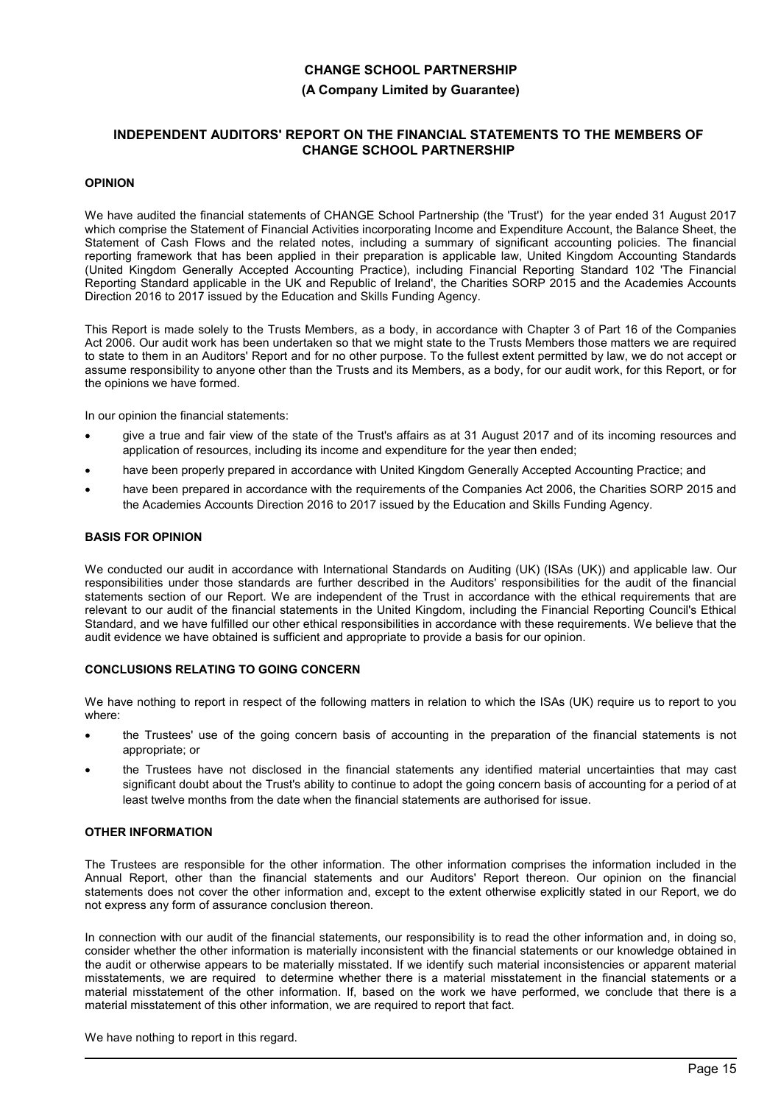### **(A Company Limited by Guarantee)**

### **INDEPENDENT AUDITORS' REPORT ON THE FINANCIAL STATEMENTS TO THE MEMBERS OF CHANGE SCHOOL PARTNERSHIP**

#### **OPINION**

We have audited the financial statements of CHANGE School Partnership (the 'Trust') for the year ended 31 August 2017 which comprise the Statement of Financial Activities incorporating Income and Expenditure Account, the Balance Sheet, the Statement of Cash Flows and the related notes, including a summary of significant accounting policies. The financial reporting framework that has been applied in their preparation is applicable law, United Kingdom Accounting Standards (United Kingdom Generally Accepted Accounting Practice), including Financial Reporting Standard 102 'The Financial Reporting Standard applicable in the UK and Republic of Ireland', the Charities SORP 2015 and the Academies Accounts Direction 2016 to 2017 issued by the Education and Skills Funding Agency.

This Report is made solely to the Trusts Members, as a body, in accordance with Chapter 3 of Part 16 of the Companies Act 2006. Our audit work has been undertaken so that we might state to the Trusts Members those matters we are required to state to them in an Auditors' Report and for no other purpose. To the fullest extent permitted by law, we do not accept or assume responsibility to anyone other than the Trusts and its Members, as a body, for our audit work, for this Report, or for the opinions we have formed.

In our opinion the financial statements:

- give a true and fair view of the state of the Trust's affairs as at 31 August 2017 and of its incoming resources and application of resources, including its income and expenditure for the year then ended;
- have been properly prepared in accordance with United Kingdom Generally Accepted Accounting Practice; and
- have been prepared in accordance with the requirements of the Companies Act 2006, the Charities SORP 2015 and the Academies Accounts Direction 2016 to 2017 issued by the Education and Skills Funding Agency.

#### **BASIS FOR OPINION**

We conducted our audit in accordance with International Standards on Auditing (UK) (ISAs (UK)) and applicable law. Our responsibilities under those standards are further described in the Auditors' responsibilities for the audit of the financial statements section of our Report. We are independent of the Trust in accordance with the ethical requirements that are relevant to our audit of the financial statements in the United Kingdom, including the Financial Reporting Council's Ethical Standard, and we have fulfilled our other ethical responsibilities in accordance with these requirements. We believe that the audit evidence we have obtained is sufficient and appropriate to provide a basis for our opinion.

#### **CONCLUSIONS RELATING TO GOING CONCERN**

We have nothing to report in respect of the following matters in relation to which the ISAs (UK) require us to report to you where:

- the Trustees' use of the going concern basis of accounting in the preparation of the financial statements is not appropriate; or
- the Trustees have not disclosed in the financial statements any identified material uncertainties that may cast significant doubt about the Trust's ability to continue to adopt the going concern basis of accounting for a period of at least twelve months from the date when the financial statements are authorised for issue.

#### **OTHER INFORMATION**

The Trustees are responsible for the other information. The other information comprises the information included in the Annual Report, other than the financial statements and our Auditors' Report thereon. Our opinion on the financial statements does not cover the other information and, except to the extent otherwise explicitly stated in our Report, we do not express any form of assurance conclusion thereon.

In connection with our audit of the financial statements, our responsibility is to read the other information and, in doing so, consider whether the other information is materially inconsistent with the financial statements or our knowledge obtained in the audit or otherwise appears to be materially misstated. If we identify such material inconsistencies or apparent material misstatements, we are required to determine whether there is a material misstatement in the financial statements or a material misstatement of the other information. If, based on the work we have performed, we conclude that there is a material misstatement of this other information, we are required to report that fact.

We have nothing to report in this regard.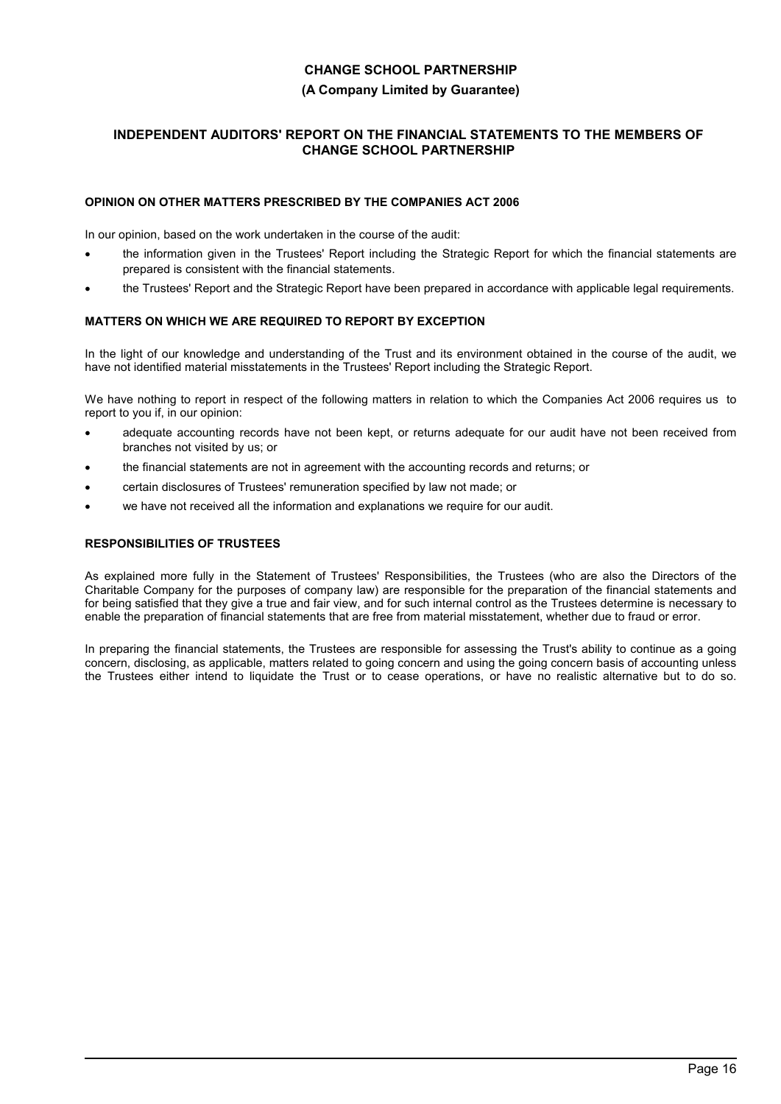## **(A Company Limited by Guarantee)**

## **INDEPENDENT AUDITORS' REPORT ON THE FINANCIAL STATEMENTS TO THE MEMBERS OF CHANGE SCHOOL PARTNERSHIP**

### **OPINION ON OTHER MATTERS PRESCRIBED BY THE COMPANIES ACT 2006**

In our opinion, based on the work undertaken in the course of the audit:

- the information given in the Trustees' Report including the Strategic Report for which the financial statements are prepared is consistent with the financial statements.
- the Trustees' Report and the Strategic Report have been prepared in accordance with applicable legal requirements.

### **MATTERS ON WHICH WE ARE REQUIRED TO REPORT BY EXCEPTION**

In the light of our knowledge and understanding of the Trust and its environment obtained in the course of the audit, we have not identified material misstatements in the Trustees' Report including the Strategic Report.

We have nothing to report in respect of the following matters in relation to which the Companies Act 2006 requires us to report to you if, in our opinion:

- adequate accounting records have not been kept, or returns adequate for our audit have not been received from branches not visited by us; or
- the financial statements are not in agreement with the accounting records and returns; or
- certain disclosures of Trustees' remuneration specified by law not made; or
- we have not received all the information and explanations we require for our audit.

## **RESPONSIBILITIES OF TRUSTEES**

As explained more fully in the Statement of Trustees' Responsibilities, the Trustees (who are also the Directors of the Charitable Company for the purposes of company law) are responsible for the preparation of the financial statements and for being satisfied that they give a true and fair view, and for such internal control as the Trustees determine is necessary to enable the preparation of financial statements that are free from material misstatement, whether due to fraud or error.

In preparing the financial statements, the Trustees are responsible for assessing the Trust's ability to continue as a going concern, disclosing, as applicable, matters related to going concern and using the going concern basis of accounting unless the Trustees either intend to liquidate the Trust or to cease operations, or have no realistic alternative but to do so.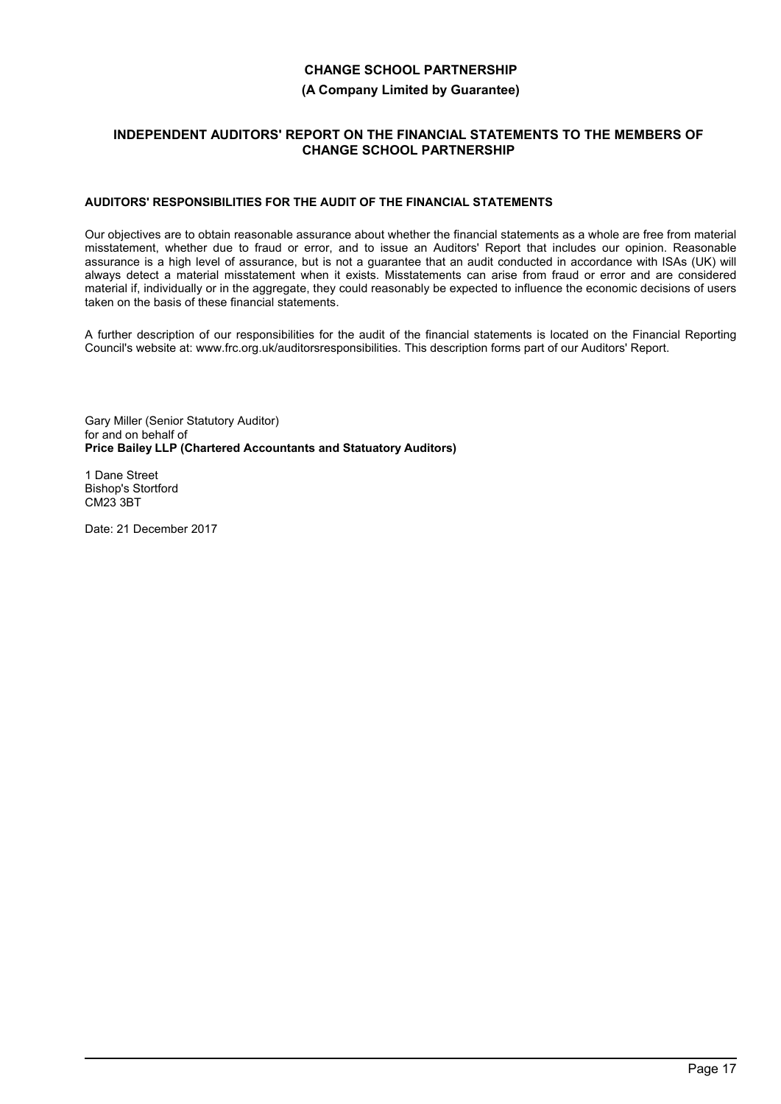### **(A Company Limited by Guarantee)**

## **INDEPENDENT AUDITORS' REPORT ON THE FINANCIAL STATEMENTS TO THE MEMBERS OF CHANGE SCHOOL PARTNERSHIP**

## **AUDITORS' RESPONSIBILITIES FOR THE AUDIT OF THE FINANCIAL STATEMENTS**

Our objectives are to obtain reasonable assurance about whether the financial statements as a whole are free from material misstatement, whether due to fraud or error, and to issue an Auditors' Report that includes our opinion. Reasonable assurance is a high level of assurance, but is not a guarantee that an audit conducted in accordance with ISAs (UK) will always detect a material misstatement when it exists. Misstatements can arise from fraud or error and are considered material if, individually or in the aggregate, they could reasonably be expected to influence the economic decisions of users taken on the basis of these financial statements.

A further description of our responsibilities for the audit of the financial statements is located on the Financial Reporting Council's website at: www.frc.org.uk/auditorsresponsibilities. This description forms part of our Auditors' Report.

Gary Miller (Senior Statutory Auditor) for and on behalf of **Price Bailey LLP (Chartered Accountants and Statuatory Auditors)** 

1 Dane Street Bishop's Stortford CM23 3BT

Date: 21 December 2017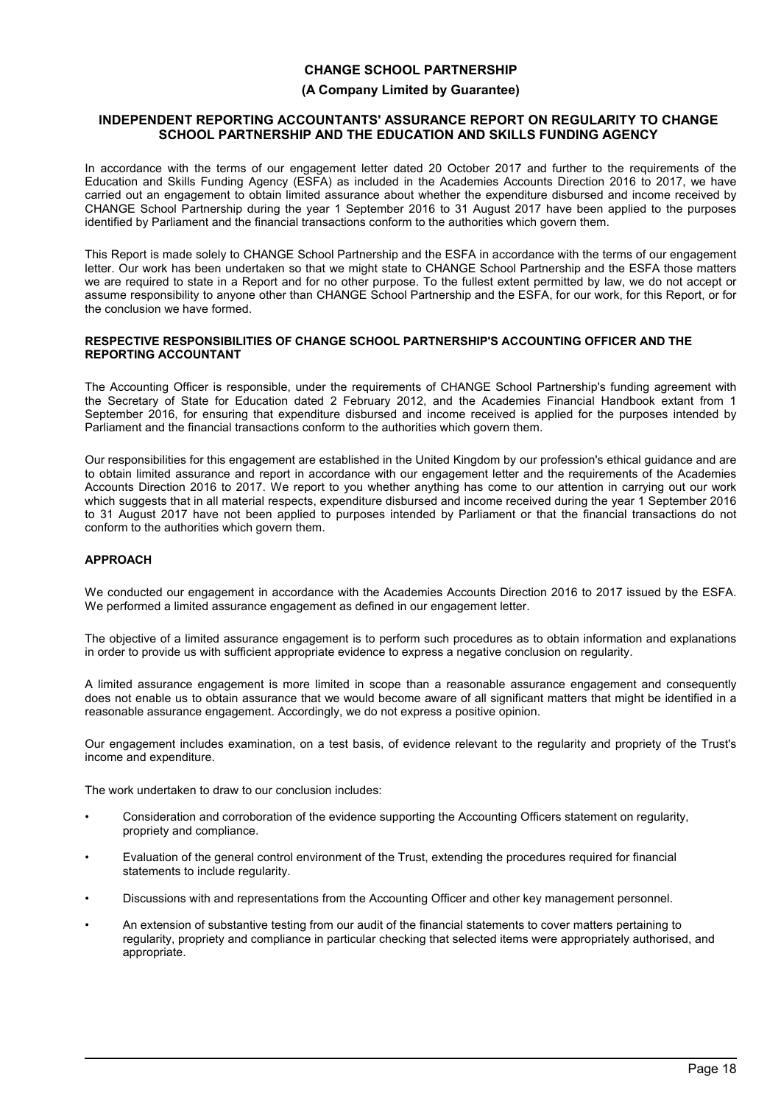## **(A Company Limited by Guarantee)**

#### **INDEPENDENT REPORTING ACCOUNTANTS' ASSURANCE REPORT ON REGULARITY TO CHANGE SCHOOL PARTNERSHIP AND THE EDUCATION AND SKILLS FUNDING AGENCY**

In accordance with the terms of our engagement letter dated 20 October 2017 and further to the requirements of the Education and Skills Funding Agency (ESFA) as included in the Academies Accounts Direction 2016 to 2017, we have carried out an engagement to obtain limited assurance about whether the expenditure disbursed and income received by CHANGE School Partnership during the year 1 September 2016 to 31 August 2017 have been applied to the purposes identified by Parliament and the financial transactions conform to the authorities which govern them.

This Report is made solely to CHANGE School Partnership and the ESFA in accordance with the terms of our engagement letter. Our work has been undertaken so that we might state to CHANGE School Partnership and the ESFA those matters we are required to state in a Report and for no other purpose. To the fullest extent permitted by law, we do not accept or assume responsibility to anyone other than CHANGE School Partnership and the ESFA, for our work, for this Report, or for the conclusion we have formed.

#### **RESPECTIVE RESPONSIBILITIES OF CHANGE SCHOOL PARTNERSHIP'S ACCOUNTING OFFICER AND THE REPORTING ACCOUNTANT**

The Accounting Officer is responsible, under the requirements of CHANGE School Partnership's funding agreement with the Secretary of State for Education dated 2 February 2012, and the Academies Financial Handbook extant from 1 September 2016, for ensuring that expenditure disbursed and income received is applied for the purposes intended by Parliament and the financial transactions conform to the authorities which govern them.

Our responsibilities for this engagement are established in the United Kingdom by our profession's ethical guidance and are to obtain limited assurance and report in accordance with our engagement letter and the requirements of the Academies Accounts Direction 2016 to 2017. We report to you whether anything has come to our attention in carrying out our work which suggests that in all material respects, expenditure disbursed and income received during the year 1 September 2016 to 31 August 2017 have not been applied to purposes intended by Parliament or that the financial transactions do not conform to the authorities which govern them.

### **APPROACH**

We conducted our engagement in accordance with the Academies Accounts Direction 2016 to 2017 issued by the ESFA. We performed a limited assurance engagement as defined in our engagement letter.

The objective of a limited assurance engagement is to perform such procedures as to obtain information and explanations in order to provide us with sufficient appropriate evidence to express a negative conclusion on regularity.

A limited assurance engagement is more limited in scope than a reasonable assurance engagement and consequently does not enable us to obtain assurance that we would become aware of all significant matters that might be identified in a reasonable assurance engagement. Accordingly, we do not express a positive opinion.

Our engagement includes examination, on a test basis, of evidence relevant to the regularity and propriety of the Trust's income and expenditure.

The work undertaken to draw to our conclusion includes:

- Consideration and corroboration of the evidence supporting the Accounting Officers statement on regularity, propriety and compliance.
- Evaluation of the general control environment of the Trust, extending the procedures required for financial statements to include regularity.
- Discussions with and representations from the Accounting Officer and other key management personnel.
- An extension of substantive testing from our audit of the financial statements to cover matters pertaining to regularity, propriety and compliance in particular checking that selected items were appropriately authorised, and appropriate.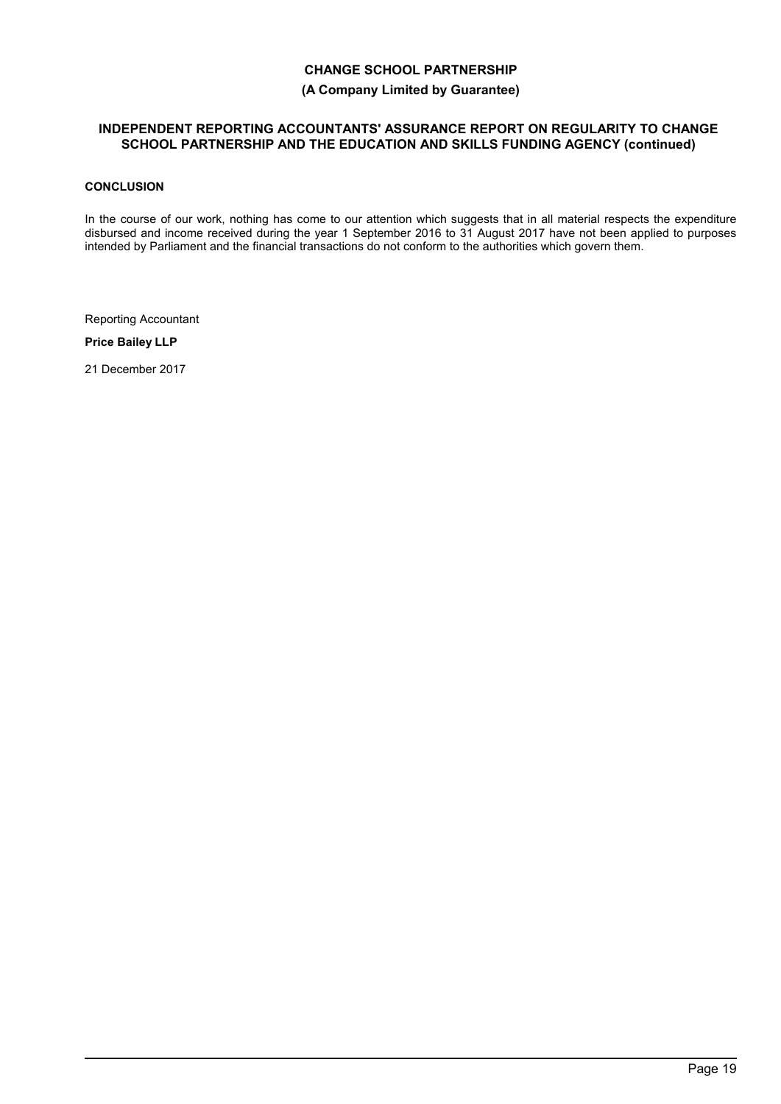## **(A Company Limited by Guarantee)**

## **INDEPENDENT REPORTING ACCOUNTANTS' ASSURANCE REPORT ON REGULARITY TO CHANGE SCHOOL PARTNERSHIP AND THE EDUCATION AND SKILLS FUNDING AGENCY (continued)**

# **CONCLUSION**

In the course of our work, nothing has come to our attention which suggests that in all material respects the expenditure disbursed and income received during the year 1 September 2016 to 31 August 2017 have not been applied to purposes intended by Parliament and the financial transactions do not conform to the authorities which govern them.

Reporting Accountant

**Price Bailey LLP**

21 December 2017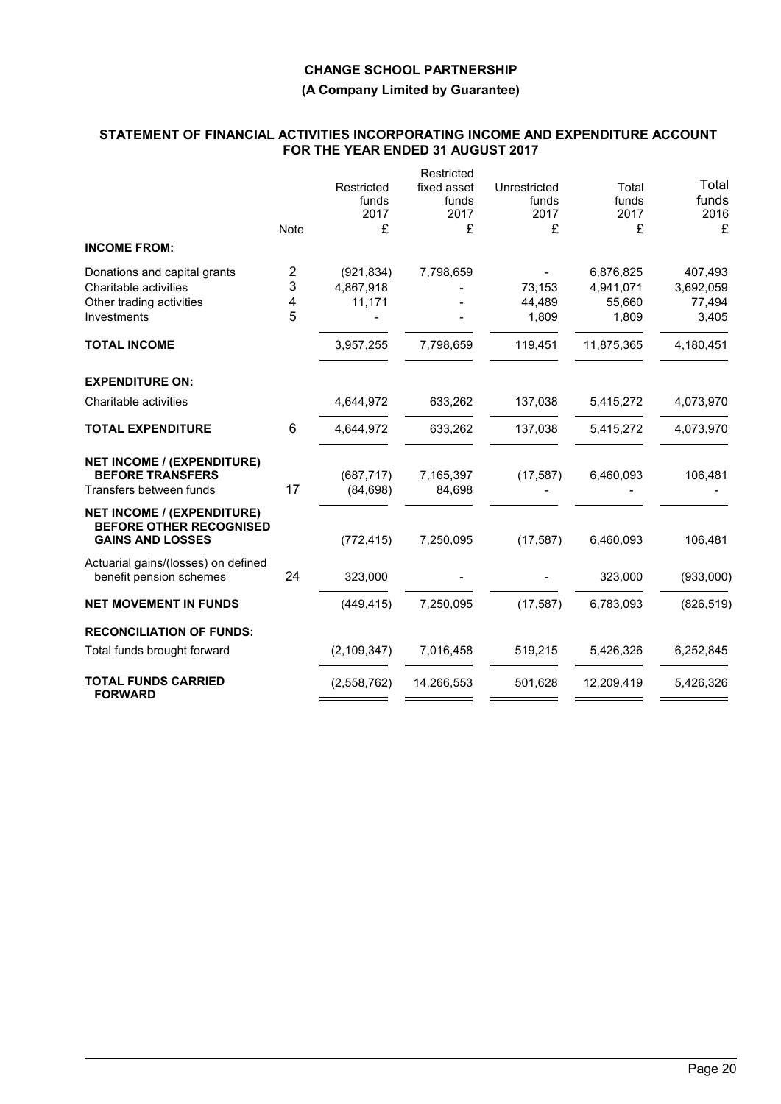## **(A Company Limited by Guarantee)**

### **STATEMENT OF FINANCIAL ACTIVITIES INCORPORATING INCOME AND EXPENDITURE ACCOUNT FOR THE YEAR ENDED 31 AUGUST 2017**

|                                                                                                |             |                             | Restricted                   |                               |                        |                        |
|------------------------------------------------------------------------------------------------|-------------|-----------------------------|------------------------------|-------------------------------|------------------------|------------------------|
|                                                                                                |             | Restricted<br>funds<br>2017 | fixed asset<br>funds<br>2017 | Unrestricted<br>funds<br>2017 | Total<br>funds<br>2017 | Total<br>funds<br>2016 |
|                                                                                                | <b>Note</b> | £                           | £                            | £                             | £                      | £                      |
| <b>INCOME FROM:</b>                                                                            |             |                             |                              |                               |                        |                        |
| Donations and capital grants                                                                   | 2           | (921, 834)                  | 7,798,659                    |                               | 6,876,825              | 407,493                |
| Charitable activities                                                                          | 3           | 4,867,918                   |                              | 73,153                        | 4,941,071              | 3,692,059              |
| Other trading activities                                                                       | 4           | 11,171                      |                              | 44,489                        | 55,660                 | 77,494                 |
| Investments                                                                                    | 5           |                             |                              | 1,809                         | 1,809                  | 3,405                  |
| <b>TOTAL INCOME</b>                                                                            |             | 3,957,255                   | 7,798,659                    | 119,451                       | 11,875,365             | 4,180,451              |
| <b>EXPENDITURE ON:</b>                                                                         |             |                             |                              |                               |                        |                        |
| Charitable activities                                                                          |             | 4,644,972                   | 633,262                      | 137,038                       | 5,415,272              | 4,073,970              |
| <b>TOTAL EXPENDITURE</b>                                                                       | 6           | 4,644,972                   | 633,262                      | 137,038                       | 5,415,272              | 4,073,970              |
| <b>NET INCOME / (EXPENDITURE)</b><br><b>BEFORE TRANSFERS</b><br>Transfers between funds        | 17          | (687, 717)                  | 7,165,397                    | (17, 587)                     | 6,460,093              | 106,481                |
|                                                                                                |             | (84, 698)                   | 84,698                       |                               |                        |                        |
| <b>NET INCOME / (EXPENDITURE)</b><br><b>BEFORE OTHER RECOGNISED</b><br><b>GAINS AND LOSSES</b> |             | (772, 415)                  | 7,250,095                    | (17, 587)                     | 6,460,093              | 106,481                |
| Actuarial gains/(losses) on defined<br>benefit pension schemes                                 | 24          | 323,000                     |                              |                               | 323,000                | (933,000)              |
| <b>NET MOVEMENT IN FUNDS</b>                                                                   |             | (449, 415)                  | 7,250,095                    | (17, 587)                     | 6,783,093              | (826, 519)             |
| <b>RECONCILIATION OF FUNDS:</b>                                                                |             |                             |                              |                               |                        |                        |
| Total funds brought forward                                                                    |             | (2, 109, 347)               | 7,016,458                    | 519,215                       | 5,426,326              | 6,252,845              |
| <b>TOTAL FUNDS CARRIED</b><br><b>FORWARD</b>                                                   |             | (2,558,762)                 | 14,266,553                   | 501,628                       | 12,209,419             | 5,426,326              |
|                                                                                                |             |                             |                              |                               |                        |                        |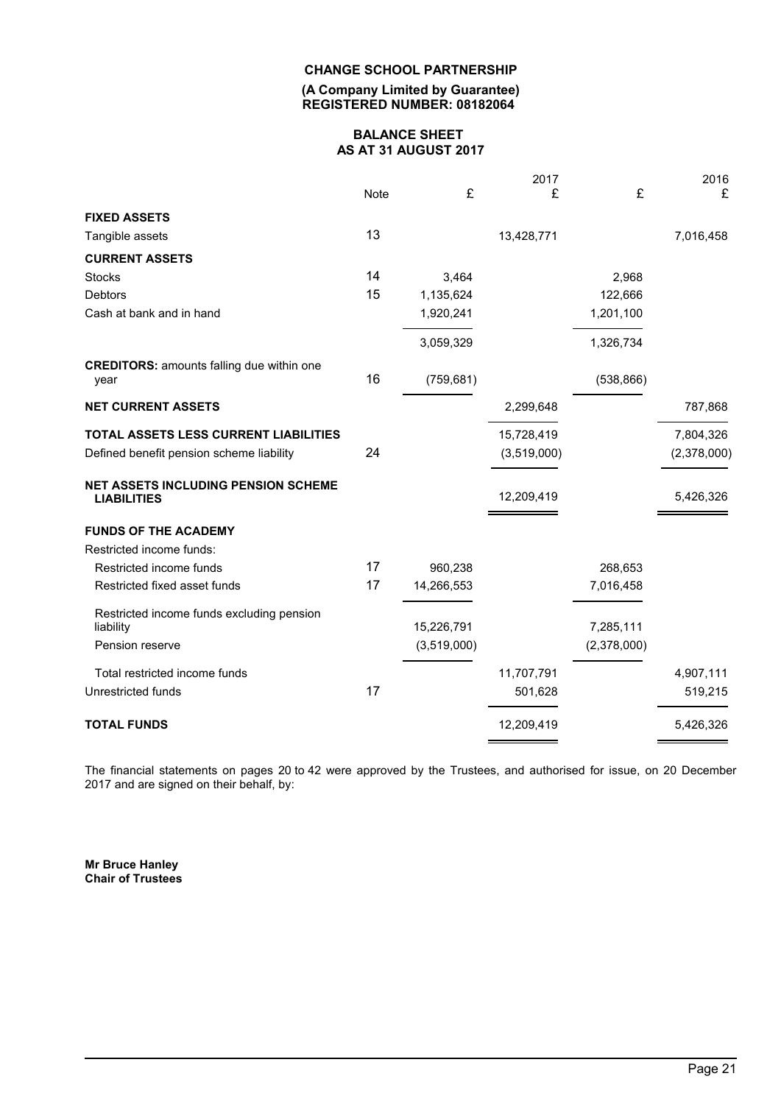#### **(A Company Limited by Guarantee) REGISTERED NUMBER: 08182064**

## **BALANCE SHEET AS AT 31 AUGUST 2017**

|                                                                  |             |             | 2017        |             | 2016        |
|------------------------------------------------------------------|-------------|-------------|-------------|-------------|-------------|
|                                                                  | <b>Note</b> | £           | £           | £           | £           |
| <b>FIXED ASSETS</b>                                              |             |             |             |             |             |
| Tangible assets                                                  | 13          |             | 13,428,771  |             | 7,016,458   |
| <b>CURRENT ASSETS</b>                                            |             |             |             |             |             |
| <b>Stocks</b>                                                    | 14          | 3,464       |             | 2,968       |             |
| Debtors                                                          | 15          | 1,135,624   |             | 122,666     |             |
| Cash at bank and in hand                                         |             | 1,920,241   |             | 1,201,100   |             |
|                                                                  |             | 3,059,329   |             | 1,326,734   |             |
| <b>CREDITORS:</b> amounts falling due within one                 |             |             |             |             |             |
| year                                                             | 16          | (759, 681)  |             | (538, 866)  |             |
| <b>NET CURRENT ASSETS</b>                                        |             |             | 2,299,648   |             | 787,868     |
| TOTAL ASSETS LESS CURRENT LIABILITIES                            |             |             | 15,728,419  |             | 7,804,326   |
| Defined benefit pension scheme liability                         | 24          |             | (3,519,000) |             | (2,378,000) |
| <b>NET ASSETS INCLUDING PENSION SCHEME</b><br><b>LIABILITIES</b> |             |             | 12,209,419  |             | 5,426,326   |
| <b>FUNDS OF THE ACADEMY</b>                                      |             |             |             |             |             |
| Restricted income funds:                                         |             |             |             |             |             |
| Restricted income funds                                          | 17          | 960,238     |             | 268,653     |             |
| Restricted fixed asset funds                                     | 17          | 14,266,553  |             | 7,016,458   |             |
| Restricted income funds excluding pension<br>liability           |             | 15,226,791  |             | 7,285,111   |             |
| Pension reserve                                                  |             | (3,519,000) |             | (2,378,000) |             |
|                                                                  |             |             |             |             |             |
| Total restricted income funds                                    |             |             | 11,707,791  |             | 4,907,111   |
| Unrestricted funds                                               | 17          |             | 501,628     |             | 519,215     |
| <b>TOTAL FUNDS</b>                                               |             |             | 12,209,419  |             | 5,426,326   |
|                                                                  |             |             |             |             |             |

The financial statements on pages 20 to 42 were approved by the Trustees, and authorised for issue, on 20 December 2017 and are signed on their behalf, by:

**Mr Bruce Hanley Chair of Trustees**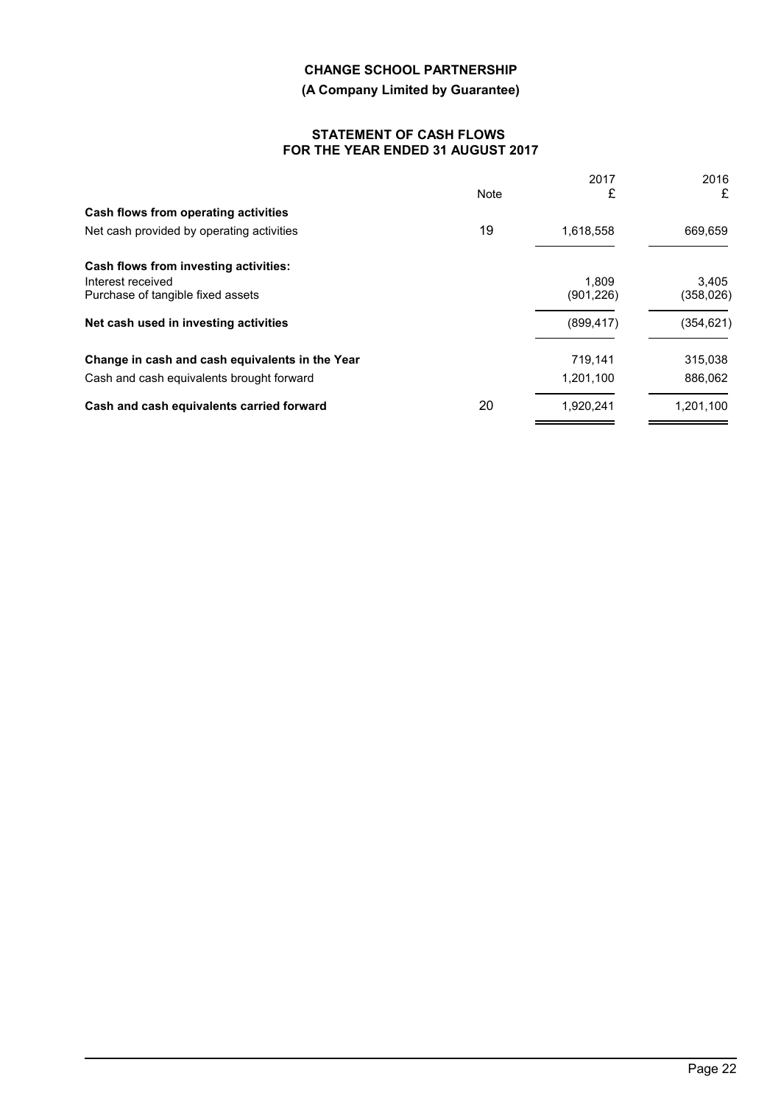# **(A Company Limited by Guarantee)**

## **STATEMENT OF CASH FLOWS FOR THE YEAR ENDED 31 AUGUST 2017**

|      | 2017       | 2016               |
|------|------------|--------------------|
| Note | £          | £                  |
|      |            |                    |
| 19   | 1,618,558  | 669,659            |
|      |            |                    |
|      | 1.809      | 3.405<br>(358,026) |
|      |            |                    |
|      | (899, 417) | (354, 621)         |
|      | 719.141    | 315,038            |
|      | 1,201,100  | 886,062            |
| 20   | 1.920.241  | 1.201.100          |
|      |            | (901,226)          |

 $\overline{\phantom{0}}$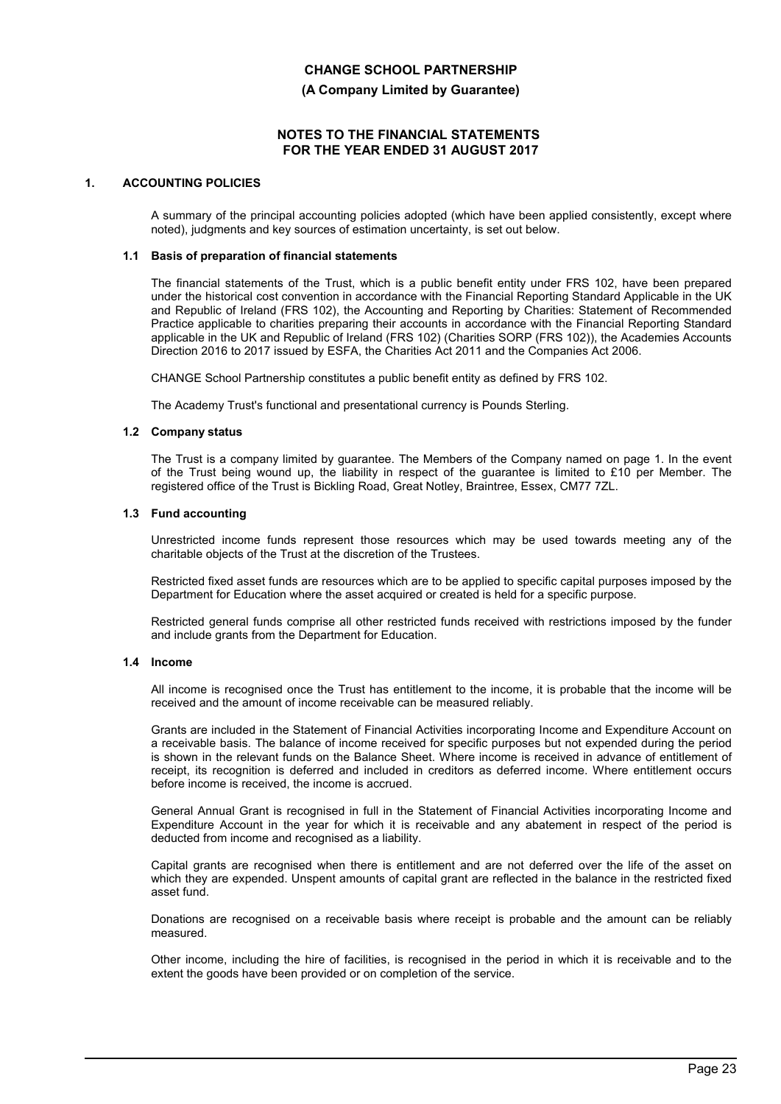#### **(A Company Limited by Guarantee)**

#### **NOTES TO THE FINANCIAL STATEMENTS FOR THE YEAR ENDED 31 AUGUST 2017**

### **1. ACCOUNTING POLICIES**

A summary of the principal accounting policies adopted (which have been applied consistently, except where noted), judgments and key sources of estimation uncertainty, is set out below.

#### **1.1 Basis of preparation of financial statements**

The financial statements of the Trust, which is a public benefit entity under FRS 102, have been prepared under the historical cost convention in accordance with the Financial Reporting Standard Applicable in the UK and Republic of Ireland (FRS 102), the Accounting and Reporting by Charities: Statement of Recommended Practice applicable to charities preparing their accounts in accordance with the Financial Reporting Standard applicable in the UK and Republic of Ireland (FRS 102) (Charities SORP (FRS 102)), the Academies Accounts Direction 2016 to 2017 issued by ESFA, the Charities Act 2011 and the Companies Act 2006.

CHANGE School Partnership constitutes a public benefit entity as defined by FRS 102.

The Academy Trust's functional and presentational currency is Pounds Sterling.

#### **1.2 Company status**

The Trust is a company limited by guarantee. The Members of the Company named on page 1. In the event of the Trust being wound up, the liability in respect of the guarantee is limited to £10 per Member. The registered office of the Trust is Bickling Road, Great Notley, Braintree, Essex, CM77 7ZL.

#### **1.3 Fund accounting**

Unrestricted income funds represent those resources which may be used towards meeting any of the charitable objects of the Trust at the discretion of the Trustees.

Restricted fixed asset funds are resources which are to be applied to specific capital purposes imposed by the Department for Education where the asset acquired or created is held for a specific purpose.

Restricted general funds comprise all other restricted funds received with restrictions imposed by the funder and include grants from the Department for Education.

#### **1.4 Income**

All income is recognised once the Trust has entitlement to the income, it is probable that the income will be received and the amount of income receivable can be measured reliably.

Grants are included in the Statement of Financial Activities incorporating Income and Expenditure Account on a receivable basis. The balance of income received for specific purposes but not expended during the period is shown in the relevant funds on the Balance Sheet. Where income is received in advance of entitlement of receipt, its recognition is deferred and included in creditors as deferred income. Where entitlement occurs before income is received, the income is accrued.

General Annual Grant is recognised in full in the Statement of Financial Activities incorporating Income and Expenditure Account in the year for which it is receivable and any abatement in respect of the period is deducted from income and recognised as a liability.

Capital grants are recognised when there is entitlement and are not deferred over the life of the asset on which they are expended. Unspent amounts of capital grant are reflected in the balance in the restricted fixed asset fund.

Donations are recognised on a receivable basis where receipt is probable and the amount can be reliably measured.

Other income, including the hire of facilities, is recognised in the period in which it is receivable and to the extent the goods have been provided or on completion of the service.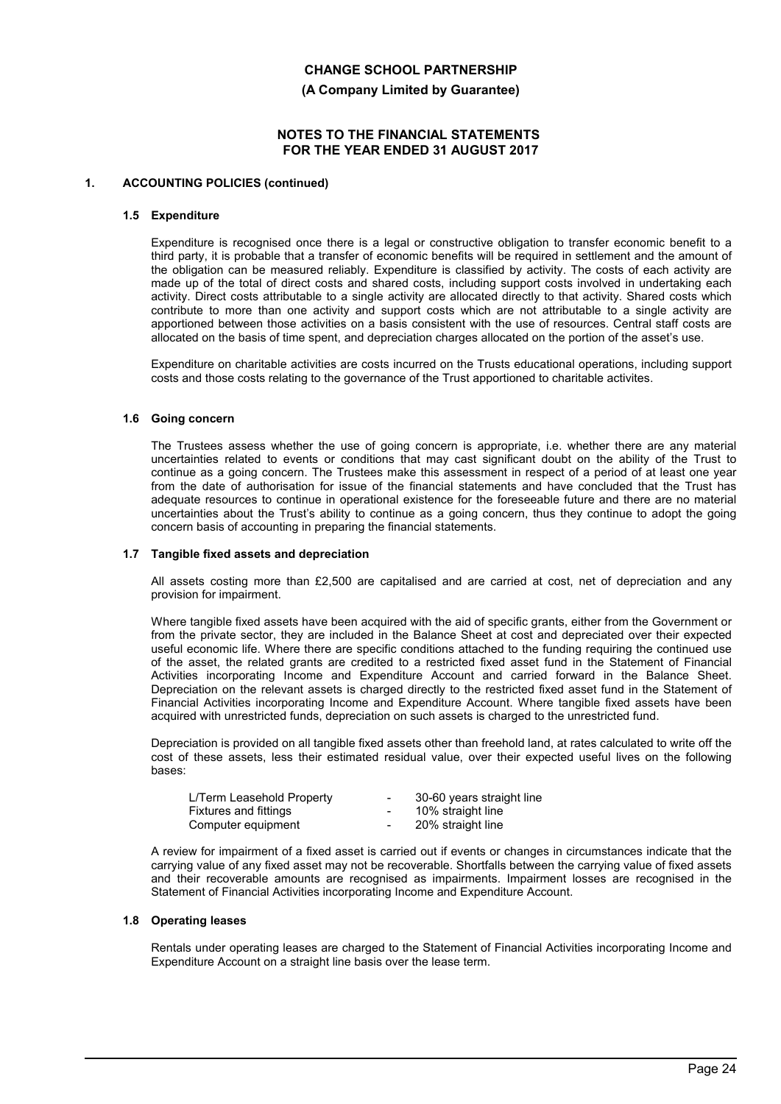**(A Company Limited by Guarantee)**

## **NOTES TO THE FINANCIAL STATEMENTS FOR THE YEAR ENDED 31 AUGUST 2017**

#### **1. ACCOUNTING POLICIES (continued)**

#### **1.5 Expenditure**

Expenditure is recognised once there is a legal or constructive obligation to transfer economic benefit to a third party, it is probable that a transfer of economic benefits will be required in settlement and the amount of the obligation can be measured reliably. Expenditure is classified by activity. The costs of each activity are made up of the total of direct costs and shared costs, including support costs involved in undertaking each activity. Direct costs attributable to a single activity are allocated directly to that activity. Shared costs which contribute to more than one activity and support costs which are not attributable to a single activity are apportioned between those activities on a basis consistent with the use of resources. Central staff costs are allocated on the basis of time spent, and depreciation charges allocated on the portion of the asset's use.

Expenditure on charitable activities are costs incurred on the Trusts educational operations, including support costs and those costs relating to the governance of the Trust apportioned to charitable activites.

#### **1.6 Going concern**

The Trustees assess whether the use of going concern is appropriate, i.e. whether there are any material uncertainties related to events or conditions that may cast significant doubt on the ability of the Trust to continue as a going concern. The Trustees make this assessment in respect of a period of at least one year from the date of authorisation for issue of the financial statements and have concluded that the Trust has adequate resources to continue in operational existence for the foreseeable future and there are no material uncertainties about the Trust's ability to continue as a going concern, thus they continue to adopt the going concern basis of accounting in preparing the financial statements.

#### **1.7 Tangible fixed assets and depreciation**

All assets costing more than £2,500 are capitalised and are carried at cost, net of depreciation and any provision for impairment.

Where tangible fixed assets have been acquired with the aid of specific grants, either from the Government or from the private sector, they are included in the Balance Sheet at cost and depreciated over their expected useful economic life. Where there are specific conditions attached to the funding requiring the continued use of the asset, the related grants are credited to a restricted fixed asset fund in the Statement of Financial Activities incorporating Income and Expenditure Account and carried forward in the Balance Sheet. Depreciation on the relevant assets is charged directly to the restricted fixed asset fund in the Statement of Financial Activities incorporating Income and Expenditure Account. Where tangible fixed assets have been acquired with unrestricted funds, depreciation on such assets is charged to the unrestricted fund.

Depreciation is provided on all tangible fixed assets other than freehold land, at rates calculated to write off the cost of these assets, less their estimated residual value, over their expected useful lives on the following bases:

| $\overline{\phantom{0}}$ | 30-60 years straight line |
|--------------------------|---------------------------|
| $\sim$                   | 10% straight line         |
| $\overline{\phantom{0}}$ | 20% straight line         |
|                          |                           |

A review for impairment of a fixed asset is carried out if events or changes in circumstances indicate that the carrying value of any fixed asset may not be recoverable. Shortfalls between the carrying value of fixed assets and their recoverable amounts are recognised as impairments. Impairment losses are recognised in the Statement of Financial Activities incorporating Income and Expenditure Account.

#### **1.8 Operating leases**

Rentals under operating leases are charged to the Statement of Financial Activities incorporating Income and Expenditure Account on a straight line basis over the lease term.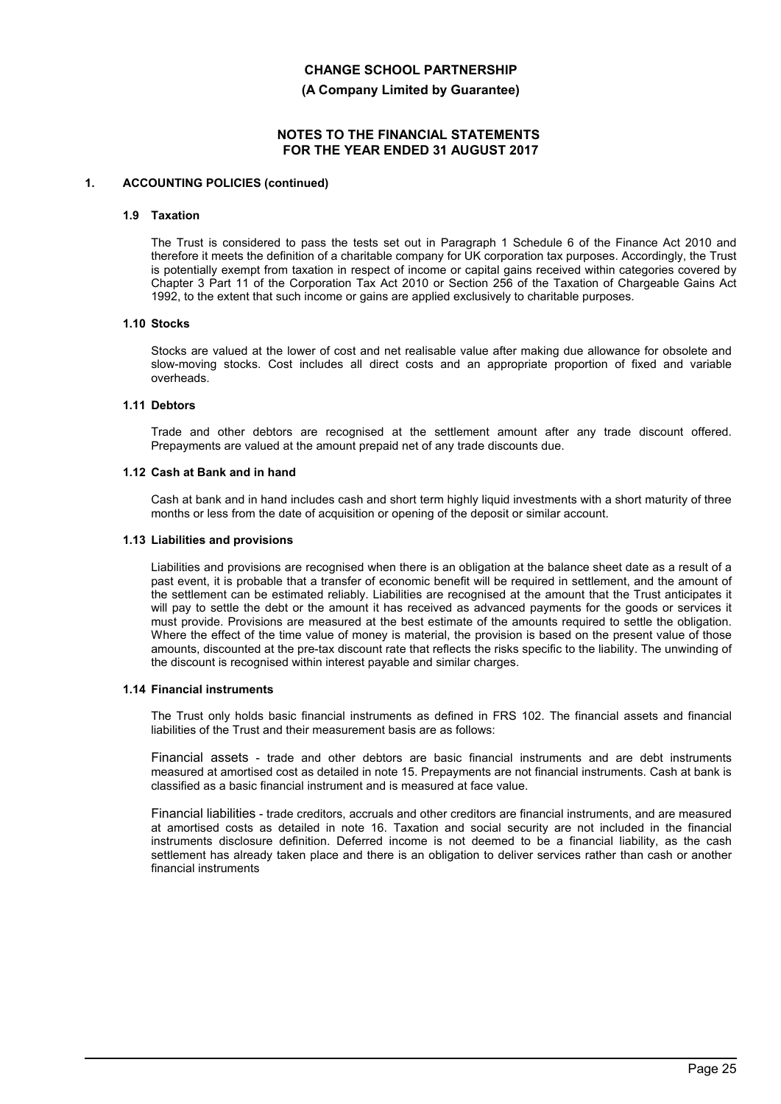**(A Company Limited by Guarantee)**

## **NOTES TO THE FINANCIAL STATEMENTS FOR THE YEAR ENDED 31 AUGUST 2017**

#### **1. ACCOUNTING POLICIES (continued)**

#### **1.9 Taxation**

The Trust is considered to pass the tests set out in Paragraph 1 Schedule 6 of the Finance Act 2010 and therefore it meets the definition of a charitable company for UK corporation tax purposes. Accordingly, the Trust is potentially exempt from taxation in respect of income or capital gains received within categories covered by Chapter 3 Part 11 of the Corporation Tax Act 2010 or Section 256 of the Taxation of Chargeable Gains Act 1992, to the extent that such income or gains are applied exclusively to charitable purposes.

#### **1.10 Stocks**

Stocks are valued at the lower of cost and net realisable value after making due allowance for obsolete and slow-moving stocks. Cost includes all direct costs and an appropriate proportion of fixed and variable overheads.

#### **1.11 Debtors**

Trade and other debtors are recognised at the settlement amount after any trade discount offered. Prepayments are valued at the amount prepaid net of any trade discounts due.

#### **1.12 Cash at Bank and in hand**

Cash at bank and in hand includes cash and short term highly liquid investments with a short maturity of three months or less from the date of acquisition or opening of the deposit or similar account.

#### **1.13 Liabilities and provisions**

Liabilities and provisions are recognised when there is an obligation at the balance sheet date as a result of a past event, it is probable that a transfer of economic benefit will be required in settlement, and the amount of the settlement can be estimated reliably. Liabilities are recognised at the amount that the Trust anticipates it will pay to settle the debt or the amount it has received as advanced payments for the goods or services it must provide. Provisions are measured at the best estimate of the amounts required to settle the obligation. Where the effect of the time value of money is material, the provision is based on the present value of those amounts, discounted at the pre-tax discount rate that reflects the risks specific to the liability. The unwinding of the discount is recognised within interest payable and similar charges.

#### **1.14 Financial instruments**

The Trust only holds basic financial instruments as defined in FRS 102. The financial assets and financial liabilities of the Trust and their measurement basis are as follows:

Financial assets - trade and other debtors are basic financial instruments and are debt instruments measured at amortised cost as detailed in note 15. Prepayments are not financial instruments. Cash at bank is classified as a basic financial instrument and is measured at face value.

Financial liabilities - trade creditors, accruals and other creditors are financial instruments, and are measured at amortised costs as detailed in note 16. Taxation and social security are not included in the financial instruments disclosure definition. Deferred income is not deemed to be a financial liability, as the cash settlement has already taken place and there is an obligation to deliver services rather than cash or another financial instruments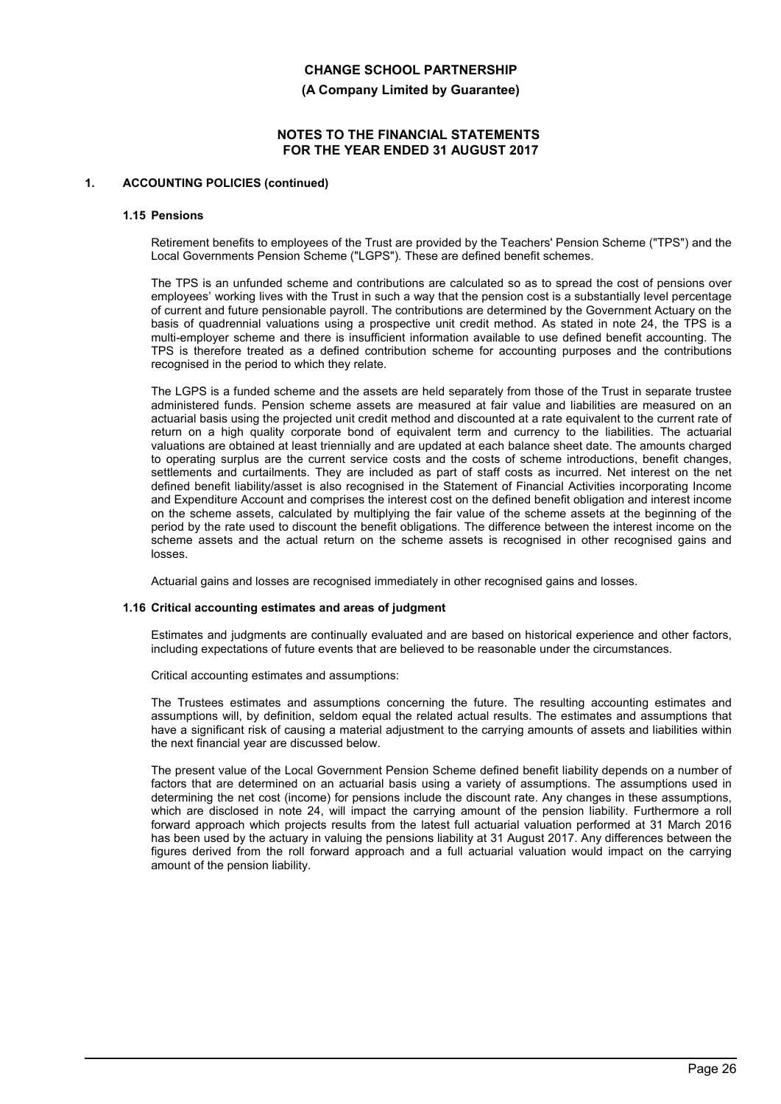**(A Company Limited by Guarantee)**

## **NOTES TO THE FINANCIAL STATEMENTS FOR THE YEAR ENDED 31 AUGUST 2017**

#### **1. ACCOUNTING POLICIES (continued)**

#### **1.15 Pensions**

Retirement benefits to employees of the Trust are provided by the Teachers' Pension Scheme ("TPS") and the Local Governments Pension Scheme ("LGPS"). These are defined benefit schemes.

The TPS is an unfunded scheme and contributions are calculated so as to spread the cost of pensions over employees' working lives with the Trust in such a way that the pension cost is a substantially level percentage of current and future pensionable payroll. The contributions are determined by the Government Actuary on the basis of quadrennial valuations using a prospective unit credit method. As stated in note 24, the TPS is a multi-employer scheme and there is insufficient information available to use defined benefit accounting. The TPS is therefore treated as a defined contribution scheme for accounting purposes and the contributions recognised in the period to which they relate.

The LGPS is a funded scheme and the assets are held separately from those of the Trust in separate trustee administered funds. Pension scheme assets are measured at fair value and liabilities are measured on an actuarial basis using the projected unit credit method and discounted at a rate equivalent to the current rate of return on a high quality corporate bond of equivalent term and currency to the liabilities. The actuarial valuations are obtained at least triennially and are updated at each balance sheet date. The amounts charged to operating surplus are the current service costs and the costs of scheme introductions, benefit changes, settlements and curtailments. They are included as part of staff costs as incurred. Net interest on the net defined benefit liability/asset is also recognised in the Statement of Financial Activities incorporating Income and Expenditure Account and comprises the interest cost on the defined benefit obligation and interest income on the scheme assets, calculated by multiplying the fair value of the scheme assets at the beginning of the period by the rate used to discount the benefit obligations. The difference between the interest income on the scheme assets and the actual return on the scheme assets is recognised in other recognised gains and losses.

Actuarial gains and losses are recognised immediately in other recognised gains and losses.

#### **1.16 Critical accounting estimates and areas of judgment**

Estimates and judgments are continually evaluated and are based on historical experience and other factors, including expectations of future events that are believed to be reasonable under the circumstances.

Critical accounting estimates and assumptions:

The Trustees estimates and assumptions concerning the future. The resulting accounting estimates and assumptions will, by definition, seldom equal the related actual results. The estimates and assumptions that have a significant risk of causing a material adjustment to the carrying amounts of assets and liabilities within the next financial year are discussed below.

The present value of the Local Government Pension Scheme defined benefit liability depends on a number of factors that are determined on an actuarial basis using a variety of assumptions. The assumptions used in determining the net cost (income) for pensions include the discount rate. Any changes in these assumptions, which are disclosed in note 24, will impact the carrying amount of the pension liability. Furthermore a roll forward approach which projects results from the latest full actuarial valuation performed at 31 March 2016 has been used by the actuary in valuing the pensions liability at 31 August 2017. Any differences between the figures derived from the roll forward approach and a full actuarial valuation would impact on the carrying amount of the pension liability.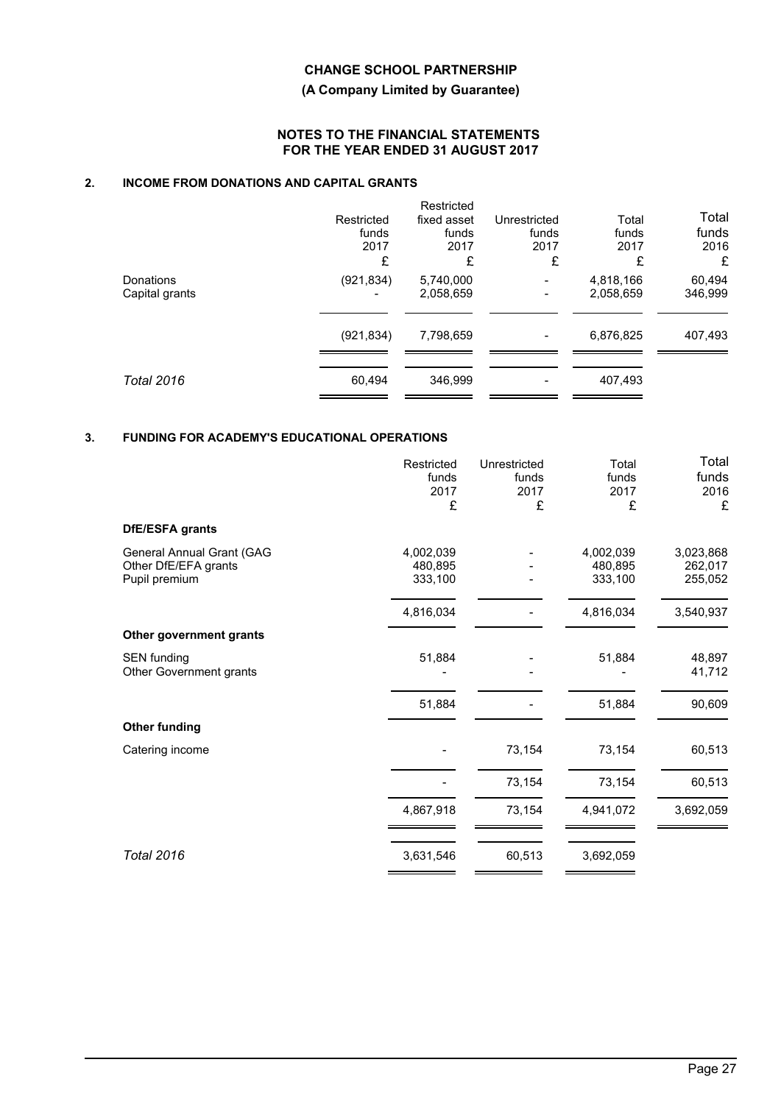## **(A Company Limited by Guarantee)**

## **NOTES TO THE FINANCIAL STATEMENTS FOR THE YEAR ENDED 31 AUGUST 2017**

# **2. INCOME FROM DONATIONS AND CAPITAL GRANTS**

|                             | Restricted<br>funds<br>2017<br>£ | Restricted<br>fixed asset<br>funds<br>2017<br>£ | Unrestricted<br>funds<br>2017<br>£ | Total<br>funds<br>2017<br>£ | Total<br>funds<br>2016<br>£ |
|-----------------------------|----------------------------------|-------------------------------------------------|------------------------------------|-----------------------------|-----------------------------|
| Donations<br>Capital grants | (921, 834)<br>-                  | 5,740,000<br>2,058,659                          | $\overline{\phantom{a}}$           | 4,818,166<br>2,058,659      | 60,494<br>346,999           |
|                             | (921, 834)                       | 7,798,659                                       | $\overline{\phantom{a}}$           | 6,876,825                   | 407,493                     |
| <b>Total 2016</b>           | 60,494                           | 346,999                                         |                                    | 407,493                     |                             |

# **3. FUNDING FOR ACADEMY'S EDUCATIONAL OPERATIONS**

|                                                                    | Restricted<br>funds<br>2017<br>£ | Unrestricted<br>funds<br>2017<br>£ | Total<br>funds<br>2017<br>£     | Total<br>funds<br>2016<br>£     |
|--------------------------------------------------------------------|----------------------------------|------------------------------------|---------------------------------|---------------------------------|
| DfE/ESFA grants                                                    |                                  |                                    |                                 |                                 |
| General Annual Grant (GAG<br>Other DfE/EFA grants<br>Pupil premium | 4,002,039<br>480,895<br>333,100  |                                    | 4,002,039<br>480,895<br>333,100 | 3,023,868<br>262,017<br>255,052 |
|                                                                    | 4,816,034                        |                                    | 4,816,034                       | 3,540,937                       |
| Other government grants                                            |                                  |                                    |                                 |                                 |
| <b>SEN funding</b><br>Other Government grants                      | 51,884                           |                                    | 51,884                          | 48,897<br>41,712                |
|                                                                    | 51,884                           |                                    | 51,884                          | 90,609                          |
| <b>Other funding</b>                                               |                                  |                                    |                                 |                                 |
| Catering income                                                    |                                  | 73,154                             | 73,154                          | 60,513                          |
|                                                                    |                                  | 73,154                             | 73,154                          | 60,513                          |
|                                                                    | 4,867,918                        | 73,154                             | 4,941,072                       | 3,692,059                       |
| <b>Total 2016</b>                                                  | 3,631,546                        | 60,513                             | 3,692,059                       |                                 |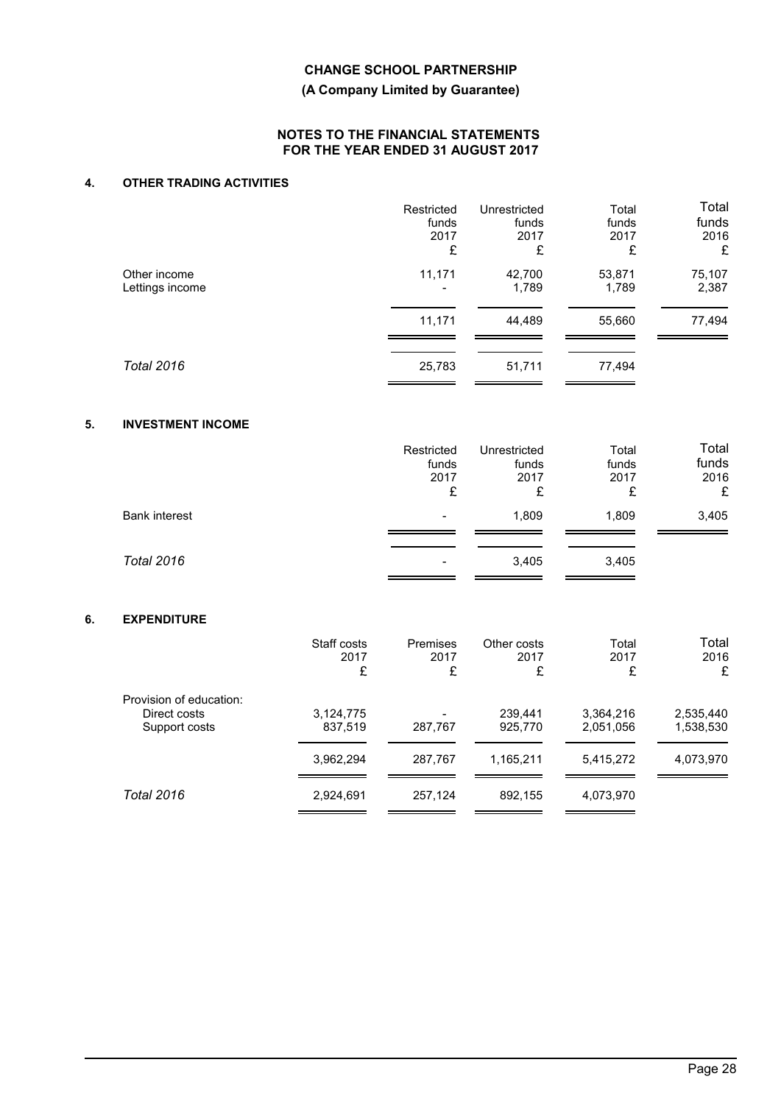## **(A Company Limited by Guarantee)**

#### **NOTES TO THE FINANCIAL STATEMENTS FOR THE YEAR ENDED 31 AUGUST 2017**

# **4. OTHER TRADING ACTIVITIES**

|                   | Restricted | Unrestricted | Total  | Total  |
|-------------------|------------|--------------|--------|--------|
|                   | funds      | funds        | funds  | funds  |
|                   | 2017       | 2017         | 2017   | 2016   |
|                   | £          | £            | £      | £      |
| Other income      | 11,171     | 42,700       | 53,871 | 75,107 |
| Lettings income   |            | 1,789        | 1,789  | 2,387  |
|                   | 11,171     | 44,489       | 55,660 | 77,494 |
| <b>Total 2016</b> | 25,783     | 51,711       | 77,494 |        |

# **5. INVESTMENT INCOME**

|                      | Restricted<br>funds<br>2017<br>£ | Unrestricted<br>funds<br>2017<br>£ | Total<br>funds<br>2017<br>£ | Total<br>funds<br>2016<br>£ |
|----------------------|----------------------------------|------------------------------------|-----------------------------|-----------------------------|
| <b>Bank interest</b> | $\overline{\phantom{0}}$         | 1,809                              | 1,809                       | 3,405                       |
| <b>Total 2016</b>    |                                  | 3,405                              | 3,405                       |                             |

# **6. EXPENDITURE**

|                                                          | Staff costs<br>2017<br>£ | Premises<br>2017<br>£ | Other costs<br>2017<br>£ | Total<br>2017<br>£     | Total<br>2016<br>£     |
|----------------------------------------------------------|--------------------------|-----------------------|--------------------------|------------------------|------------------------|
| Provision of education:<br>Direct costs<br>Support costs | 3,124,775<br>837,519     | 287,767               | 239.441<br>925,770       | 3,364,216<br>2,051,056 | 2,535,440<br>1,538,530 |
|                                                          | 3,962,294                | 287,767               | 1,165,211                | 5,415,272              | 4,073,970              |
| Total 2016                                               | 2,924,691                | 257,124               | 892,155                  | 4,073,970              |                        |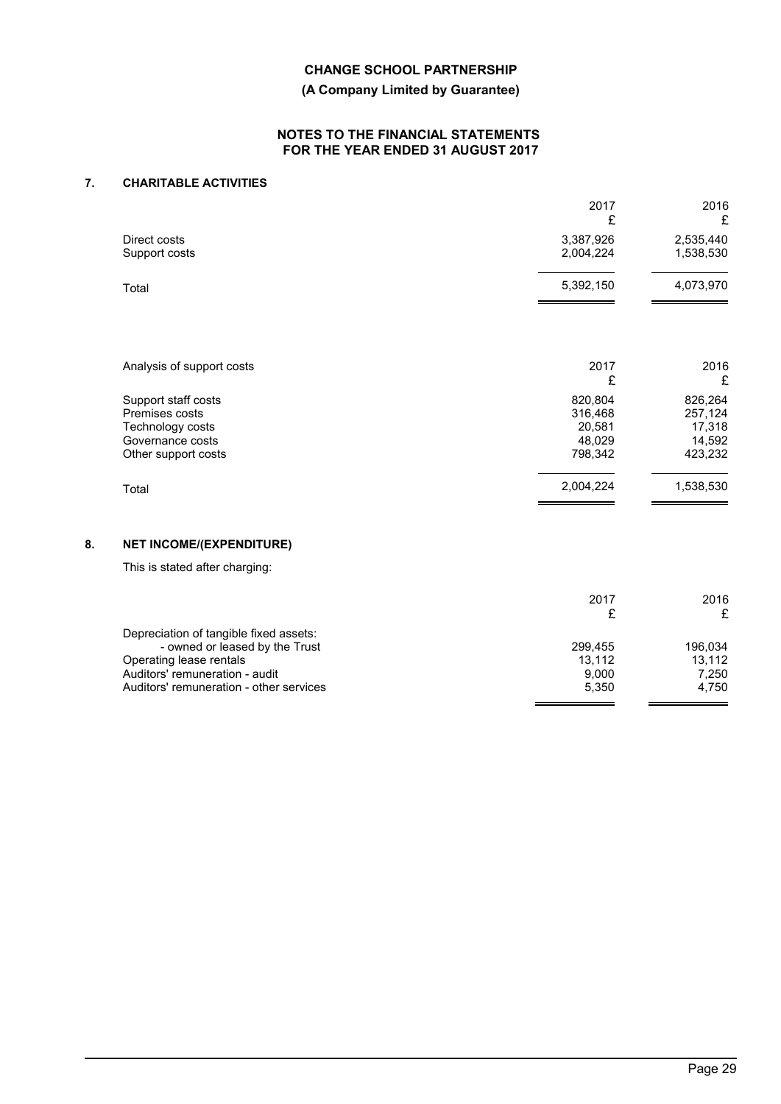## **(A Company Limited by Guarantee)**

#### **NOTES TO THE FINANCIAL STATEMENTS FOR THE YEAR ENDED 31 AUGUST 2017**

# **7. CHARITABLE ACTIVITIES**

|                                                                                                      | 2017<br>£                                         | 2016<br>£                                         |
|------------------------------------------------------------------------------------------------------|---------------------------------------------------|---------------------------------------------------|
| Direct costs<br>Support costs                                                                        | 3,387,926<br>2,004,224                            | 2,535,440<br>1,538,530                            |
| Total                                                                                                | 5,392,150                                         | 4,073,970                                         |
| Analysis of support costs                                                                            | 2017<br>£                                         | 2016<br>£                                         |
| Support staff costs<br>Premises costs<br>Technology costs<br>Governance costs<br>Other support costs | 820,804<br>316,468<br>20,581<br>48,029<br>798,342 | 826,264<br>257,124<br>17,318<br>14,592<br>423,232 |
| Total                                                                                                | 2,004,224                                         | 1,538,530                                         |

# **8. NET INCOME/(EXPENDITURE)**

This is stated after charging:

|                                         | 2017    | 2016    |
|-----------------------------------------|---------|---------|
|                                         |         | £       |
| Depreciation of tangible fixed assets:  |         |         |
| - owned or leased by the Trust          | 299.455 | 196.034 |
| Operating lease rentals                 | 13.112  | 13.112  |
| Auditors' remuneration - audit          | 9.000   | 7.250   |
| Auditors' remuneration - other services | 5.350   | 4.750   |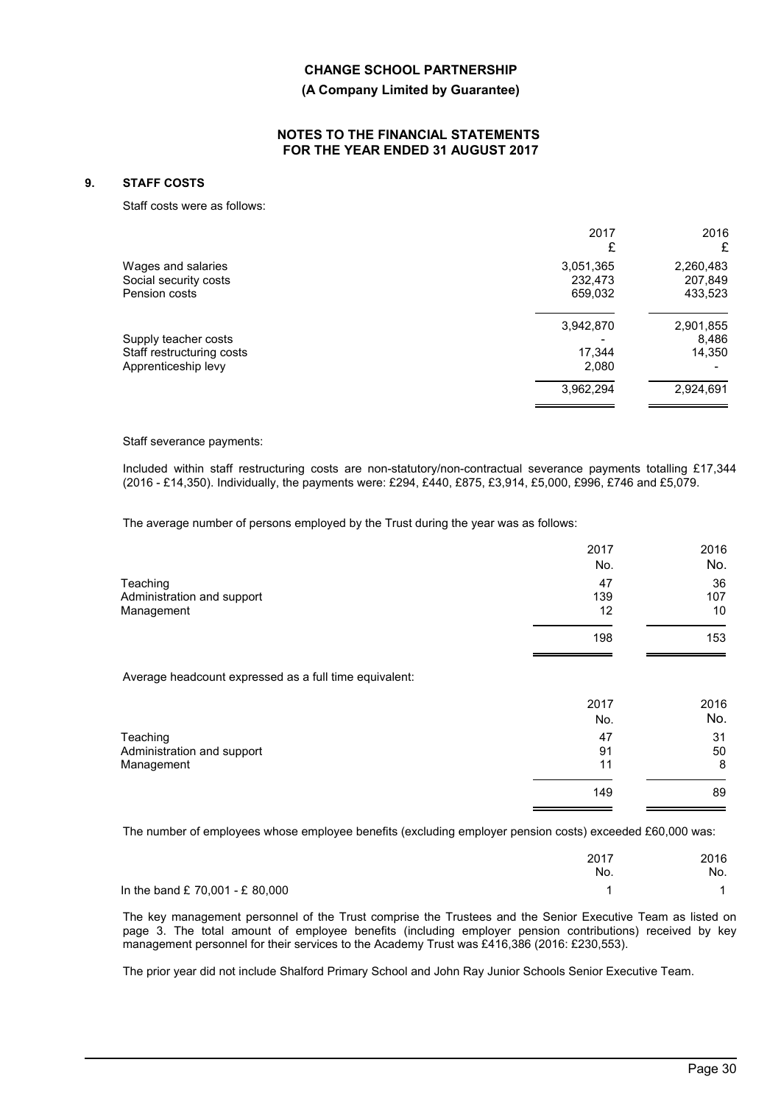### **(A Company Limited by Guarantee)**

#### **NOTES TO THE FINANCIAL STATEMENTS FOR THE YEAR ENDED 31 AUGUST 2017**

### **9. STAFF COSTS**

Staff costs were as follows:

|                           | 2017      | 2016      |
|---------------------------|-----------|-----------|
|                           | £         | £         |
| Wages and salaries        | 3,051,365 | 2,260,483 |
| Social security costs     | 232,473   | 207,849   |
| Pension costs             | 659,032   | 433,523   |
|                           | 3,942,870 | 2,901,855 |
| Supply teacher costs      |           | 8,486     |
| Staff restructuring costs | 17,344    | 14,350    |
| Apprenticeship levy       | 2,080     |           |
|                           | 3,962,294 | 2,924,691 |
|                           |           |           |

Staff severance payments:

Included within staff restructuring costs are non-statutory/non-contractual severance payments totalling £17,344 (2016 - £14,350). Individually, the payments were: £294, £440, £875, £3,914, £5,000, £996, £746 and £5,079.

The average number of persons employed by the Trust during the year was as follows:

|                                                        | 2017<br>No.     | 2016<br>No.     |
|--------------------------------------------------------|-----------------|-----------------|
| Teaching<br>Administration and support<br>Management   | 47<br>139<br>12 | 36<br>107<br>10 |
|                                                        | 198             | 153             |
| Average headcount expressed as a full time equivalent: |                 |                 |
|                                                        | 2017<br>No.     | 2016<br>No.     |
| Teaching<br>Administration and support<br>Management   | 47<br>91<br>11  | 31<br>50<br>8   |
|                                                        | 149             | 89              |

The number of employees whose employee benefits (excluding employer pension costs) exceeded £60,000 was:

|                                   | 2017<br>No. | 2016<br>No. |
|-----------------------------------|-------------|-------------|
| In the band $£ 70,001 - £ 80,000$ |             |             |

The key management personnel of the Trust comprise the Trustees and the Senior Executive Team as listed on page 3. The total amount of employee benefits (including employer pension contributions) received by key management personnel for their services to the Academy Trust was £416,386 (2016: £230,553).

The prior year did not include Shalford Primary School and John Ray Junior Schools Senior Executive Team.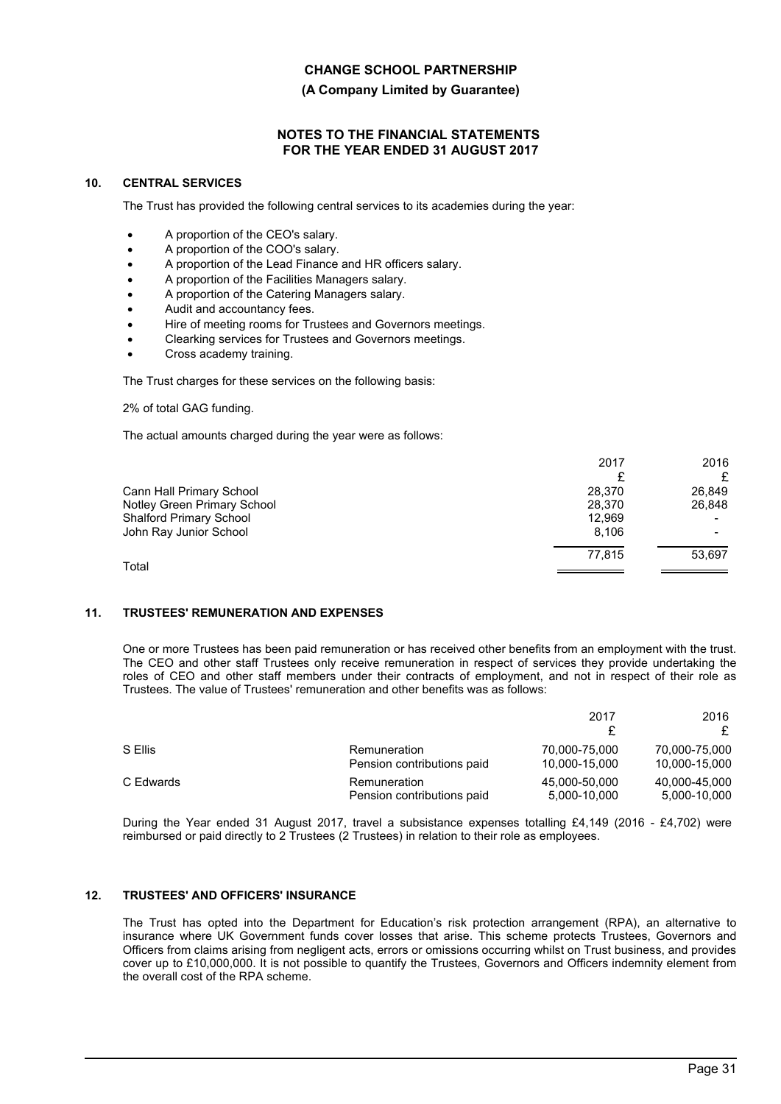**(A Company Limited by Guarantee)**

## **NOTES TO THE FINANCIAL STATEMENTS FOR THE YEAR ENDED 31 AUGUST 2017**

## **10. CENTRAL SERVICES**

The Trust has provided the following central services to its academies during the year:

- A proportion of the CEO's salary.
- A proportion of the COO's salary.
- A proportion of the Lead Finance and HR officers salary.
- A proportion of the Facilities Managers salary.
- A proportion of the Catering Managers salary.
- Audit and accountancy fees.
- Hire of meeting rooms for Trustees and Governors meetings.
- Clearking services for Trustees and Governors meetings.
- Cross academy training.

The Trust charges for these services on the following basis:

2% of total GAG funding.

The actual amounts charged during the year were as follows:

|                                | 2017   | 2016   |
|--------------------------------|--------|--------|
|                                |        |        |
| Cann Hall Primary School       | 28.370 | 26,849 |
| Notley Green Primary School    | 28,370 | 26.848 |
| <b>Shalford Primary School</b> | 12.969 |        |
| John Ray Junior School         | 8.106  |        |
|                                | 77.815 | 53.697 |
| Total                          |        |        |

#### **11. TRUSTEES' REMUNERATION AND EXPENSES**

One or more Trustees has been paid remuneration or has received other benefits from an employment with the trust. The CEO and other staff Trustees only receive remuneration in respect of services they provide undertaking the roles of CEO and other staff members under their contracts of employment, and not in respect of their role as Trustees. The value of Trustees' remuneration and other benefits was as follows:

|           |                            | 2017          | 2016          |
|-----------|----------------------------|---------------|---------------|
| S Ellis   | Remuneration               | 70.000-75.000 | 70,000-75,000 |
|           | Pension contributions paid | 10,000-15,000 | 10,000-15,000 |
| C Edwards | Remuneration               | 45.000-50.000 | 40,000-45,000 |
|           | Pension contributions paid | 5,000-10,000  | 5,000-10,000  |

During the Year ended 31 August 2017, travel a subsistance expenses totalling £4,149 (2016 - £4,702) were reimbursed or paid directly to 2 Trustees (2 Trustees) in relation to their role as employees.

#### **12. TRUSTEES' AND OFFICERS' INSURANCE**

The Trust has opted into the Department for Education's risk protection arrangement (RPA), an alternative to insurance where UK Government funds cover losses that arise. This scheme protects Trustees, Governors and Officers from claims arising from negligent acts, errors or omissions occurring whilst on Trust business, and provides cover up to £10,000,000. It is not possible to quantify the Trustees, Governors and Officers indemnity element from the overall cost of the RPA scheme.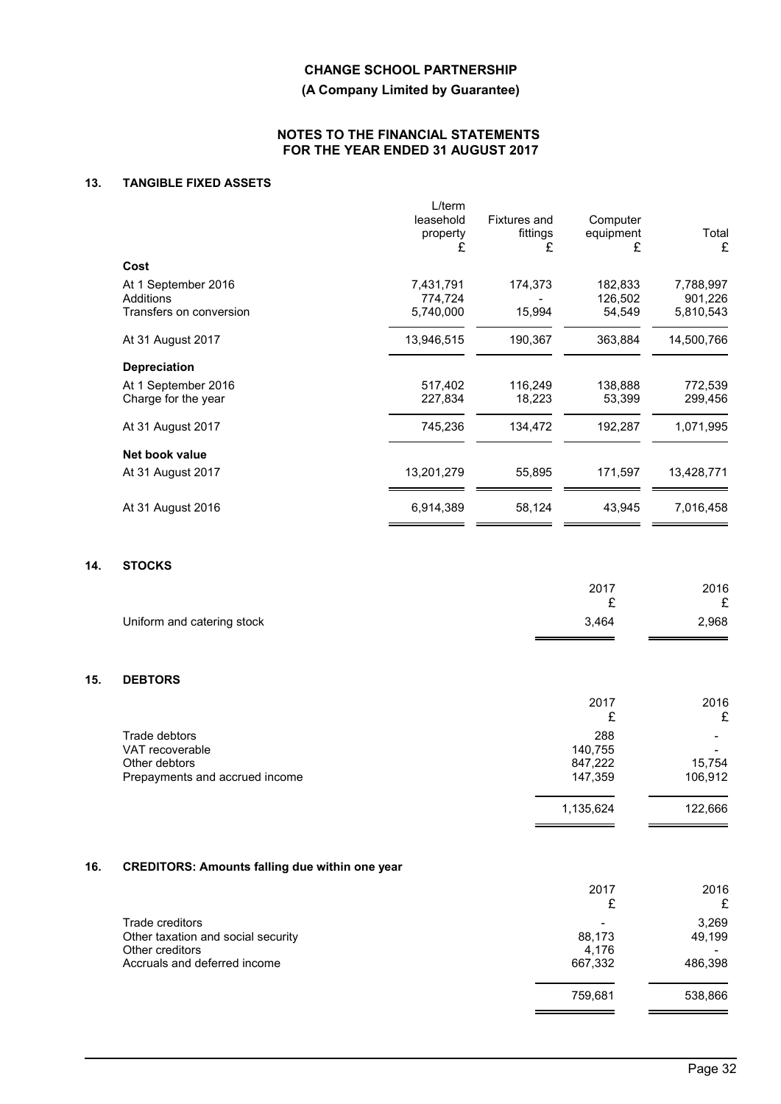**(A Company Limited by Guarantee)**

## **NOTES TO THE FINANCIAL STATEMENTS FOR THE YEAR ENDED 31 AUGUST 2017**

# **13. TANGIBLE FIXED ASSETS**

| $L$ /term<br>leasehold<br>property<br>£ | <b>Fixtures and</b><br>fittings<br>£ | Computer<br>equipment<br>£   | Total<br>£                        |
|-----------------------------------------|--------------------------------------|------------------------------|-----------------------------------|
|                                         |                                      |                              |                                   |
| 7,431,791<br>774,724<br>5,740,000       | 174,373<br>15,994                    | 182,833<br>126,502<br>54,549 | 7,788,997<br>901,226<br>5,810,543 |
| 13,946,515                              | 190,367                              | 363,884                      | 14,500,766                        |
|                                         |                                      |                              |                                   |
| 517,402<br>227,834                      | 116,249<br>18,223                    | 138,888<br>53,399            | 772,539<br>299,456                |
| 745,236                                 | 134,472                              | 192,287                      | 1,071,995                         |
|                                         |                                      |                              |                                   |
| 13,201,279                              | 55,895                               | 171,597                      | 13,428,771                        |
| 6,914,389                               | 58,124                               | 43,945                       | 7,016,458                         |
|                                         |                                      |                              |                                   |

## **14. STOCKS**

|                            | 2017  | 2016  |
|----------------------------|-------|-------|
|                            | -     | c     |
| Uniform and catering stock | 3.464 | 2,968 |
|                            |       |       |

## **15. DEBTORS**

|                                | 2017<br>£ | 2016<br>£ |
|--------------------------------|-----------|-----------|
| Trade debtors                  | 288       | -         |
| VAT recoverable                | 140,755   | -         |
| Other debtors                  | 847,222   | 15,754    |
| Prepayments and accrued income | 147,359   | 106,912   |
|                                | 1,135,624 | 122,666   |
|                                |           |           |

# **16. CREDITORS: Amounts falling due within one year**

|                                    | 2017    | 2016<br>£ |
|------------------------------------|---------|-----------|
| Trade creditors                    |         | 3,269     |
| Other taxation and social security | 88,173  | 49,199    |
| Other creditors                    | 4.176   |           |
| Accruals and deferred income       | 667,332 | 486,398   |
|                                    | 759,681 | 538,866   |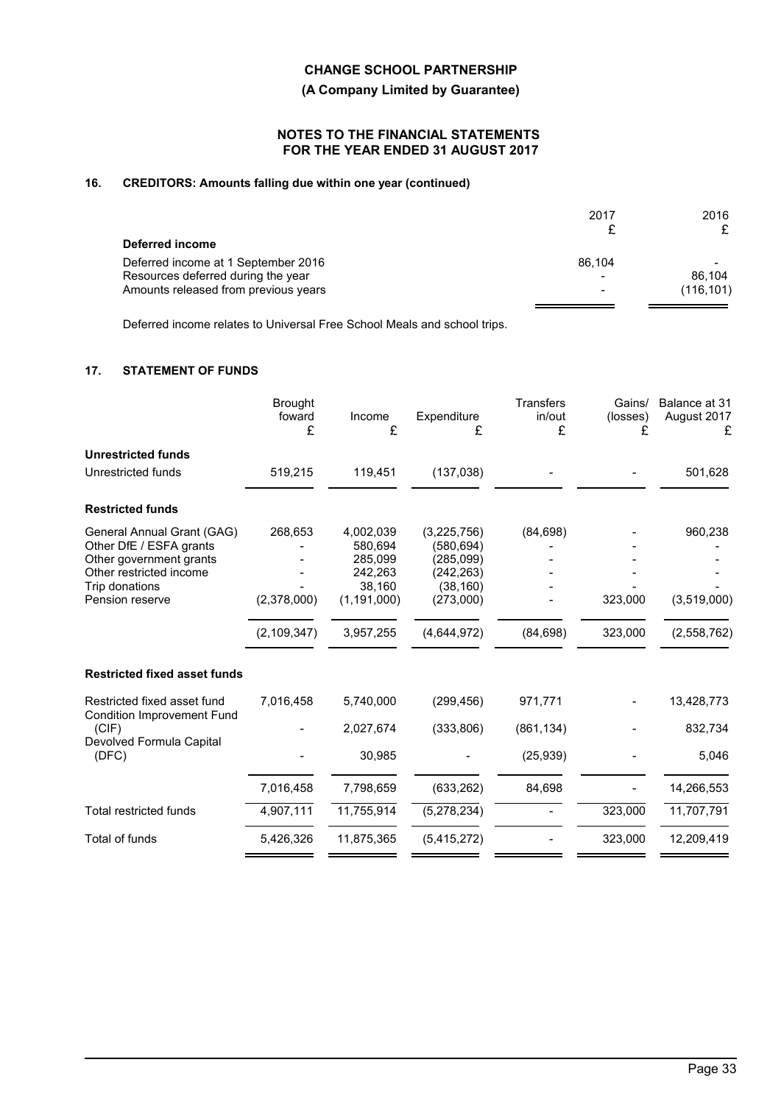**(A Company Limited by Guarantee)**

## **NOTES TO THE FINANCIAL STATEMENTS FOR THE YEAR ENDED 31 AUGUST 2017**

# **16. CREDITORS: Amounts falling due within one year (continued)**

|                                      | 2017   | 2016       |
|--------------------------------------|--------|------------|
| Deferred income                      |        |            |
| Deferred income at 1 September 2016  | 86.104 |            |
| Resources deferred during the year   |        | 86.104     |
| Amounts released from previous years |        | (116, 101) |

Deferred income relates to Universal Free School Meals and school trips.

# **17. STATEMENT OF FUNDS**

|                                                                                  | <b>Brought</b><br>foward<br>£ | Income<br>£                     | Expenditure<br>£                      | <b>Transfers</b><br>in/out<br>£ | Gains/<br>(losses)<br>£ | Balance at 31<br>August 2017<br>£ |
|----------------------------------------------------------------------------------|-------------------------------|---------------------------------|---------------------------------------|---------------------------------|-------------------------|-----------------------------------|
| <b>Unrestricted funds</b>                                                        |                               |                                 |                                       |                                 |                         |                                   |
| Unrestricted funds                                                               | 519,215                       | 119,451                         | (137, 038)                            |                                 |                         | 501,628                           |
| <b>Restricted funds</b>                                                          |                               |                                 |                                       |                                 |                         |                                   |
| General Annual Grant (GAG)<br>Other DfE / ESFA grants<br>Other government grants | 268,653                       | 4,002,039<br>580,694<br>285,099 | (3,225,756)<br>(580,694)<br>(285,099) | (84, 698)                       |                         | 960,238                           |
| Other restricted income<br>Trip donations                                        |                               | 242,263<br>38,160               | (242, 263)<br>(38, 160)               |                                 |                         |                                   |
| Pension reserve                                                                  | (2,378,000)                   | (1, 191, 000)                   | (273,000)                             |                                 | 323,000                 | (3,519,000)                       |
|                                                                                  | (2, 109, 347)                 | 3,957,255                       | (4,644,972)                           | (84, 698)                       | 323,000                 | (2,558,762)                       |
| <b>Restricted fixed asset funds</b>                                              |                               |                                 |                                       |                                 |                         |                                   |
| Restricted fixed asset fund<br><b>Condition Improvement Fund</b>                 | 7,016,458                     | 5,740,000                       | (299, 456)                            | 971,771                         |                         | 13,428,773                        |
| (CIF)                                                                            |                               | 2,027,674                       | (333, 806)                            | (861, 134)                      |                         | 832,734                           |
| Devolved Formula Capital<br>(DFC)                                                |                               | 30,985                          |                                       | (25, 939)                       |                         | 5,046                             |
|                                                                                  | 7,016,458                     | 7,798,659                       | (633, 262)                            | 84,698                          |                         | 14,266,553                        |
| <b>Total restricted funds</b>                                                    | 4,907,111                     | 11,755,914                      | (5,278,234)                           |                                 | 323,000                 | 11,707,791                        |
| Total of funds                                                                   | 5,426,326                     | 11,875,365                      | (5,415,272)                           |                                 | 323,000                 | 12,209,419                        |
|                                                                                  |                               |                                 |                                       |                                 |                         |                                   |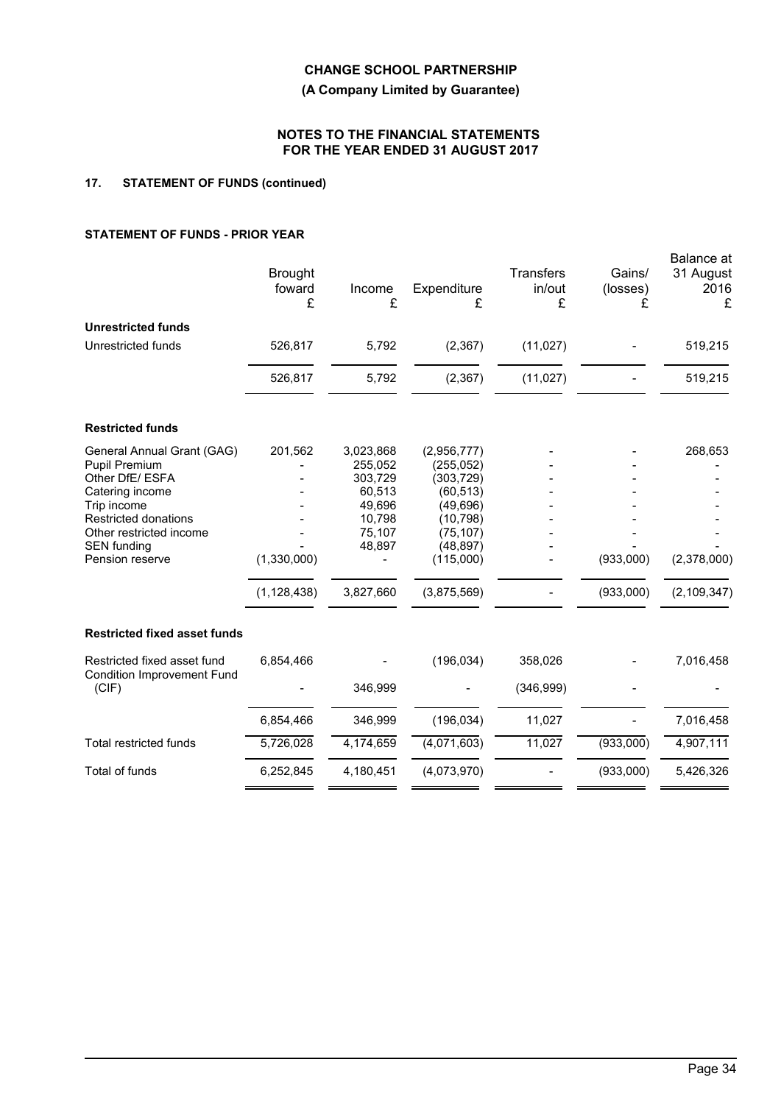**(A Company Limited by Guarantee)**

### **NOTES TO THE FINANCIAL STATEMENTS FOR THE YEAR ENDED 31 AUGUST 2017**

# **17. STATEMENT OF FUNDS (continued)**

## **STATEMENT OF FUNDS - PRIOR YEAR**

| <b>Restricted funds</b><br>201,562<br>3,023,868<br>General Annual Grant (GAG)<br>(2,956,777)<br><b>Pupil Premium</b><br>255,052<br>(255, 052)<br>Other DfE/ ESFA<br>303,729<br>(303, 729)<br>Catering income<br>60,513<br>(60, 513)<br>Trip income<br>49,696<br>(49, 696)<br><b>Restricted donations</b><br>10,798<br>(10, 798)<br>Other restricted income<br>75,107<br>(75, 107)<br><b>SEN</b> funding<br>48,897<br>(48, 897)<br>(1,330,000)<br>(933,000)<br>Pension reserve<br>(115,000)<br>3,827,660<br>(933,000)<br>(1, 128, 438)<br>(3,875,569)<br><b>Restricted fixed asset funds</b><br>(196, 034)<br>Restricted fixed asset fund<br>6,854,466<br>358,026 | 268,653       |
|------------------------------------------------------------------------------------------------------------------------------------------------------------------------------------------------------------------------------------------------------------------------------------------------------------------------------------------------------------------------------------------------------------------------------------------------------------------------------------------------------------------------------------------------------------------------------------------------------------------------------------------------------------------|---------------|
|                                                                                                                                                                                                                                                                                                                                                                                                                                                                                                                                                                                                                                                                  |               |
|                                                                                                                                                                                                                                                                                                                                                                                                                                                                                                                                                                                                                                                                  |               |
|                                                                                                                                                                                                                                                                                                                                                                                                                                                                                                                                                                                                                                                                  |               |
|                                                                                                                                                                                                                                                                                                                                                                                                                                                                                                                                                                                                                                                                  |               |
|                                                                                                                                                                                                                                                                                                                                                                                                                                                                                                                                                                                                                                                                  |               |
|                                                                                                                                                                                                                                                                                                                                                                                                                                                                                                                                                                                                                                                                  |               |
|                                                                                                                                                                                                                                                                                                                                                                                                                                                                                                                                                                                                                                                                  |               |
|                                                                                                                                                                                                                                                                                                                                                                                                                                                                                                                                                                                                                                                                  | (2,378,000)   |
|                                                                                                                                                                                                                                                                                                                                                                                                                                                                                                                                                                                                                                                                  | (2, 109, 347) |
|                                                                                                                                                                                                                                                                                                                                                                                                                                                                                                                                                                                                                                                                  |               |
| <b>Condition Improvement Fund</b>                                                                                                                                                                                                                                                                                                                                                                                                                                                                                                                                                                                                                                | 7,016,458     |
| (CIF)<br>346,999<br>(346,999)                                                                                                                                                                                                                                                                                                                                                                                                                                                                                                                                                                                                                                    |               |
| 6,854,466<br>346,999<br>(196, 034)<br>11,027                                                                                                                                                                                                                                                                                                                                                                                                                                                                                                                                                                                                                     | 7,016,458     |
| (4,071,603)<br><b>Total restricted funds</b><br>5,726,028<br>4,174,659<br>11,027<br>(933,000)                                                                                                                                                                                                                                                                                                                                                                                                                                                                                                                                                                    | 4,907,111     |
| Total of funds<br>4,180,451<br>(4,073,970)<br>(933,000)<br>6,252,845<br>5,426,326                                                                                                                                                                                                                                                                                                                                                                                                                                                                                                                                                                                |               |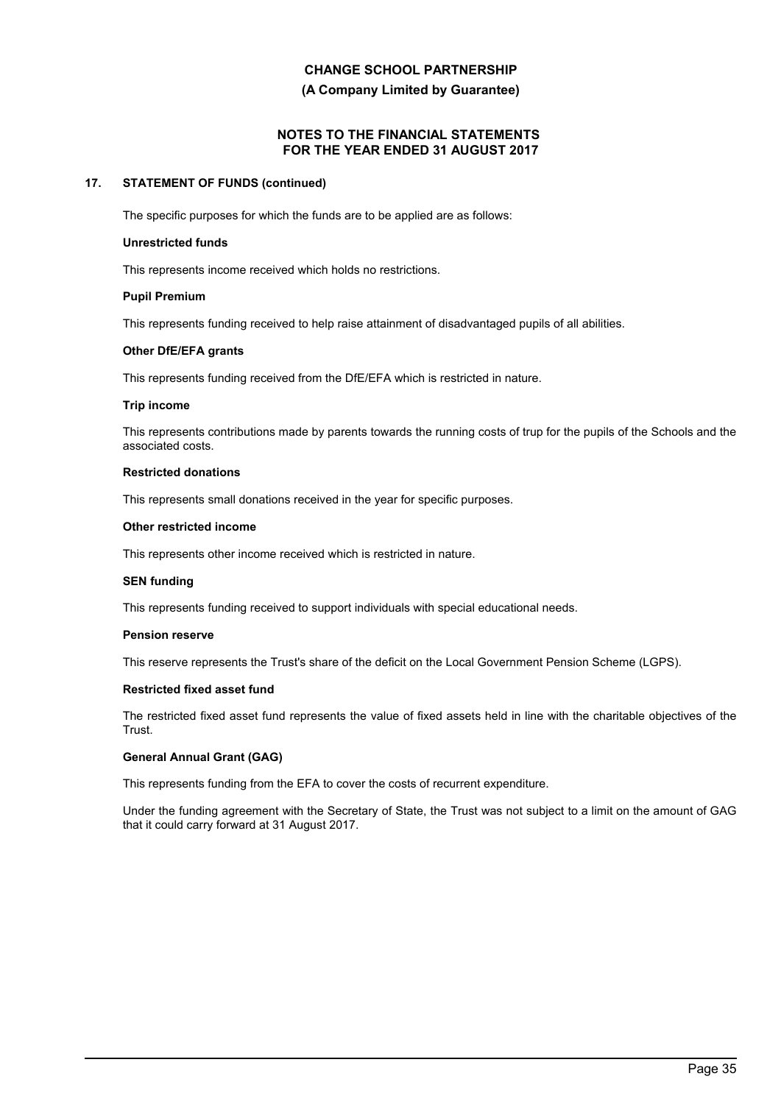**(A Company Limited by Guarantee)**

## **NOTES TO THE FINANCIAL STATEMENTS FOR THE YEAR ENDED 31 AUGUST 2017**

## **17. STATEMENT OF FUNDS (continued)**

The specific purposes for which the funds are to be applied are as follows:

#### **Unrestricted funds**

This represents income received which holds no restrictions.

#### **Pupil Premium**

This represents funding received to help raise attainment of disadvantaged pupils of all abilities.

#### **Other DfE/EFA grants**

This represents funding received from the DfE/EFA which is restricted in nature.

#### **Trip income**

This represents contributions made by parents towards the running costs of trup for the pupils of the Schools and the associated costs.

### **Restricted donations**

This represents small donations received in the year for specific purposes.

#### **Other restricted income**

This represents other income received which is restricted in nature.

#### **SEN funding**

This represents funding received to support individuals with special educational needs.

#### **Pension reserve**

This reserve represents the Trust's share of the deficit on the Local Government Pension Scheme (LGPS).

## **Restricted fixed asset fund**

The restricted fixed asset fund represents the value of fixed assets held in line with the charitable objectives of the Trust.

### **General Annual Grant (GAG)**

This represents funding from the EFA to cover the costs of recurrent expenditure.

Under the funding agreement with the Secretary of State, the Trust was not subject to a limit on the amount of GAG that it could carry forward at 31 August 2017.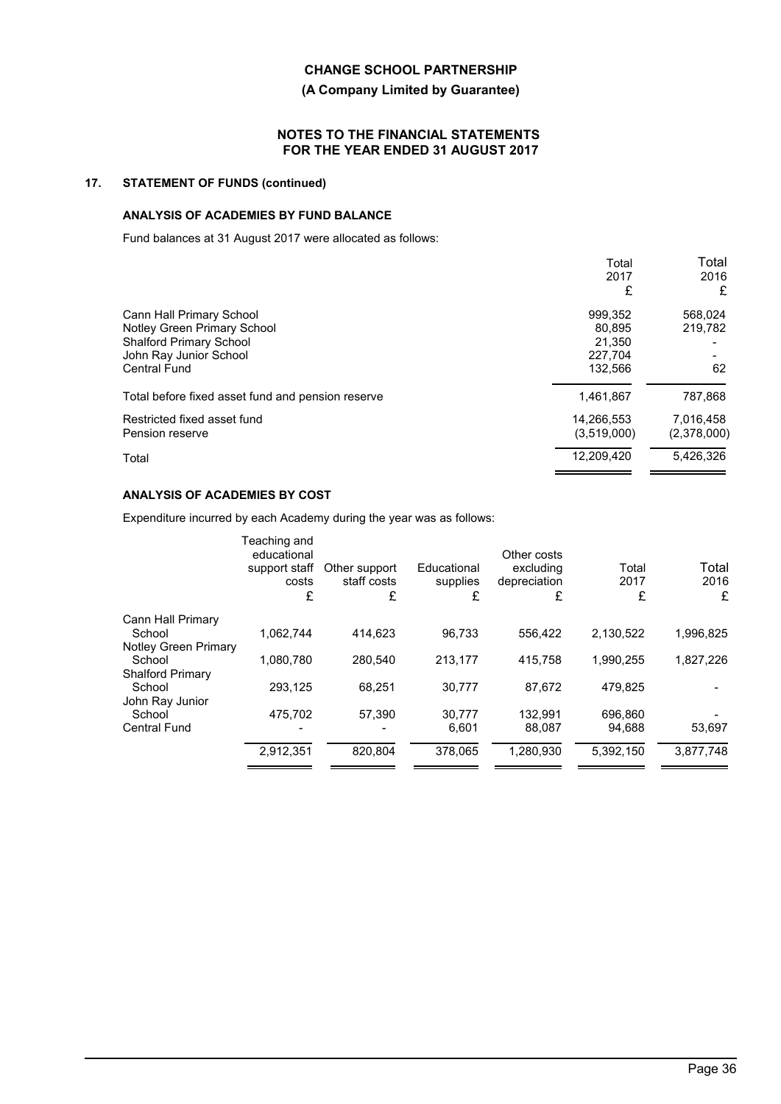## **(A Company Limited by Guarantee)**

## **NOTES TO THE FINANCIAL STATEMENTS FOR THE YEAR ENDED 31 AUGUST 2017**

# **17. STATEMENT OF FUNDS (continued)**

# **ANALYSIS OF ACADEMIES BY FUND BALANCE**

Fund balances at 31 August 2017 were allocated as follows:

|                                                   | Total       | Total       |
|---------------------------------------------------|-------------|-------------|
|                                                   | 2017        | 2016        |
|                                                   | £           | £           |
| Cann Hall Primary School                          | 999,352     | 568,024     |
| Notley Green Primary School                       | 80,895      | 219,782     |
| <b>Shalford Primary School</b>                    | 21.350      |             |
| John Ray Junior School                            | 227.704     |             |
| <b>Central Fund</b>                               | 132,566     | 62          |
| Total before fixed asset fund and pension reserve | 1,461,867   | 787,868     |
| Restricted fixed asset fund                       | 14,266,553  | 7,016,458   |
| Pension reserve                                   | (3,519,000) | (2,378,000) |
| Total                                             | 12,209,420  | 5.426.326   |

# **ANALYSIS OF ACADEMIES BY COST**

Expenditure incurred by each Academy during the year was as follows:

| Teaching and<br>educational<br>support staff<br>costs<br>£ | Other support<br>staff costs<br>£ | Educational<br>supplies<br>£ | Other costs<br>excluding<br>depreciation<br>£ | Total<br>2017<br>£ | Total<br>2016<br>£ |
|------------------------------------------------------------|-----------------------------------|------------------------------|-----------------------------------------------|--------------------|--------------------|
|                                                            |                                   |                              |                                               |                    |                    |
| 1.062.744                                                  | 414.623                           | 96.733                       | 556.422                                       | 2.130.522          | 1,996,825          |
| Notley Green Primary                                       |                                   |                              |                                               |                    |                    |
| 1,080,780                                                  | 280.540                           | 213.177                      | 415.758                                       | 1.990.255          | 1,827,226          |
|                                                            |                                   |                              |                                               |                    |                    |
| 293.125                                                    | 68.251                            | 30.777                       | 87.672                                        | 479.825            |                    |
|                                                            |                                   |                              |                                               |                    |                    |
|                                                            |                                   |                              |                                               |                    |                    |
|                                                            |                                   | 6.601                        | 88.087                                        | 94.688             | 53,697             |
| 2,912,351                                                  | 820.804                           | 378.065                      | 1,280,930                                     | 5.392.150          | 3,877,748          |
|                                                            | 475,702                           | 57,390                       | 30,777                                        | 132.991            | 696,860            |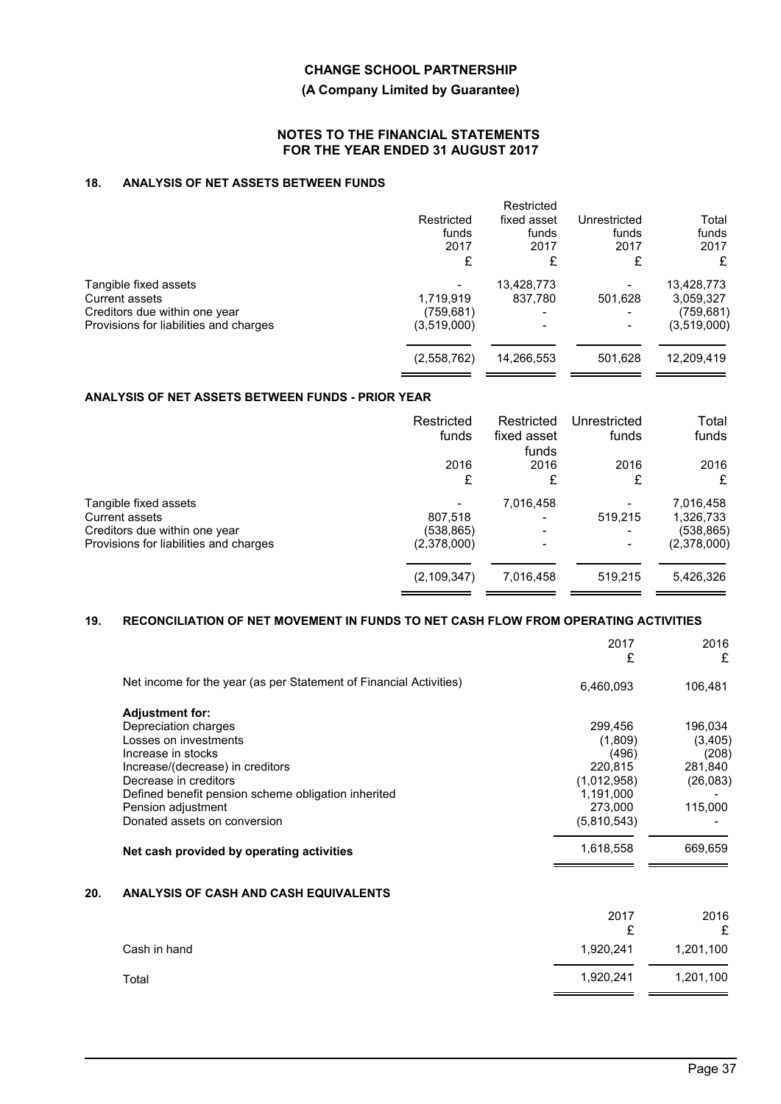## **(A Company Limited by Guarantee)**

## **NOTES TO THE FINANCIAL STATEMENTS FOR THE YEAR ENDED 31 AUGUST 2017**

# **18. ANALYSIS OF NET ASSETS BETWEEN FUNDS**

|                                                                                                                    | Restricted<br>funds<br>2017<br>£       | Restricted<br>fixed asset<br>funds<br>2017<br>£   | Unrestricted<br>funds<br>2017<br>£ | Total<br>funds<br>2017<br>£                          |
|--------------------------------------------------------------------------------------------------------------------|----------------------------------------|---------------------------------------------------|------------------------------------|------------------------------------------------------|
| Tangible fixed assets<br>Current assets<br>Creditors due within one year<br>Provisions for liabilities and charges | 1,719,919<br>(759, 681)<br>(3,519,000) | 13,428,773<br>837.780<br>$\overline{\phantom{a}}$ | 501,628                            | 13,428,773<br>3,059,327<br>(759, 681)<br>(3,519,000) |
|                                                                                                                    | (2,558,762)                            | 14,266,553                                        | 501,628                            | 12,209,419                                           |

# **ANALYSIS OF NET ASSETS BETWEEN FUNDS - PRIOR YEAR**

|                                                                                                                    | Restricted<br>funds                 | Restricted<br>fixed asset<br>funds    | Unrestricted<br>funds | Total<br>funds                                      |
|--------------------------------------------------------------------------------------------------------------------|-------------------------------------|---------------------------------------|-----------------------|-----------------------------------------------------|
|                                                                                                                    | 2016<br>£                           | 2016<br>£                             | 2016<br>£             | 2016<br>£                                           |
| Tangible fixed assets<br>Current assets<br>Creditors due within one year<br>Provisions for liabilities and charges | 807,518<br>(538,865)<br>(2,378,000) | 7,016,458<br>$\overline{\phantom{0}}$ | 519,215               | 7,016,458<br>1,326,733<br>(538, 865)<br>(2,378,000) |
|                                                                                                                    | (2, 109, 347)                       | 7,016,458                             | 519.215               | 5,426,326                                           |

## **19. RECONCILIATION OF NET MOVEMENT IN FUNDS TO NET CASH FLOW FROM OPERATING ACTIVITIES**

|                                                                    | 2017<br>£   | 2016<br>£ |
|--------------------------------------------------------------------|-------------|-----------|
| Net income for the year (as per Statement of Financial Activities) | 6,460,093   | 106,481   |
| <b>Adjustment for:</b>                                             |             |           |
| Depreciation charges                                               | 299,456     | 196,034   |
| Losses on investments                                              | (1,809)     | (3,405)   |
| Increase in stocks                                                 | (496)       | (208)     |
| Increase/(decrease) in creditors                                   | 220,815     | 281,840   |
| Decrease in creditors                                              | (1,012,958) | (26,083)  |
| Defined benefit pension scheme obligation inherited                | 1,191,000   |           |
| Pension adjustment                                                 | 273,000     | 115,000   |
| Donated assets on conversion                                       | (5,810,543) |           |
| Net cash provided by operating activities                          | 1,618,558   | 669,659   |
| <b>ANALYSIS OF CASH AND CASH EQUIVALENTS</b>                       |             |           |
|                                                                    | 2017        | 2016      |
|                                                                    | £           | £         |

|              | ~         | ┶         |
|--------------|-----------|-----------|
| Cash in hand | 1,920,241 | 1,201,100 |
| Total        | 1,920,241 | 1,201,100 |
|              |           |           |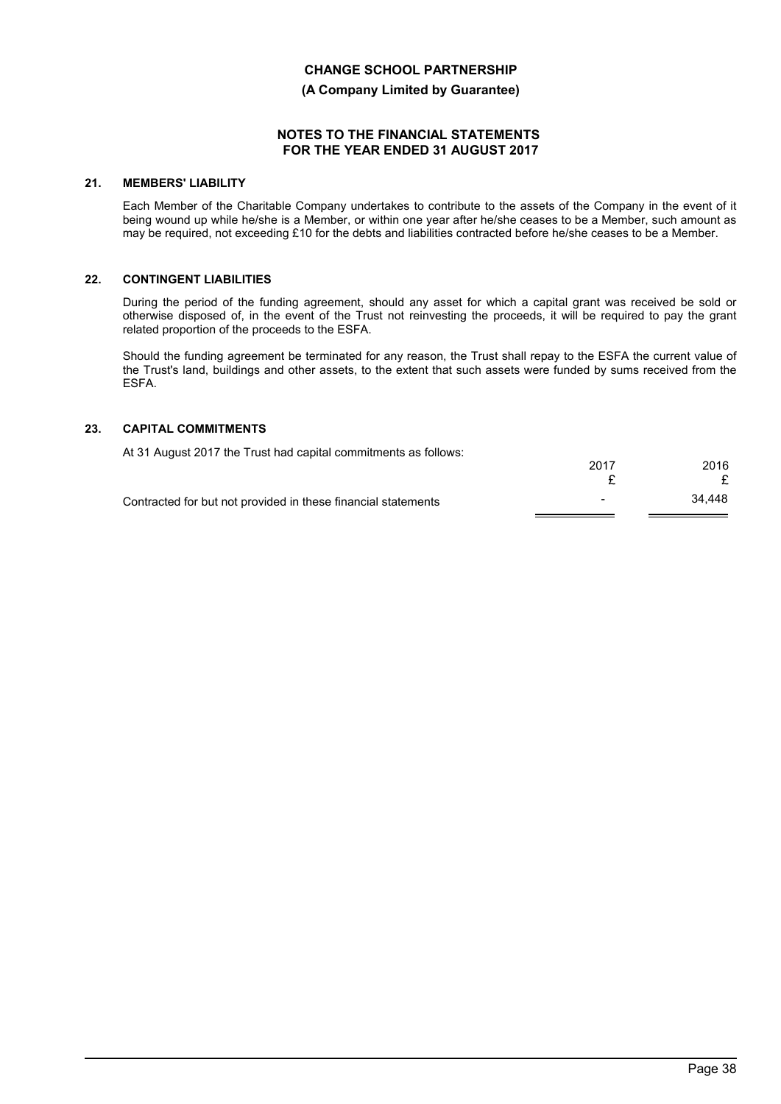**(A Company Limited by Guarantee)**

## **NOTES TO THE FINANCIAL STATEMENTS FOR THE YEAR ENDED 31 AUGUST 2017**

## **21. MEMBERS' LIABILITY**

Each Member of the Charitable Company undertakes to contribute to the assets of the Company in the event of it being wound up while he/she is a Member, or within one year after he/she ceases to be a Member, such amount as may be required, not exceeding £10 for the debts and liabilities contracted before he/she ceases to be a Member.

## **22. CONTINGENT LIABILITIES**

During the period of the funding agreement, should any asset for which a capital grant was received be sold or otherwise disposed of, in the event of the Trust not reinvesting the proceeds, it will be required to pay the grant related proportion of the proceeds to the ESFA.

Should the funding agreement be terminated for any reason, the Trust shall repay to the ESFA the current value of the Trust's land, buildings and other assets, to the extent that such assets were funded by sums received from the ESFA.

## **23. CAPITAL COMMITMENTS**

| At 31 August 2017 the Trust had capital commitments as follows: |      |        |
|-----------------------------------------------------------------|------|--------|
|                                                                 | 2017 | 2016   |
|                                                                 |      |        |
| Contracted for but not provided in these financial statements   | -    | 34.448 |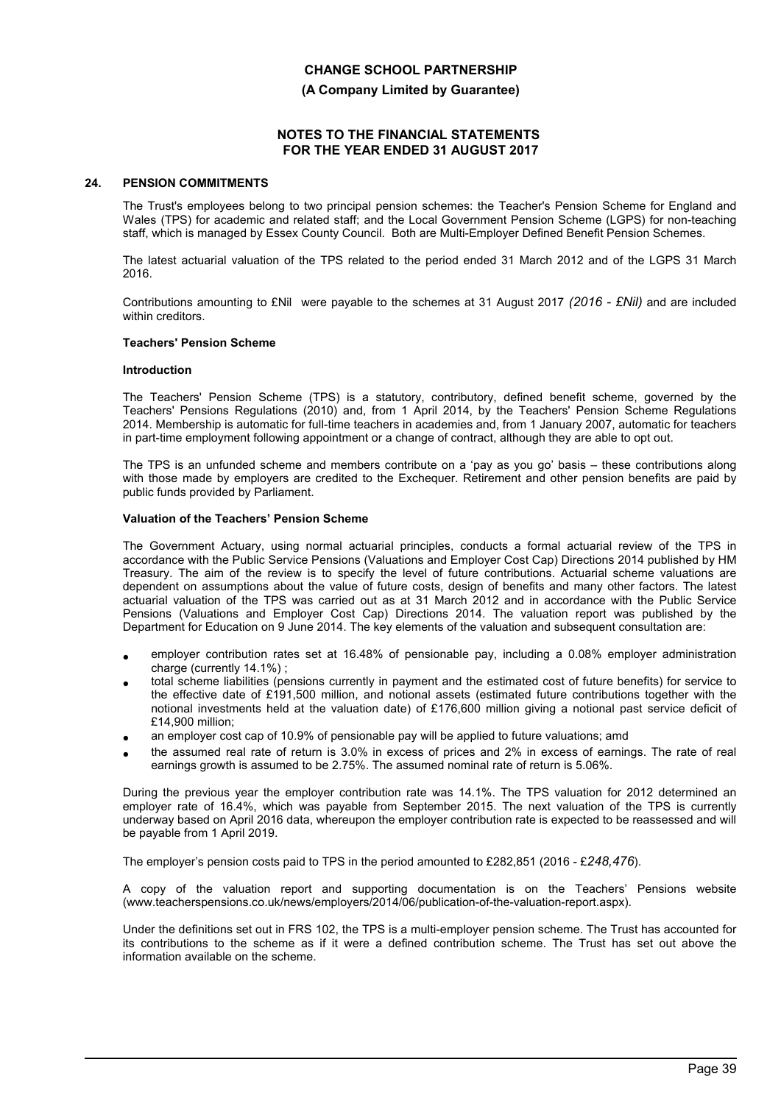**(A Company Limited by Guarantee)**

## **NOTES TO THE FINANCIAL STATEMENTS FOR THE YEAR ENDED 31 AUGUST 2017**

#### **24. PENSION COMMITMENTS**

The Trust's employees belong to two principal pension schemes: the Teacher's Pension Scheme for England and Wales (TPS) for academic and related staff; and the Local Government Pension Scheme (LGPS) for non-teaching staff, which is managed by Essex County Council. Both are Multi-Employer Defined Benefit Pension Schemes.

The latest actuarial valuation of the TPS related to the period ended 31 March 2012 and of the LGPS 31 March 2016.

Contributions amounting to £Nil were payable to the schemes at 31 August 2017 *(2016 - £Nil)* and are included within creditors.

#### **Teachers' Pension Scheme**

#### **Introduction**

The Teachers' Pension Scheme (TPS) is a statutory, contributory, defined benefit scheme, governed by the Teachers' Pensions Regulations (2010) and, from 1 April 2014, by the Teachers' Pension Scheme Regulations 2014. Membership is automatic for full-time teachers in academies and, from 1 January 2007, automatic for teachers in part-time employment following appointment or a change of contract, although they are able to opt out.

The TPS is an unfunded scheme and members contribute on a 'pay as you go' basis – these contributions along with those made by employers are credited to the Exchequer. Retirement and other pension benefits are paid by public funds provided by Parliament.

#### **Valuation of the Teachers' Pension Scheme**

The Government Actuary, using normal actuarial principles, conducts a formal actuarial review of the TPS in accordance with the Public Service Pensions (Valuations and Employer Cost Cap) Directions 2014 published by HM Treasury. The aim of the review is to specify the level of future contributions. Actuarial scheme valuations are dependent on assumptions about the value of future costs, design of benefits and many other factors. The latest actuarial valuation of the TPS was carried out as at 31 March 2012 and in accordance with the Public Service Pensions (Valuations and Employer Cost Cap) Directions 2014. The valuation report was published by the Department for Education on 9 June 2014. The key elements of the valuation and subsequent consultation are:

- employer contribution rates set at 16.48% of pensionable pay, including a 0.08% employer administration charge (currently 14.1%) ;
- total scheme liabilities (pensions currently in payment and the estimated cost of future benefits) for service to the effective date of £191,500 million, and notional assets (estimated future contributions together with the notional investments held at the valuation date) of £176,600 million giving a notional past service deficit of £14,900 million;
- an employer cost cap of 10.9% of pensionable pay will be applied to future valuations; amd
- the assumed real rate of return is 3.0% in excess of prices and 2% in excess of earnings. The rate of real earnings growth is assumed to be 2.75%. The assumed nominal rate of return is 5.06%.

During the previous year the employer contribution rate was 14.1%. The TPS valuation for 2012 determined an employer rate of 16.4%, which was payable from September 2015. The next valuation of the TPS is currently underway based on April 2016 data, whereupon the employer contribution rate is expected to be reassessed and will be payable from 1 April 2019.

The employer's pension costs paid to TPS in the period amounted to £282,851 (2016 - £*248,476*).

A copy of the valuation report and supporting documentation is on the Teachers' Pensions website (www.teacherspensions.co.uk/news/employers/2014/06/publication-of-the-valuation-report.aspx).

Under the definitions set out in FRS 102, the TPS is a multi-employer pension scheme. The Trust has accounted for its contributions to the scheme as if it were a defined contribution scheme. The Trust has set out above the information available on the scheme.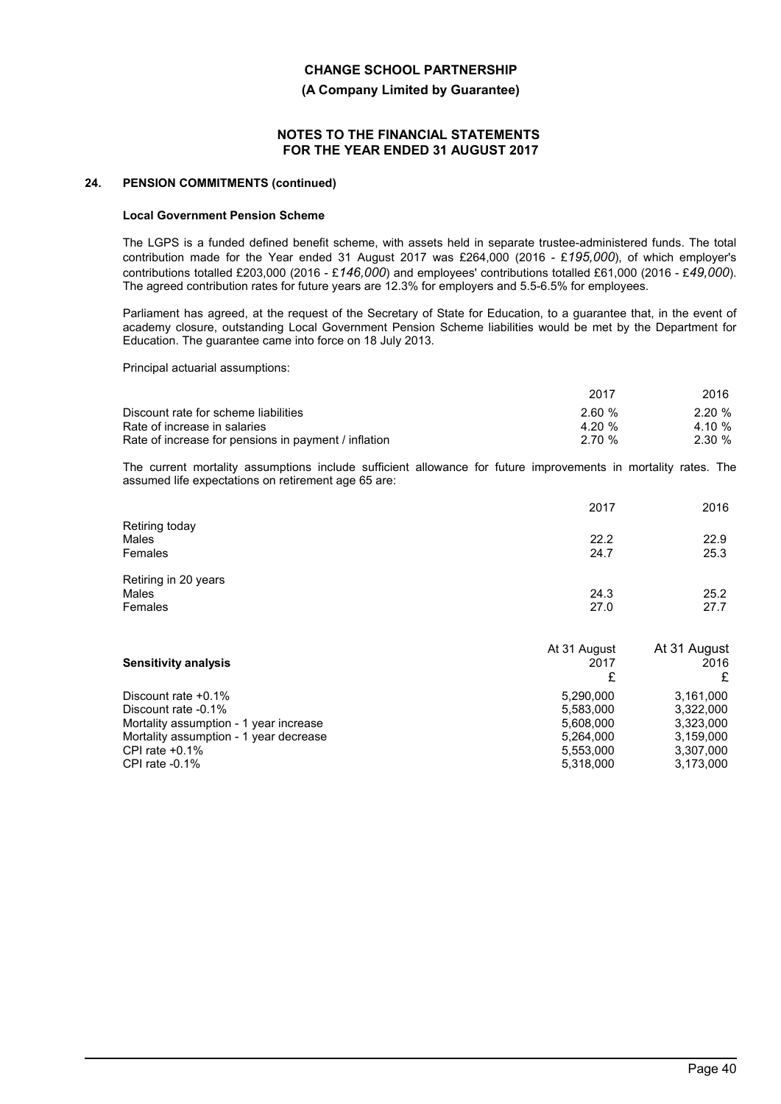**(A Company Limited by Guarantee)**

### **NOTES TO THE FINANCIAL STATEMENTS FOR THE YEAR ENDED 31 AUGUST 2017**

#### **24. PENSION COMMITMENTS (continued)**

#### **Local Government Pension Scheme**

The LGPS is a funded defined benefit scheme, with assets held in separate trustee-administered funds. The total contribution made for the Year ended 31 August 2017 was £264,000 (2016 - £*195,000*), of which employer's contributions totalled £203,000 (2016 - £*146,000*) and employees' contributions totalled £61,000 (2016 - £*49,000*). The agreed contribution rates for future years are 12.3% for employers and 5.5-6.5% for employees.

Parliament has agreed, at the request of the Secretary of State for Education, to a guarantee that, in the event of academy closure, outstanding Local Government Pension Scheme liabilities would be met by the Department for Education. The guarantee came into force on 18 July 2013.

Principal actuarial assumptions:

|                                                      | 2017   | 2016   |
|------------------------------------------------------|--------|--------|
| Discount rate for scheme liabilities                 | 2.60%  | 2.20%  |
| Rate of increase in salaries                         | 4.20 % | 4.10 % |
| Rate of increase for pensions in payment / inflation | 2.70 % | 2.30%  |

The current mortality assumptions include sufficient allowance for future improvements in mortality rates. The assumed life expectations on retirement age 65 are:

|                         | 2017         | 2016         |
|-------------------------|--------------|--------------|
| Retiring today<br>Males | 22.2         | 22.9         |
| Females                 | 24.7         | 25.3         |
| Retiring in 20 years    |              |              |
| Males<br>Females        | 24.3<br>27.0 | 25.2<br>27.7 |
|                         |              |              |

|                                        | At 31 August | At 31 August |
|----------------------------------------|--------------|--------------|
| <b>Sensitivity analysis</b>            | 2017         | 2016         |
|                                        |              |              |
| Discount rate $+0.1\%$                 | 5.290.000    | 3.161.000    |
| Discount rate -0.1%                    | 5.583.000    | 3.322.000    |
| Mortality assumption - 1 year increase | 5,608,000    | 3,323,000    |
| Mortality assumption - 1 year decrease | 5,264,000    | 3,159,000    |
| CPI rate $+0.1\%$                      | 5,553,000    | 3,307,000    |
| CPI rate $-0.1\%$                      | 5,318,000    | 3,173,000    |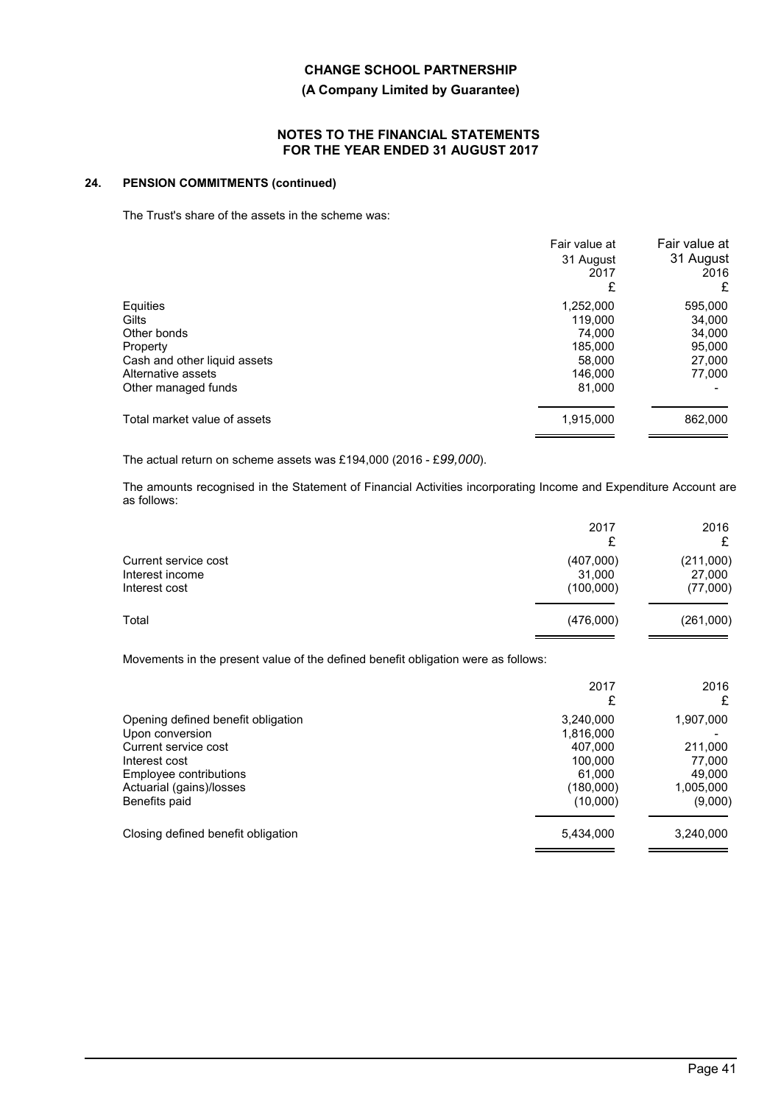## **(A Company Limited by Guarantee)**

### **NOTES TO THE FINANCIAL STATEMENTS FOR THE YEAR ENDED 31 AUGUST 2017**

## **24. PENSION COMMITMENTS (continued)**

The Trust's share of the assets in the scheme was:

| Fair value at<br>31 August<br>2017<br>£ | Fair value at<br>31 August<br>2016<br>£ |
|-----------------------------------------|-----------------------------------------|
| 1,252,000<br>119,000                    | 595,000<br>34,000                       |
| 185.000                                 | 34,000<br>95,000                        |
| 146.000                                 | 27,000<br>77,000                        |
| 1,915,000                               | 862,000                                 |
|                                         | 74.000<br>58.000<br>81,000              |

The actual return on scheme assets was £194,000 (2016 - £*99,000*).

The amounts recognised in the Statement of Financial Activities incorporating Income and Expenditure Account are as follows:

|                                                                                                                                                                       | 2017<br>£                                                                       | 2016<br>£                                                        |
|-----------------------------------------------------------------------------------------------------------------------------------------------------------------------|---------------------------------------------------------------------------------|------------------------------------------------------------------|
| Current service cost<br>Interest income<br>Interest cost                                                                                                              | (407,000)<br>31,000<br>(100,000)                                                | (211,000)<br>27,000<br>(77,000)                                  |
| Total                                                                                                                                                                 | (476,000)                                                                       | (261,000)                                                        |
| Movements in the present value of the defined benefit obligation were as follows:                                                                                     |                                                                                 |                                                                  |
|                                                                                                                                                                       | 2017<br>£                                                                       | 2016<br>£                                                        |
| Opening defined benefit obligation<br>Upon conversion<br>Current service cost<br>Interest cost<br>Employee contributions<br>Actuarial (gains)/losses<br>Benefits paid | 3,240,000<br>1,816,000<br>407,000<br>100,000<br>61,000<br>(180,000)<br>(10,000) | 1,907,000<br>211,000<br>77,000<br>49,000<br>1,005,000<br>(9,000) |

Closing defined benefit obligation 6,434,000 5,434,000 3,240,000